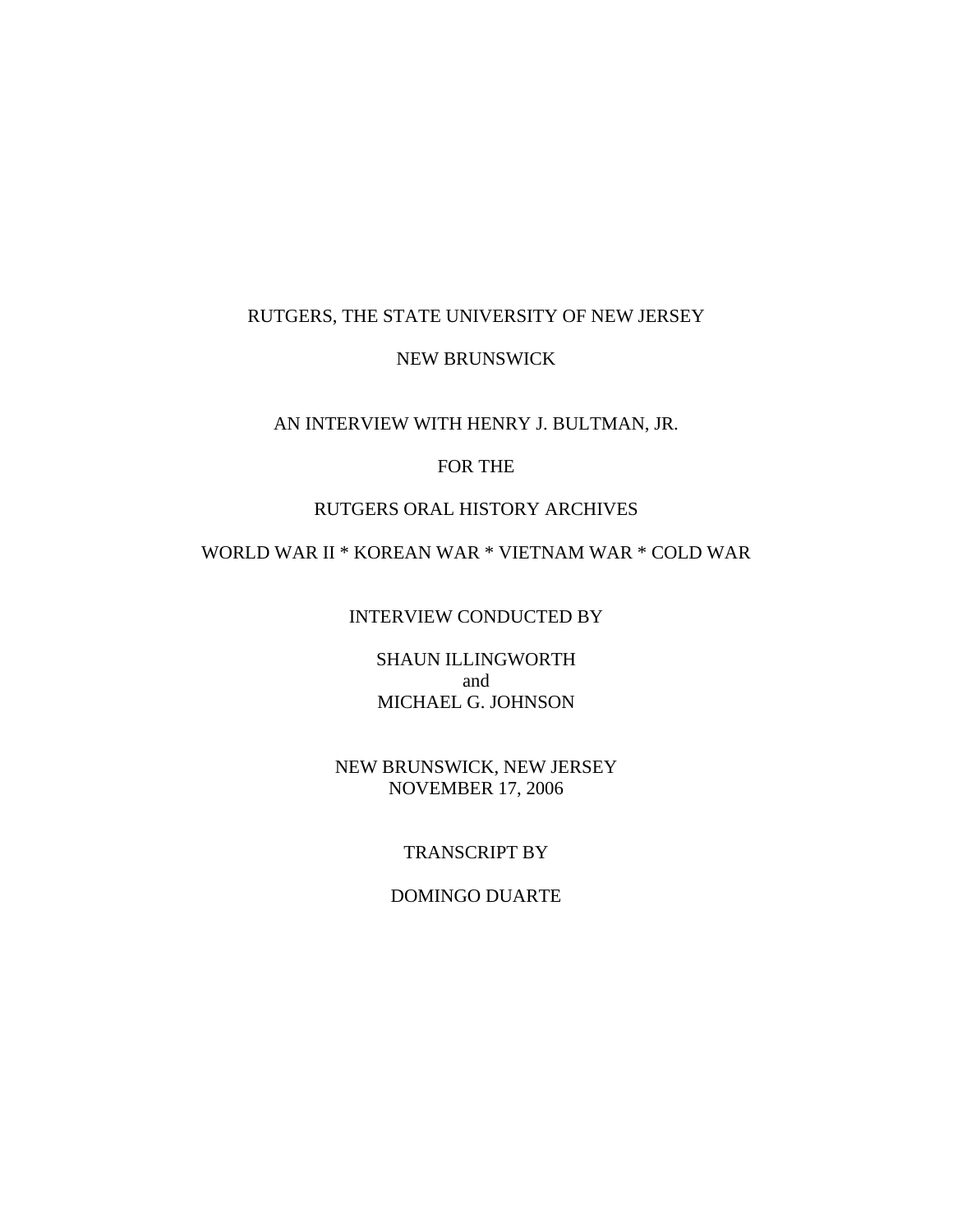### RUTGERS, THE STATE UNIVERSITY OF NEW JERSEY

#### NEW BRUNSWICK

#### AN INTERVIEW WITH HENRY J. BULTMAN, JR.

# FOR THE

### RUTGERS ORAL HISTORY ARCHIVES

# WORLD WAR II \* KOREAN WAR \* VIETNAM WAR \* COLD WAR

#### INTERVIEW CONDUCTED BY

SHAUN ILLINGWORTH and MICHAEL G. JOHNSON

# NEW BRUNSWICK, NEW JERSEY NOVEMBER 17, 2006

### TRANSCRIPT BY

### DOMINGO DUARTE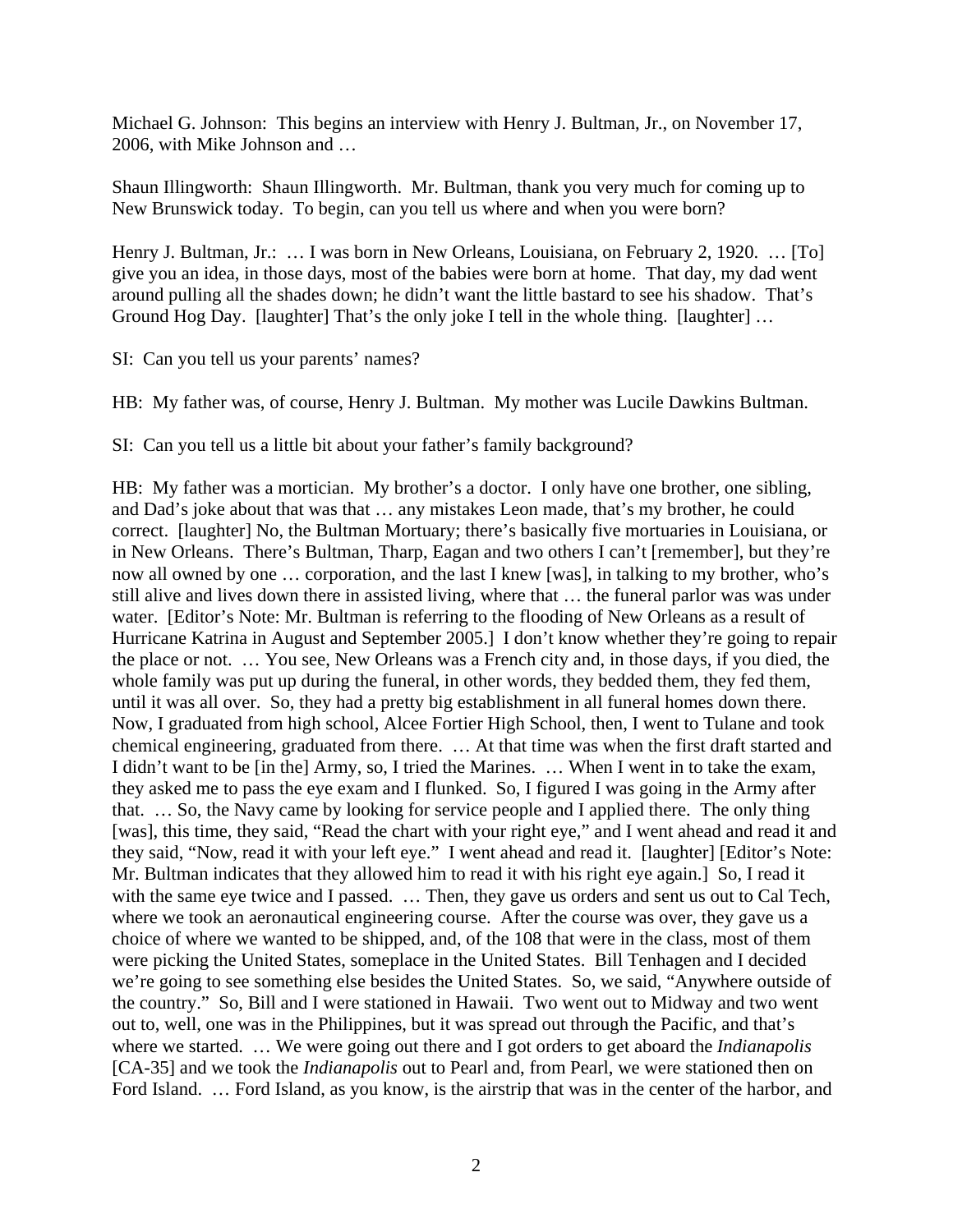Michael G. Johnson: This begins an interview with Henry J. Bultman, Jr., on November 17, 2006, with Mike Johnson and …

Shaun Illingworth: Shaun Illingworth. Mr. Bultman, thank you very much for coming up to New Brunswick today. To begin, can you tell us where and when you were born?

Henry J. Bultman, Jr.: … I was born in New Orleans, Louisiana, on February 2, 1920. … [To] give you an idea, in those days, most of the babies were born at home. That day, my dad went around pulling all the shades down; he didn't want the little bastard to see his shadow. That's Ground Hog Day. [laughter] That's the only joke I tell in the whole thing. [laughter] …

SI: Can you tell us your parents' names?

HB: My father was, of course, Henry J. Bultman. My mother was Lucile Dawkins Bultman.

SI: Can you tell us a little bit about your father's family background?

HB: My father was a mortician. My brother's a doctor. I only have one brother, one sibling, and Dad's joke about that was that … any mistakes Leon made, that's my brother, he could correct. [laughter] No, the Bultman Mortuary; there's basically five mortuaries in Louisiana, or in New Orleans. There's Bultman, Tharp, Eagan and two others I can't [remember], but they're now all owned by one … corporation, and the last I knew [was], in talking to my brother, who's still alive and lives down there in assisted living, where that … the funeral parlor was was under water. [Editor's Note: Mr. Bultman is referring to the flooding of New Orleans as a result of Hurricane Katrina in August and September 2005.] I don't know whether they're going to repair the place or not. … You see, New Orleans was a French city and, in those days, if you died, the whole family was put up during the funeral, in other words, they bedded them, they fed them, until it was all over. So, they had a pretty big establishment in all funeral homes down there. Now, I graduated from high school, Alcee Fortier High School, then, I went to Tulane and took chemical engineering, graduated from there. … At that time was when the first draft started and I didn't want to be [in the] Army, so, I tried the Marines. … When I went in to take the exam, they asked me to pass the eye exam and I flunked. So, I figured I was going in the Army after that. … So, the Navy came by looking for service people and I applied there. The only thing [was], this time, they said, "Read the chart with your right eye," and I went ahead and read it and they said, "Now, read it with your left eye." I went ahead and read it. [laughter] [Editor's Note: Mr. Bultman indicates that they allowed him to read it with his right eye again.] So, I read it with the same eye twice and I passed. ... Then, they gave us orders and sent us out to Cal Tech, where we took an aeronautical engineering course. After the course was over, they gave us a choice of where we wanted to be shipped, and, of the 108 that were in the class, most of them were picking the United States, someplace in the United States. Bill Tenhagen and I decided we're going to see something else besides the United States. So, we said, "Anywhere outside of the country." So, Bill and I were stationed in Hawaii. Two went out to Midway and two went out to, well, one was in the Philippines, but it was spread out through the Pacific, and that's where we started. … We were going out there and I got orders to get aboard the *Indianapolis* [CA-35] and we took the *Indianapolis* out to Pearl and, from Pearl, we were stationed then on Ford Island. … Ford Island, as you know, is the airstrip that was in the center of the harbor, and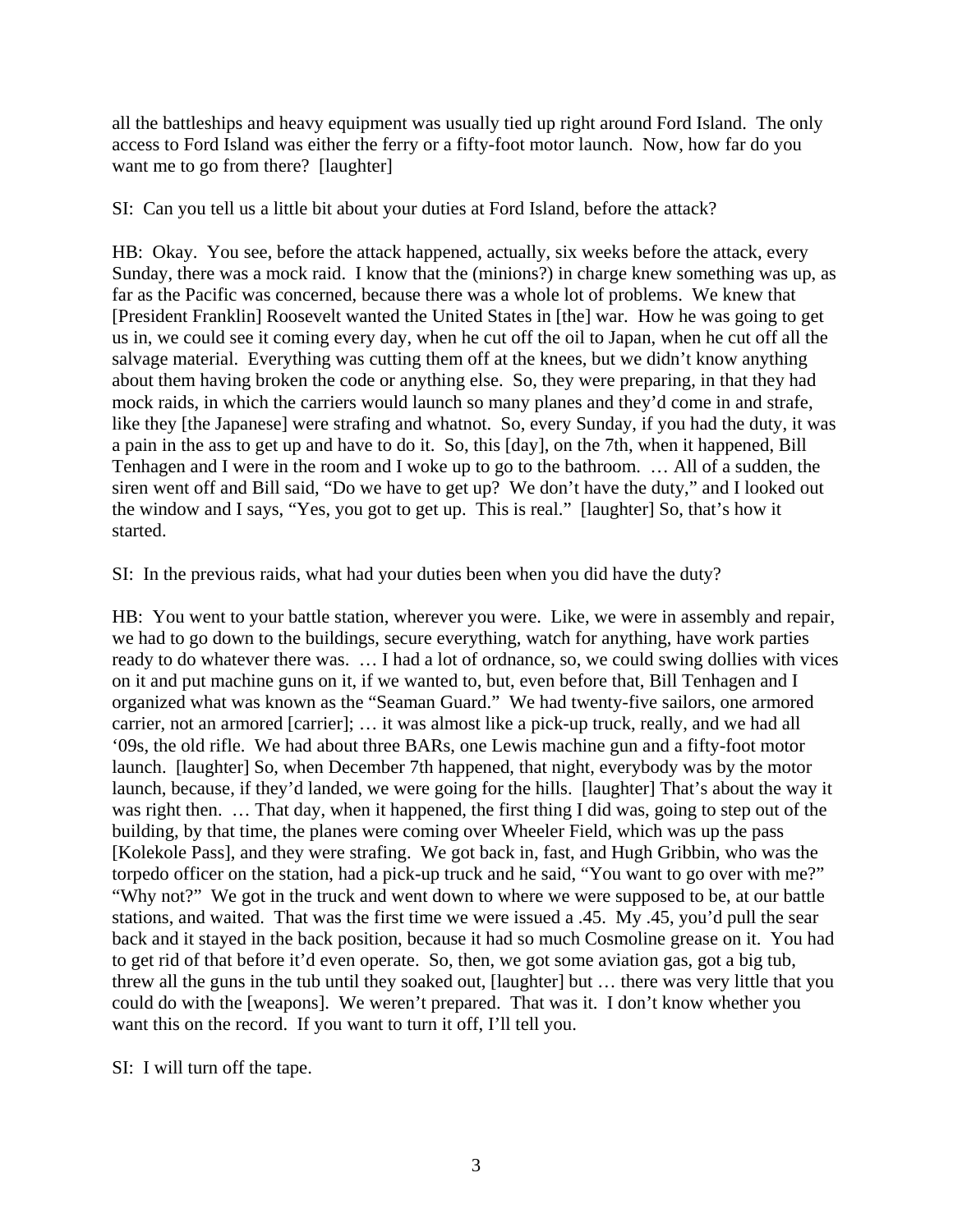all the battleships and heavy equipment was usually tied up right around Ford Island. The only access to Ford Island was either the ferry or a fifty-foot motor launch. Now, how far do you want me to go from there? [laughter]

SI: Can you tell us a little bit about your duties at Ford Island, before the attack?

HB: Okay. You see, before the attack happened, actually, six weeks before the attack, every Sunday, there was a mock raid. I know that the (minions?) in charge knew something was up, as far as the Pacific was concerned, because there was a whole lot of problems. We knew that [President Franklin] Roosevelt wanted the United States in [the] war. How he was going to get us in, we could see it coming every day, when he cut off the oil to Japan, when he cut off all the salvage material. Everything was cutting them off at the knees, but we didn't know anything about them having broken the code or anything else. So, they were preparing, in that they had mock raids, in which the carriers would launch so many planes and they'd come in and strafe, like they [the Japanese] were strafing and whatnot. So, every Sunday, if you had the duty, it was a pain in the ass to get up and have to do it. So, this [day], on the 7th, when it happened, Bill Tenhagen and I were in the room and I woke up to go to the bathroom. … All of a sudden, the siren went off and Bill said, "Do we have to get up? We don't have the duty," and I looked out the window and I says, "Yes, you got to get up. This is real." [laughter] So, that's how it started.

SI: In the previous raids, what had your duties been when you did have the duty?

HB: You went to your battle station, wherever you were. Like, we were in assembly and repair, we had to go down to the buildings, secure everything, watch for anything, have work parties ready to do whatever there was. … I had a lot of ordnance, so, we could swing dollies with vices on it and put machine guns on it, if we wanted to, but, even before that, Bill Tenhagen and I organized what was known as the "Seaman Guard." We had twenty-five sailors, one armored carrier, not an armored [carrier]; … it was almost like a pick-up truck, really, and we had all '09s, the old rifle. We had about three BARs, one Lewis machine gun and a fifty-foot motor launch. [laughter] So, when December 7th happened, that night, everybody was by the motor launch, because, if they'd landed, we were going for the hills. [laughter] That's about the way it was right then. … That day, when it happened, the first thing I did was, going to step out of the building, by that time, the planes were coming over Wheeler Field, which was up the pass [Kolekole Pass], and they were strafing. We got back in, fast, and Hugh Gribbin, who was the torpedo officer on the station, had a pick-up truck and he said, "You want to go over with me?" "Why not?" We got in the truck and went down to where we were supposed to be, at our battle stations, and waited. That was the first time we were issued a .45. My .45, you'd pull the sear back and it stayed in the back position, because it had so much Cosmoline grease on it. You had to get rid of that before it'd even operate. So, then, we got some aviation gas, got a big tub, threw all the guns in the tub until they soaked out, [laughter] but … there was very little that you could do with the [weapons]. We weren't prepared. That was it. I don't know whether you want this on the record. If you want to turn it off, I'll tell you.

SI: I will turn off the tape.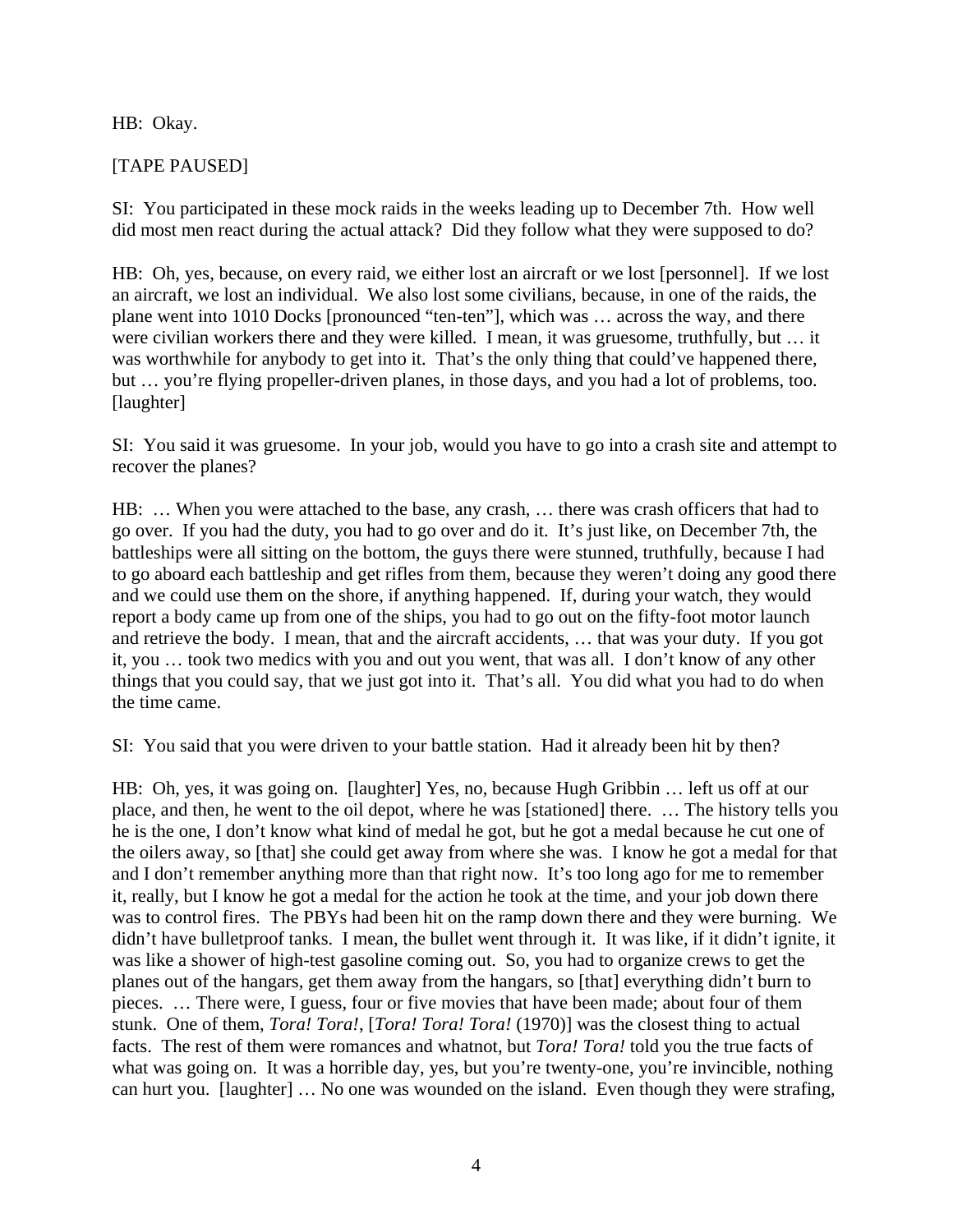# HB: Okay.

# [TAPE PAUSED]

SI: You participated in these mock raids in the weeks leading up to December 7th. How well did most men react during the actual attack? Did they follow what they were supposed to do?

HB: Oh, yes, because, on every raid, we either lost an aircraft or we lost [personnel]. If we lost an aircraft, we lost an individual. We also lost some civilians, because, in one of the raids, the plane went into 1010 Docks [pronounced "ten-ten"], which was … across the way, and there were civilian workers there and they were killed. I mean, it was gruesome, truthfully, but … it was worthwhile for anybody to get into it. That's the only thing that could've happened there, but … you're flying propeller-driven planes, in those days, and you had a lot of problems, too. [laughter]

SI: You said it was gruesome. In your job, would you have to go into a crash site and attempt to recover the planes?

HB: … When you were attached to the base, any crash, … there was crash officers that had to go over. If you had the duty, you had to go over and do it. It's just like, on December 7th, the battleships were all sitting on the bottom, the guys there were stunned, truthfully, because I had to go aboard each battleship and get rifles from them, because they weren't doing any good there and we could use them on the shore, if anything happened. If, during your watch, they would report a body came up from one of the ships, you had to go out on the fifty-foot motor launch and retrieve the body. I mean, that and the aircraft accidents, … that was your duty. If you got it, you … took two medics with you and out you went, that was all. I don't know of any other things that you could say, that we just got into it. That's all. You did what you had to do when the time came.

SI: You said that you were driven to your battle station. Had it already been hit by then?

HB: Oh, yes, it was going on. [laughter] Yes, no, because Hugh Gribbin … left us off at our place, and then, he went to the oil depot, where he was [stationed] there. … The history tells you he is the one, I don't know what kind of medal he got, but he got a medal because he cut one of the oilers away, so [that] she could get away from where she was. I know he got a medal for that and I don't remember anything more than that right now. It's too long ago for me to remember it, really, but I know he got a medal for the action he took at the time, and your job down there was to control fires. The PBYs had been hit on the ramp down there and they were burning. We didn't have bulletproof tanks. I mean, the bullet went through it. It was like, if it didn't ignite, it was like a shower of high-test gasoline coming out. So, you had to organize crews to get the planes out of the hangars, get them away from the hangars, so [that] everything didn't burn to pieces. … There were, I guess, four or five movies that have been made; about four of them stunk. One of them, *Tora! Tora!*, [*Tora! Tora! Tora!* (1970)] was the closest thing to actual facts. The rest of them were romances and whatnot, but *Tora! Tora!* told you the true facts of what was going on. It was a horrible day, yes, but you're twenty-one, you're invincible, nothing can hurt you. [laughter] … No one was wounded on the island. Even though they were strafing,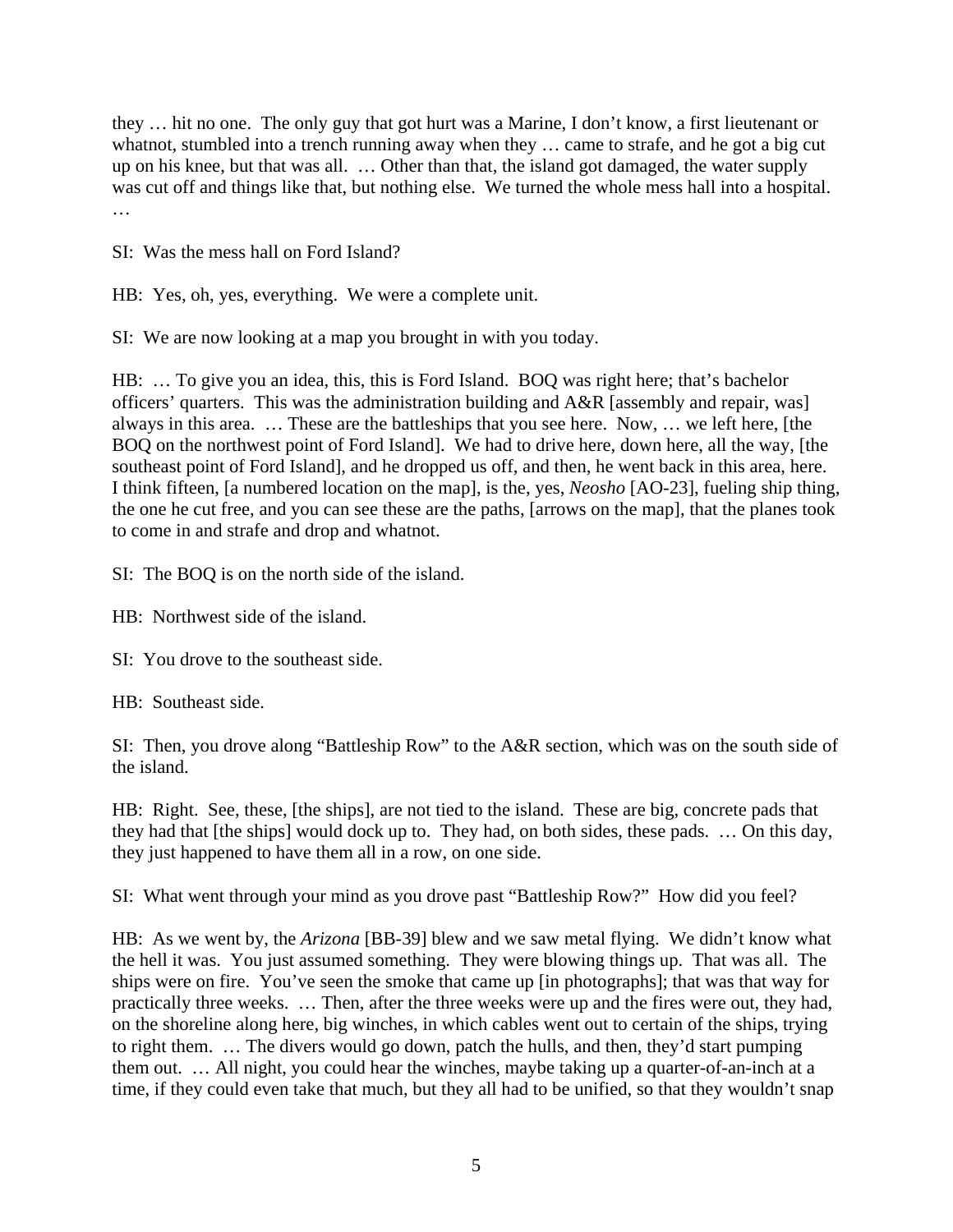they … hit no one. The only guy that got hurt was a Marine, I don't know, a first lieutenant or whatnot, stumbled into a trench running away when they … came to strafe, and he got a big cut up on his knee, but that was all. … Other than that, the island got damaged, the water supply was cut off and things like that, but nothing else. We turned the whole mess hall into a hospital. …

SI: Was the mess hall on Ford Island?

HB: Yes, oh, yes, everything. We were a complete unit.

SI: We are now looking at a map you brought in with you today.

HB: … To give you an idea, this, this is Ford Island. BOQ was right here; that's bachelor officers' quarters. This was the administration building and A&R [assembly and repair, was] always in this area. … These are the battleships that you see here. Now, … we left here, [the BOQ on the northwest point of Ford Island]. We had to drive here, down here, all the way, [the southeast point of Ford Island], and he dropped us off, and then, he went back in this area, here. I think fifteen, [a numbered location on the map], is the, yes, *Neosho* [AO-23], fueling ship thing, the one he cut free, and you can see these are the paths, [arrows on the map], that the planes took to come in and strafe and drop and whatnot.

SI: The BOQ is on the north side of the island.

- HB: Northwest side of the island.
- SI: You drove to the southeast side.

HB: Southeast side.

SI: Then, you drove along "Battleship Row" to the A&R section, which was on the south side of the island.

HB: Right. See, these, [the ships], are not tied to the island. These are big, concrete pads that they had that [the ships] would dock up to. They had, on both sides, these pads. … On this day, they just happened to have them all in a row, on one side.

SI: What went through your mind as you drove past "Battleship Row?" How did you feel?

HB: As we went by, the *Arizona* [BB-39] blew and we saw metal flying. We didn't know what the hell it was. You just assumed something. They were blowing things up. That was all. The ships were on fire. You've seen the smoke that came up [in photographs]; that was that way for practically three weeks. … Then, after the three weeks were up and the fires were out, they had, on the shoreline along here, big winches, in which cables went out to certain of the ships, trying to right them. … The divers would go down, patch the hulls, and then, they'd start pumping them out. … All night, you could hear the winches, maybe taking up a quarter-of-an-inch at a time, if they could even take that much, but they all had to be unified, so that they wouldn't snap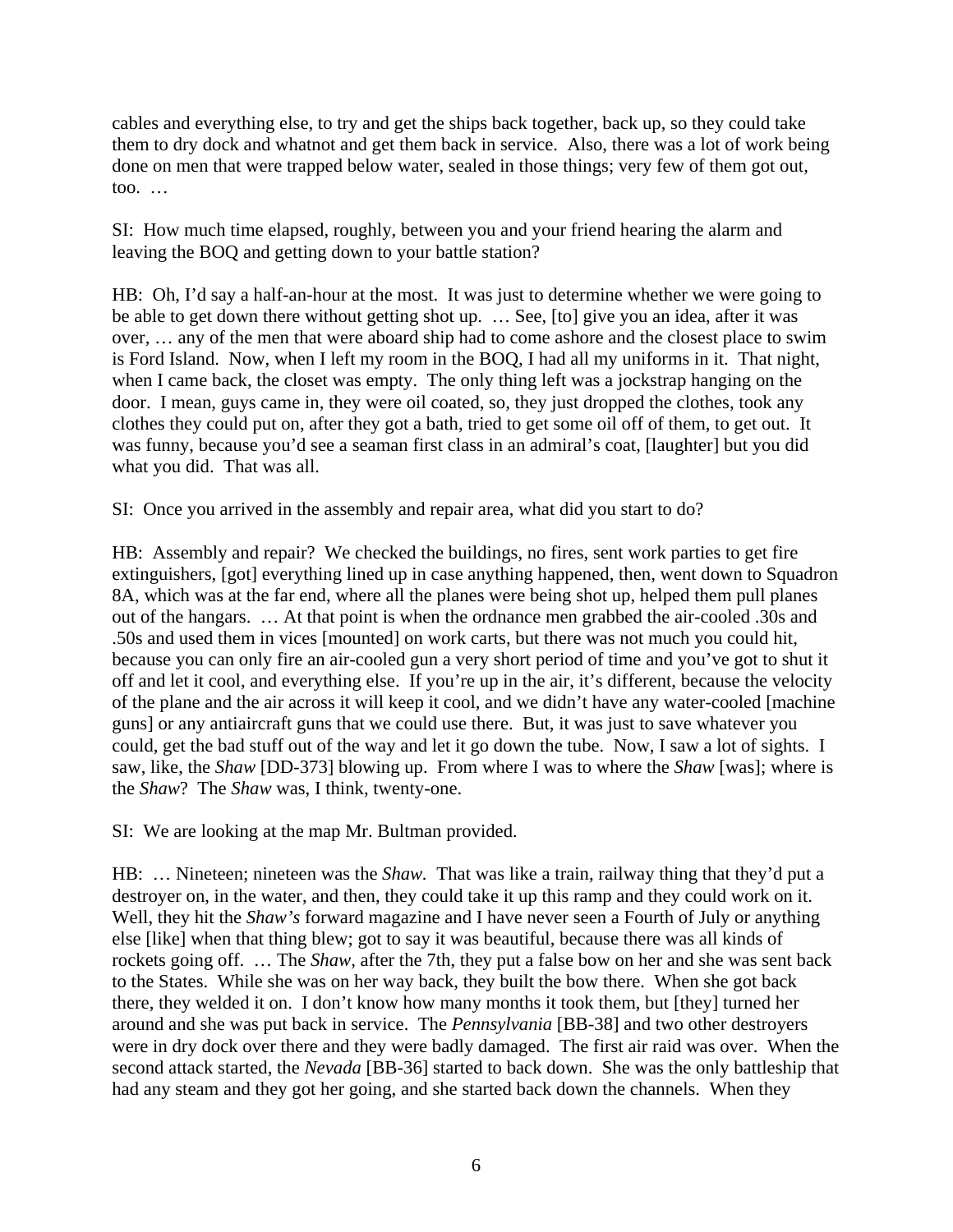cables and everything else, to try and get the ships back together, back up, so they could take them to dry dock and whatnot and get them back in service. Also, there was a lot of work being done on men that were trapped below water, sealed in those things; very few of them got out, too. …

SI: How much time elapsed, roughly, between you and your friend hearing the alarm and leaving the BOQ and getting down to your battle station?

HB: Oh, I'd say a half-an-hour at the most. It was just to determine whether we were going to be able to get down there without getting shot up. … See, [to] give you an idea, after it was over, … any of the men that were aboard ship had to come ashore and the closest place to swim is Ford Island. Now, when I left my room in the BOQ, I had all my uniforms in it. That night, when I came back, the closet was empty. The only thing left was a jockstrap hanging on the door. I mean, guys came in, they were oil coated, so, they just dropped the clothes, took any clothes they could put on, after they got a bath, tried to get some oil off of them, to get out. It was funny, because you'd see a seaman first class in an admiral's coat, [laughter] but you did what you did. That was all.

SI: Once you arrived in the assembly and repair area, what did you start to do?

HB: Assembly and repair? We checked the buildings, no fires, sent work parties to get fire extinguishers, [got] everything lined up in case anything happened, then, went down to Squadron 8A, which was at the far end, where all the planes were being shot up, helped them pull planes out of the hangars. … At that point is when the ordnance men grabbed the air-cooled .30s and .50s and used them in vices [mounted] on work carts, but there was not much you could hit, because you can only fire an air-cooled gun a very short period of time and you've got to shut it off and let it cool, and everything else. If you're up in the air, it's different, because the velocity of the plane and the air across it will keep it cool, and we didn't have any water-cooled [machine guns] or any antiaircraft guns that we could use there. But, it was just to save whatever you could, get the bad stuff out of the way and let it go down the tube. Now, I saw a lot of sights. I saw, like, the *Shaw* [DD-373] blowing up. From where I was to where the *Shaw* [was]; where is the *Shaw*? The *Shaw* was, I think, twenty-one.

SI: We are looking at the map Mr. Bultman provided.

HB: … Nineteen; nineteen was the *Shaw.* That was like a train, railway thing that they'd put a destroyer on, in the water, and then, they could take it up this ramp and they could work on it. Well, they hit the *Shaw's* forward magazine and I have never seen a Fourth of July or anything else [like] when that thing blew; got to say it was beautiful, because there was all kinds of rockets going off. … The *Shaw,* after the 7th, they put a false bow on her and she was sent back to the States. While she was on her way back, they built the bow there. When she got back there, they welded it on. I don't know how many months it took them, but [they] turned her around and she was put back in service. The *Pennsylvania* [BB-38] and two other destroyers were in dry dock over there and they were badly damaged. The first air raid was over. When the second attack started, the *Nevada* [BB-36] started to back down. She was the only battleship that had any steam and they got her going, and she started back down the channels. When they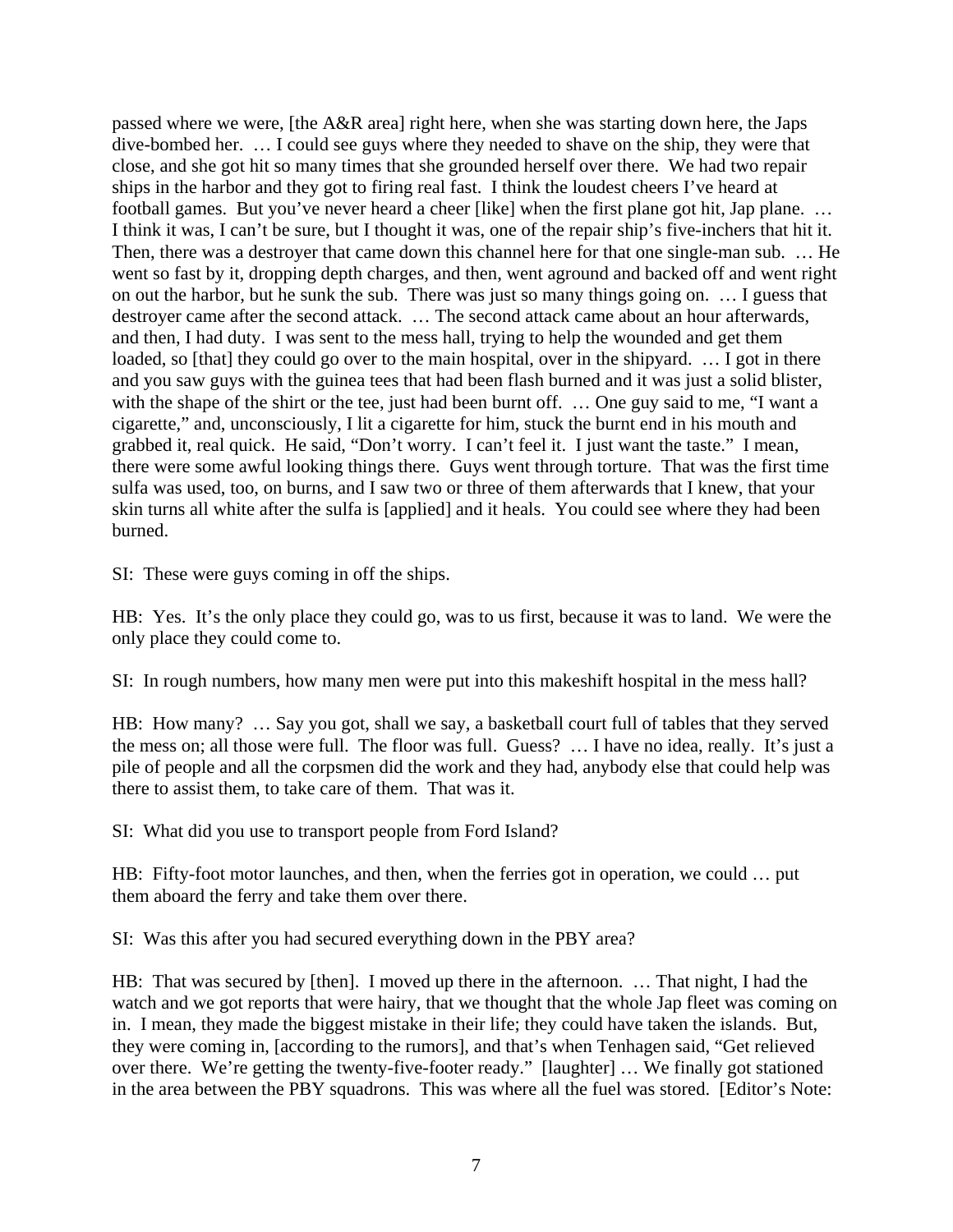passed where we were, [the A&R area] right here, when she was starting down here, the Japs dive-bombed her. … I could see guys where they needed to shave on the ship, they were that close, and she got hit so many times that she grounded herself over there. We had two repair ships in the harbor and they got to firing real fast. I think the loudest cheers I've heard at football games. But you've never heard a cheer [like] when the first plane got hit, Jap plane. … I think it was, I can't be sure, but I thought it was, one of the repair ship's five-inchers that hit it. Then, there was a destroyer that came down this channel here for that one single-man sub. … He went so fast by it, dropping depth charges, and then, went aground and backed off and went right on out the harbor, but he sunk the sub. There was just so many things going on. … I guess that destroyer came after the second attack. … The second attack came about an hour afterwards, and then, I had duty. I was sent to the mess hall, trying to help the wounded and get them loaded, so [that] they could go over to the main hospital, over in the shipyard. ... I got in there and you saw guys with the guinea tees that had been flash burned and it was just a solid blister, with the shape of the shirt or the tee, just had been burnt off. ... One guy said to me, "I want a cigarette," and, unconsciously, I lit a cigarette for him, stuck the burnt end in his mouth and grabbed it, real quick. He said, "Don't worry. I can't feel it. I just want the taste." I mean, there were some awful looking things there. Guys went through torture. That was the first time sulfa was used, too, on burns, and I saw two or three of them afterwards that I knew, that your skin turns all white after the sulfa is [applied] and it heals. You could see where they had been burned.

SI: These were guys coming in off the ships.

HB: Yes. It's the only place they could go, was to us first, because it was to land. We were the only place they could come to.

SI: In rough numbers, how many men were put into this makeshift hospital in the mess hall?

HB: How many? … Say you got, shall we say, a basketball court full of tables that they served the mess on; all those were full. The floor was full. Guess? … I have no idea, really. It's just a pile of people and all the corpsmen did the work and they had, anybody else that could help was there to assist them, to take care of them. That was it.

SI: What did you use to transport people from Ford Island?

HB: Fifty-foot motor launches, and then, when the ferries got in operation, we could … put them aboard the ferry and take them over there.

SI: Was this after you had secured everything down in the PBY area?

HB: That was secured by [then]. I moved up there in the afternoon. … That night, I had the watch and we got reports that were hairy, that we thought that the whole Jap fleet was coming on in. I mean, they made the biggest mistake in their life; they could have taken the islands. But, they were coming in, [according to the rumors], and that's when Tenhagen said, "Get relieved over there. We're getting the twenty-five-footer ready." [laughter] … We finally got stationed in the area between the PBY squadrons. This was where all the fuel was stored. [Editor's Note: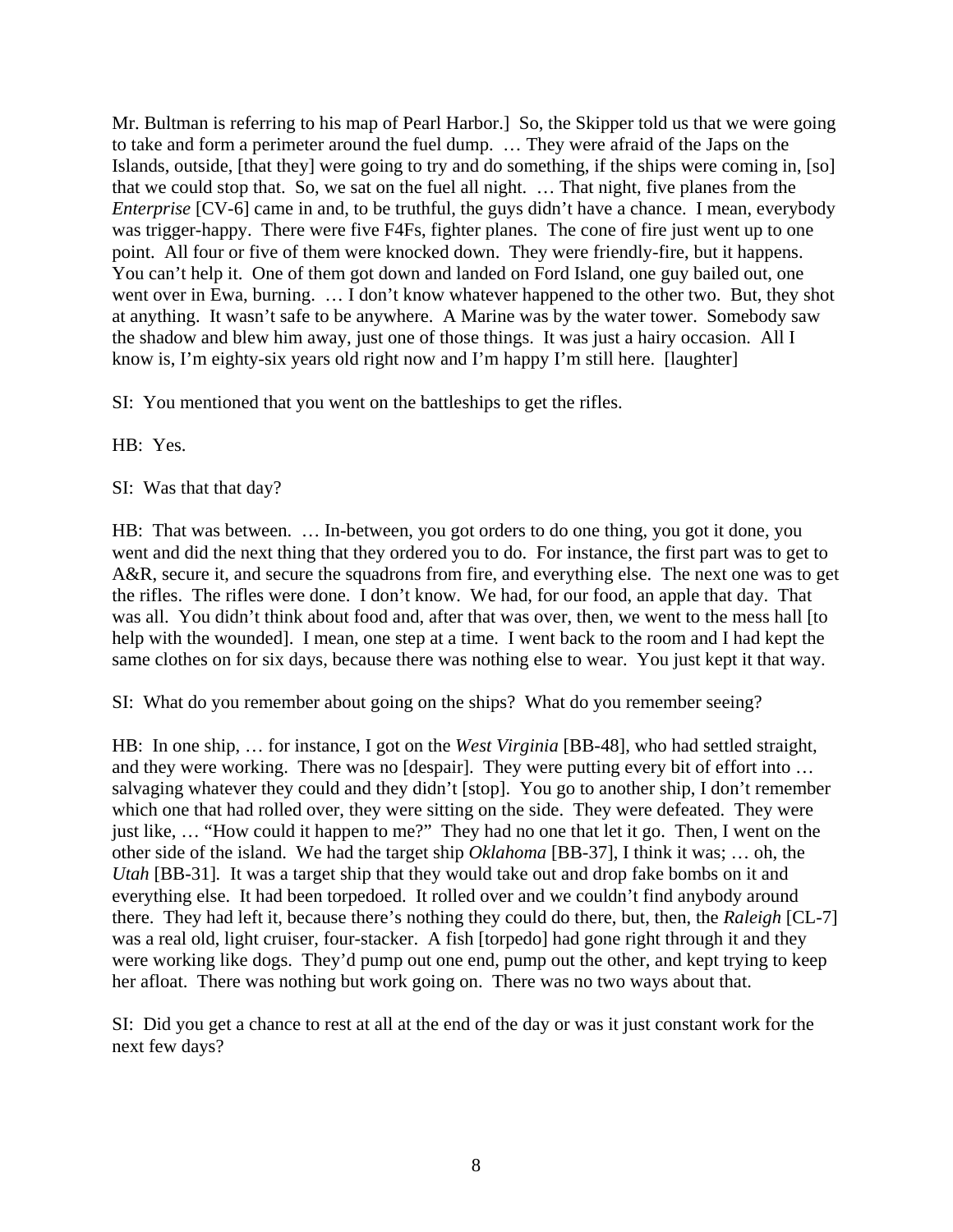Mr. Bultman is referring to his map of Pearl Harbor.] So, the Skipper told us that we were going to take and form a perimeter around the fuel dump. … They were afraid of the Japs on the Islands, outside, [that they] were going to try and do something, if the ships were coming in, [so] that we could stop that. So, we sat on the fuel all night. … That night, five planes from the *Enterprise* [CV-6] came in and, to be truthful, the guys didn't have a chance. I mean, everybody was trigger-happy. There were five F4Fs, fighter planes. The cone of fire just went up to one point. All four or five of them were knocked down. They were friendly-fire, but it happens. You can't help it. One of them got down and landed on Ford Island, one guy bailed out, one went over in Ewa, burning. … I don't know whatever happened to the other two. But, they shot at anything. It wasn't safe to be anywhere. A Marine was by the water tower. Somebody saw the shadow and blew him away, just one of those things. It was just a hairy occasion. All I know is, I'm eighty-six years old right now and I'm happy I'm still here. [laughter]

SI: You mentioned that you went on the battleships to get the rifles.

HB: Yes.

SI: Was that that day?

HB: That was between. … In-between, you got orders to do one thing, you got it done, you went and did the next thing that they ordered you to do. For instance, the first part was to get to A&R, secure it, and secure the squadrons from fire, and everything else. The next one was to get the rifles. The rifles were done. I don't know. We had, for our food, an apple that day. That was all. You didn't think about food and, after that was over, then, we went to the mess hall [to help with the wounded]. I mean, one step at a time. I went back to the room and I had kept the same clothes on for six days, because there was nothing else to wear. You just kept it that way.

SI: What do you remember about going on the ships? What do you remember seeing?

HB: In one ship, … for instance, I got on the *West Virginia* [BB-48], who had settled straight, and they were working. There was no [despair]. They were putting every bit of effort into … salvaging whatever they could and they didn't [stop]. You go to another ship, I don't remember which one that had rolled over, they were sitting on the side. They were defeated. They were just like, … "How could it happen to me?" They had no one that let it go. Then, I went on the other side of the island. We had the target ship *Oklahoma* [BB-37], I think it was; … oh, the *Utah* [BB-31]*.* It was a target ship that they would take out and drop fake bombs on it and everything else. It had been torpedoed. It rolled over and we couldn't find anybody around there. They had left it, because there's nothing they could do there, but, then, the *Raleigh* [CL-7] was a real old, light cruiser, four-stacker. A fish [torpedo] had gone right through it and they were working like dogs. They'd pump out one end, pump out the other, and kept trying to keep her afloat. There was nothing but work going on. There was no two ways about that.

SI: Did you get a chance to rest at all at the end of the day or was it just constant work for the next few days?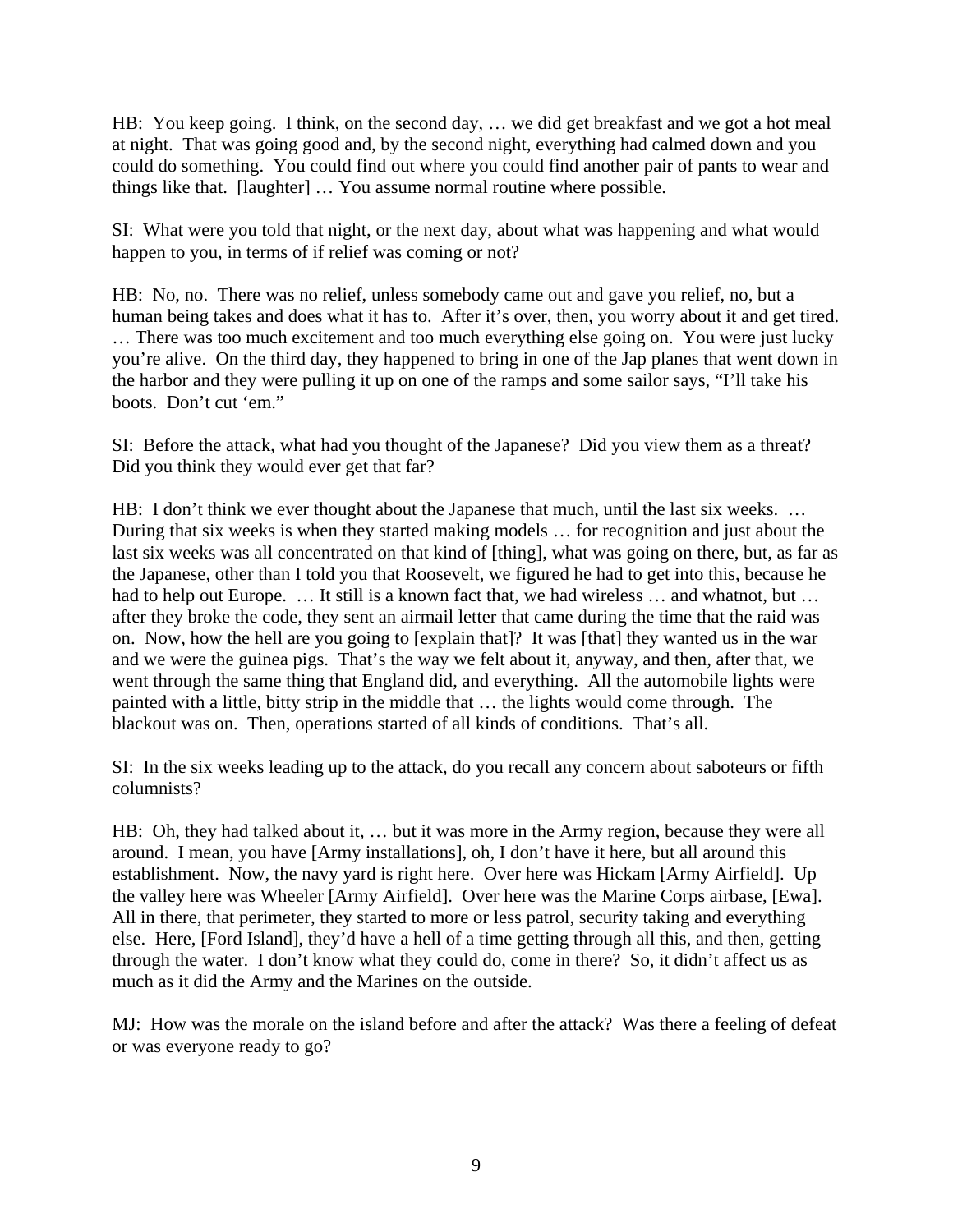HB: You keep going. I think, on the second day, … we did get breakfast and we got a hot meal at night. That was going good and, by the second night, everything had calmed down and you could do something. You could find out where you could find another pair of pants to wear and things like that. [laughter] … You assume normal routine where possible.

SI: What were you told that night, or the next day, about what was happening and what would happen to you, in terms of if relief was coming or not?

HB: No, no. There was no relief, unless somebody came out and gave you relief, no, but a human being takes and does what it has to. After it's over, then, you worry about it and get tired. … There was too much excitement and too much everything else going on. You were just lucky you're alive. On the third day, they happened to bring in one of the Jap planes that went down in the harbor and they were pulling it up on one of the ramps and some sailor says, "I'll take his boots. Don't cut 'em."

SI: Before the attack, what had you thought of the Japanese? Did you view them as a threat? Did you think they would ever get that far?

HB: I don't think we ever thought about the Japanese that much, until the last six weeks. … During that six weeks is when they started making models … for recognition and just about the last six weeks was all concentrated on that kind of [thing], what was going on there, but, as far as the Japanese, other than I told you that Roosevelt, we figured he had to get into this, because he had to help out Europe. ... It still is a known fact that, we had wireless ... and whatnot, but ... after they broke the code, they sent an airmail letter that came during the time that the raid was on. Now, how the hell are you going to [explain that]? It was [that] they wanted us in the war and we were the guinea pigs. That's the way we felt about it, anyway, and then, after that, we went through the same thing that England did, and everything. All the automobile lights were painted with a little, bitty strip in the middle that … the lights would come through. The blackout was on. Then, operations started of all kinds of conditions. That's all.

SI: In the six weeks leading up to the attack, do you recall any concern about saboteurs or fifth columnists?

HB: Oh, they had talked about it, ... but it was more in the Army region, because they were all around. I mean, you have [Army installations], oh, I don't have it here, but all around this establishment. Now, the navy yard is right here. Over here was Hickam [Army Airfield]. Up the valley here was Wheeler [Army Airfield]. Over here was the Marine Corps airbase, [Ewa]. All in there, that perimeter, they started to more or less patrol, security taking and everything else. Here, [Ford Island], they'd have a hell of a time getting through all this, and then, getting through the water. I don't know what they could do, come in there? So, it didn't affect us as much as it did the Army and the Marines on the outside.

MJ: How was the morale on the island before and after the attack? Was there a feeling of defeat or was everyone ready to go?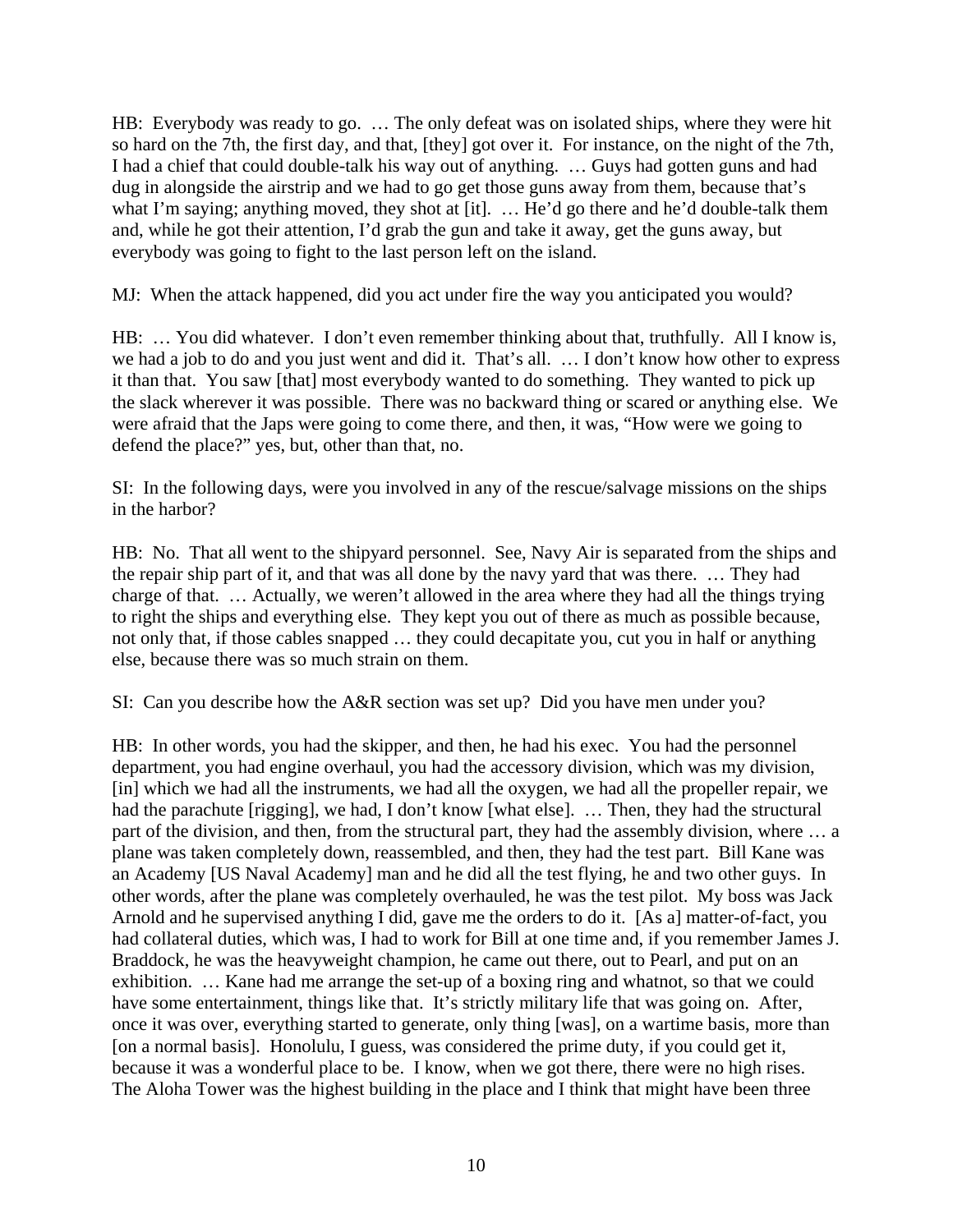HB: Everybody was ready to go. … The only defeat was on isolated ships, where they were hit so hard on the 7th, the first day, and that, [they] got over it. For instance, on the night of the 7th, I had a chief that could double-talk his way out of anything. … Guys had gotten guns and had dug in alongside the airstrip and we had to go get those guns away from them, because that's what I'm saying; anything moved, they shot at [it]. ... He'd go there and he'd double-talk them and, while he got their attention, I'd grab the gun and take it away, get the guns away, but everybody was going to fight to the last person left on the island.

MJ: When the attack happened, did you act under fire the way you anticipated you would?

HB: ... You did whatever. I don't even remember thinking about that, truthfully. All I know is, we had a job to do and you just went and did it. That's all. … I don't know how other to express it than that. You saw [that] most everybody wanted to do something. They wanted to pick up the slack wherever it was possible. There was no backward thing or scared or anything else. We were afraid that the Japs were going to come there, and then, it was, "How were we going to defend the place?" yes, but, other than that, no.

SI: In the following days, were you involved in any of the rescue/salvage missions on the ships in the harbor?

HB: No. That all went to the shipyard personnel. See, Navy Air is separated from the ships and the repair ship part of it, and that was all done by the navy yard that was there. … They had charge of that. … Actually, we weren't allowed in the area where they had all the things trying to right the ships and everything else. They kept you out of there as much as possible because, not only that, if those cables snapped … they could decapitate you, cut you in half or anything else, because there was so much strain on them.

SI: Can you describe how the A&R section was set up? Did you have men under you?

HB: In other words, you had the skipper, and then, he had his exec. You had the personnel department, you had engine overhaul, you had the accessory division, which was my division, [in] which we had all the instruments, we had all the oxygen, we had all the propeller repair, we had the parachute [rigging], we had, I don't know [what else]. ... Then, they had the structural part of the division, and then, from the structural part, they had the assembly division, where … a plane was taken completely down, reassembled, and then, they had the test part. Bill Kane was an Academy [US Naval Academy] man and he did all the test flying, he and two other guys. In other words, after the plane was completely overhauled, he was the test pilot. My boss was Jack Arnold and he supervised anything I did, gave me the orders to do it. [As a] matter-of-fact, you had collateral duties, which was, I had to work for Bill at one time and, if you remember James J. Braddock, he was the heavyweight champion, he came out there, out to Pearl, and put on an exhibition. … Kane had me arrange the set-up of a boxing ring and whatnot, so that we could have some entertainment, things like that. It's strictly military life that was going on. After, once it was over, everything started to generate, only thing [was], on a wartime basis, more than [on a normal basis]. Honolulu, I guess, was considered the prime duty, if you could get it, because it was a wonderful place to be. I know, when we got there, there were no high rises. The Aloha Tower was the highest building in the place and I think that might have been three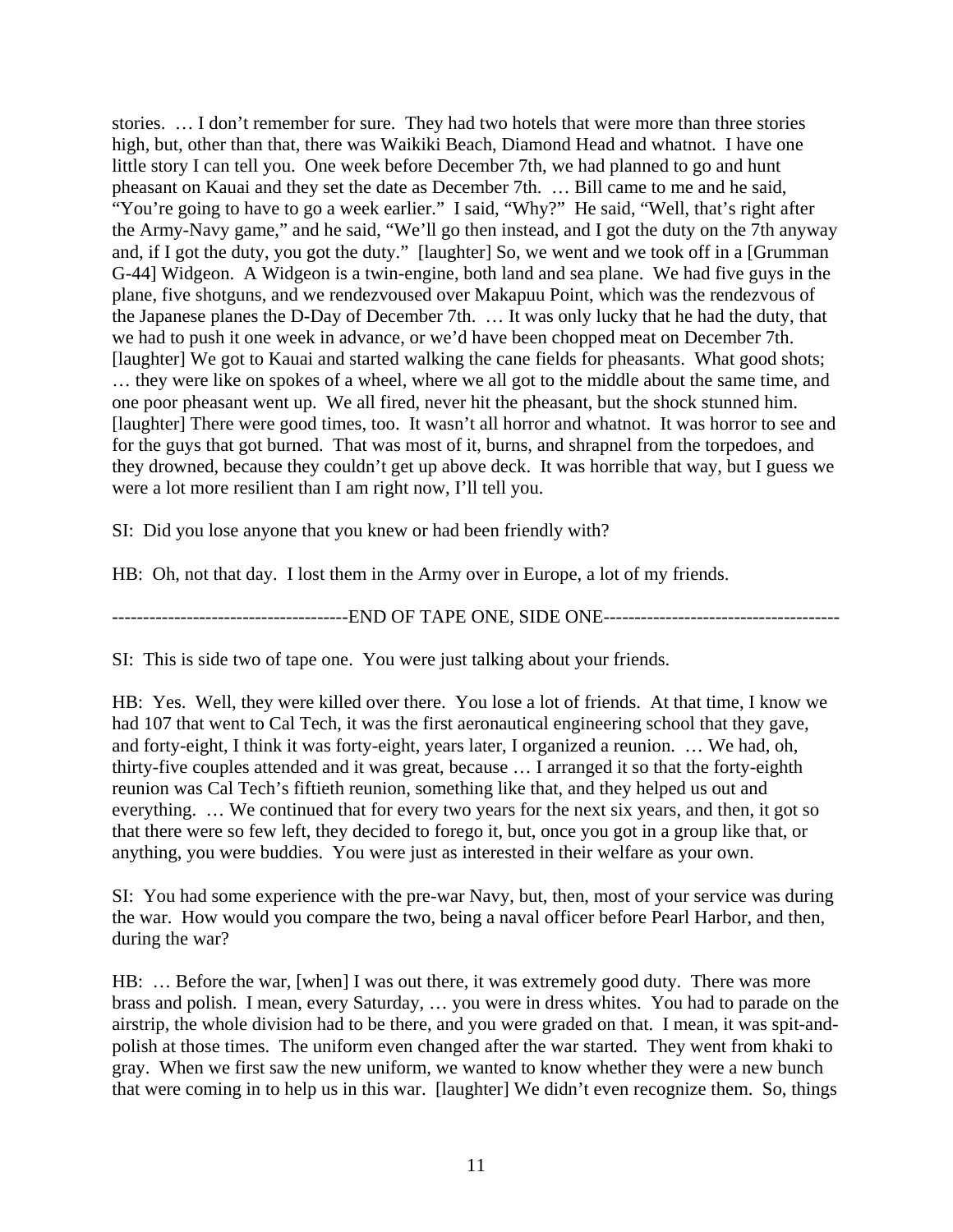stories. … I don't remember for sure. They had two hotels that were more than three stories high, but, other than that, there was Waikiki Beach, Diamond Head and whatnot. I have one little story I can tell you. One week before December 7th, we had planned to go and hunt pheasant on Kauai and they set the date as December 7th. … Bill came to me and he said, "You're going to have to go a week earlier." I said, "Why?" He said, "Well, that's right after the Army-Navy game," and he said, "We'll go then instead, and I got the duty on the 7th anyway and, if I got the duty, you got the duty." [laughter] So, we went and we took off in a [Grumman G-44] Widgeon. A Widgeon is a twin-engine, both land and sea plane. We had five guys in the plane, five shotguns, and we rendezvoused over Makapuu Point, which was the rendezvous of the Japanese planes the D-Day of December 7th. … It was only lucky that he had the duty, that we had to push it one week in advance, or we'd have been chopped meat on December 7th. [laughter] We got to Kauai and started walking the cane fields for pheasants. What good shots; … they were like on spokes of a wheel, where we all got to the middle about the same time, and one poor pheasant went up. We all fired, never hit the pheasant, but the shock stunned him. [laughter] There were good times, too. It wasn't all horror and whatnot. It was horror to see and for the guys that got burned. That was most of it, burns, and shrapnel from the torpedoes, and they drowned, because they couldn't get up above deck. It was horrible that way, but I guess we were a lot more resilient than I am right now, I'll tell you.

SI: Did you lose anyone that you knew or had been friendly with?

HB: Oh, not that day. I lost them in the Army over in Europe, a lot of my friends.

--------------------------------------END OF TAPE ONE, SIDE ONE--------------------------------------

SI: This is side two of tape one. You were just talking about your friends.

HB: Yes. Well, they were killed over there. You lose a lot of friends. At that time, I know we had 107 that went to Cal Tech, it was the first aeronautical engineering school that they gave, and forty-eight, I think it was forty-eight, years later, I organized a reunion. … We had, oh, thirty-five couples attended and it was great, because … I arranged it so that the forty-eighth reunion was Cal Tech's fiftieth reunion, something like that, and they helped us out and everything. … We continued that for every two years for the next six years, and then, it got so that there were so few left, they decided to forego it, but, once you got in a group like that, or anything, you were buddies. You were just as interested in their welfare as your own.

SI: You had some experience with the pre-war Navy, but, then, most of your service was during the war. How would you compare the two, being a naval officer before Pearl Harbor, and then, during the war?

HB: … Before the war, [when] I was out there, it was extremely good duty. There was more brass and polish. I mean, every Saturday, … you were in dress whites. You had to parade on the airstrip, the whole division had to be there, and you were graded on that. I mean, it was spit-andpolish at those times. The uniform even changed after the war started. They went from khaki to gray. When we first saw the new uniform, we wanted to know whether they were a new bunch that were coming in to help us in this war. [laughter] We didn't even recognize them. So, things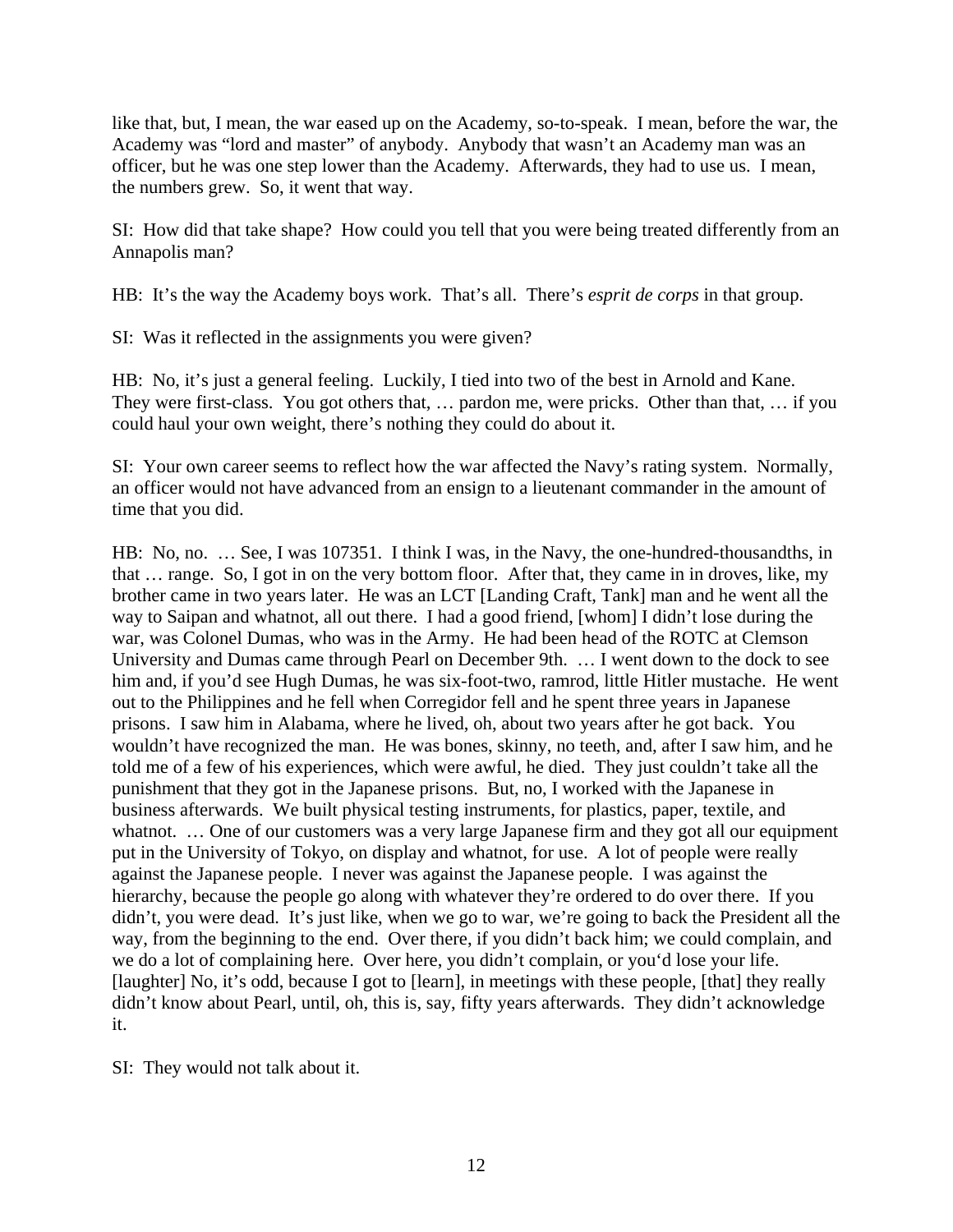like that, but, I mean, the war eased up on the Academy, so-to-speak. I mean, before the war, the Academy was "lord and master" of anybody. Anybody that wasn't an Academy man was an officer, but he was one step lower than the Academy. Afterwards, they had to use us. I mean, the numbers grew. So, it went that way.

SI: How did that take shape? How could you tell that you were being treated differently from an Annapolis man?

HB: It's the way the Academy boys work. That's all. There's *esprit de corps* in that group.

SI: Was it reflected in the assignments you were given?

HB: No, it's just a general feeling. Luckily, I tied into two of the best in Arnold and Kane. They were first-class. You got others that, … pardon me, were pricks. Other than that, … if you could haul your own weight, there's nothing they could do about it.

SI: Your own career seems to reflect how the war affected the Navy's rating system. Normally, an officer would not have advanced from an ensign to a lieutenant commander in the amount of time that you did.

HB: No, no. … See, I was 107351. I think I was, in the Navy, the one-hundred-thousandths, in that … range. So, I got in on the very bottom floor. After that, they came in in droves, like, my brother came in two years later. He was an LCT [Landing Craft, Tank] man and he went all the way to Saipan and whatnot, all out there. I had a good friend, [whom] I didn't lose during the war, was Colonel Dumas, who was in the Army. He had been head of the ROTC at Clemson University and Dumas came through Pearl on December 9th. … I went down to the dock to see him and, if you'd see Hugh Dumas, he was six-foot-two, ramrod, little Hitler mustache. He went out to the Philippines and he fell when Corregidor fell and he spent three years in Japanese prisons. I saw him in Alabama, where he lived, oh, about two years after he got back. You wouldn't have recognized the man. He was bones, skinny, no teeth, and, after I saw him, and he told me of a few of his experiences, which were awful, he died. They just couldn't take all the punishment that they got in the Japanese prisons. But, no, I worked with the Japanese in business afterwards. We built physical testing instruments, for plastics, paper, textile, and whatnot. ... One of our customers was a very large Japanese firm and they got all our equipment put in the University of Tokyo, on display and whatnot, for use. A lot of people were really against the Japanese people. I never was against the Japanese people. I was against the hierarchy, because the people go along with whatever they're ordered to do over there. If you didn't, you were dead. It's just like, when we go to war, we're going to back the President all the way, from the beginning to the end. Over there, if you didn't back him; we could complain, and we do a lot of complaining here. Over here, you didn't complain, or you'd lose your life. [laughter] No, it's odd, because I got to [learn], in meetings with these people, [that] they really didn't know about Pearl, until, oh, this is, say, fifty years afterwards. They didn't acknowledge it.

SI: They would not talk about it.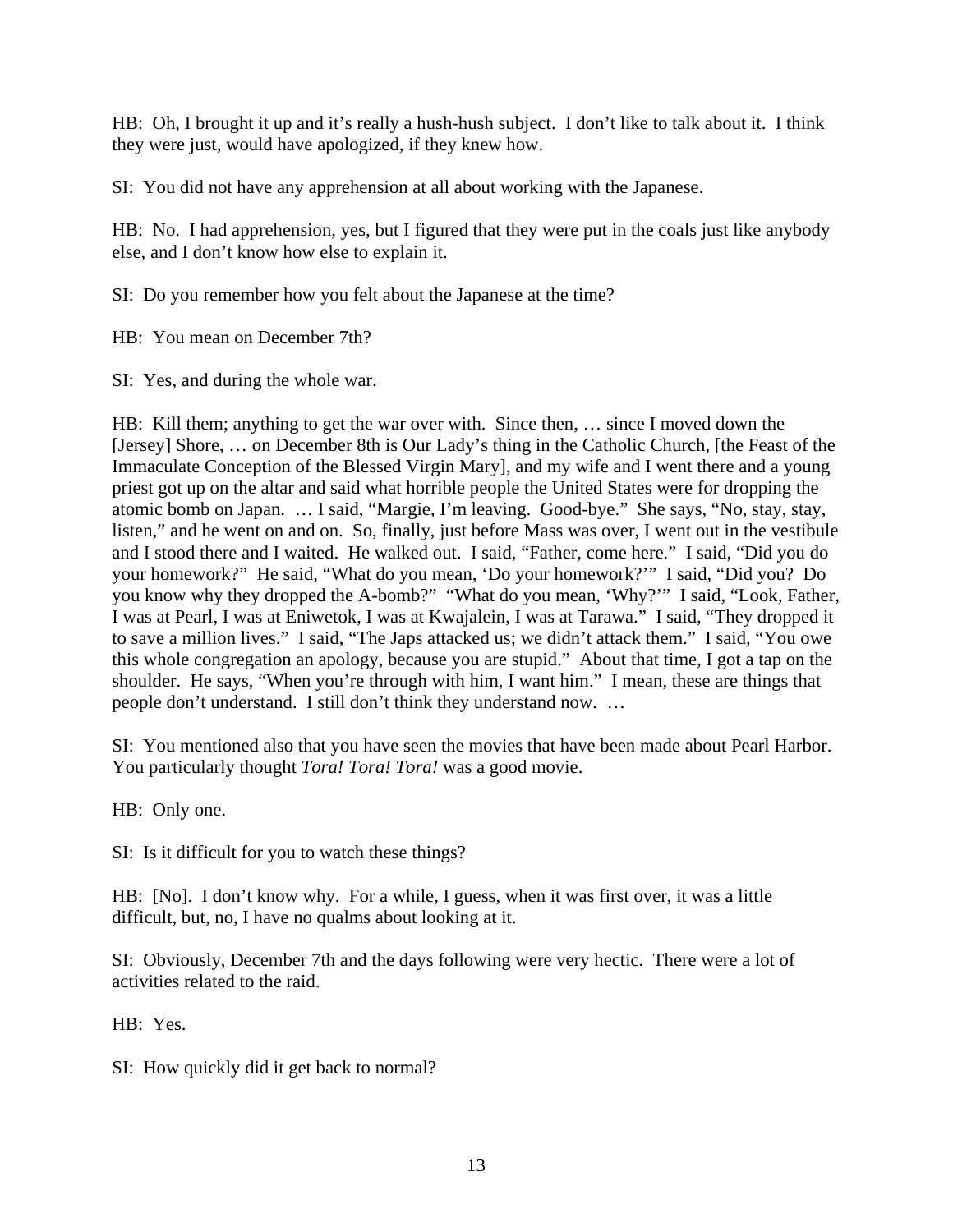HB: Oh, I brought it up and it's really a hush-hush subject. I don't like to talk about it. I think they were just, would have apologized, if they knew how.

SI: You did not have any apprehension at all about working with the Japanese.

HB: No. I had apprehension, yes, but I figured that they were put in the coals just like anybody else, and I don't know how else to explain it.

SI: Do you remember how you felt about the Japanese at the time?

HB: You mean on December 7th?

SI: Yes, and during the whole war.

HB: Kill them; anything to get the war over with. Since then, … since I moved down the [Jersey] Shore, … on December 8th is Our Lady's thing in the Catholic Church, [the Feast of the Immaculate Conception of the Blessed Virgin Mary], and my wife and I went there and a young priest got up on the altar and said what horrible people the United States were for dropping the atomic bomb on Japan. … I said, "Margie, I'm leaving. Good-bye." She says, "No, stay, stay, listen," and he went on and on. So, finally, just before Mass was over, I went out in the vestibule and I stood there and I waited. He walked out. I said, "Father, come here." I said, "Did you do your homework?" He said, "What do you mean, 'Do your homework?'" I said, "Did you? Do you know why they dropped the A-bomb?" "What do you mean, 'Why?'" I said, "Look, Father, I was at Pearl, I was at Eniwetok, I was at Kwajalein, I was at Tarawa." I said, "They dropped it to save a million lives." I said, "The Japs attacked us; we didn't attack them." I said, "You owe this whole congregation an apology, because you are stupid." About that time, I got a tap on the shoulder. He says, "When you're through with him, I want him." I mean, these are things that people don't understand. I still don't think they understand now. …

SI: You mentioned also that you have seen the movies that have been made about Pearl Harbor. You particularly thought *Tora! Tora! Tora!* was a good movie.

HB: Only one.

SI: Is it difficult for you to watch these things?

HB: [No]. I don't know why. For a while, I guess, when it was first over, it was a little difficult, but, no, I have no qualms about looking at it.

SI: Obviously, December 7th and the days following were very hectic. There were a lot of activities related to the raid.

HB: Yes.

SI: How quickly did it get back to normal?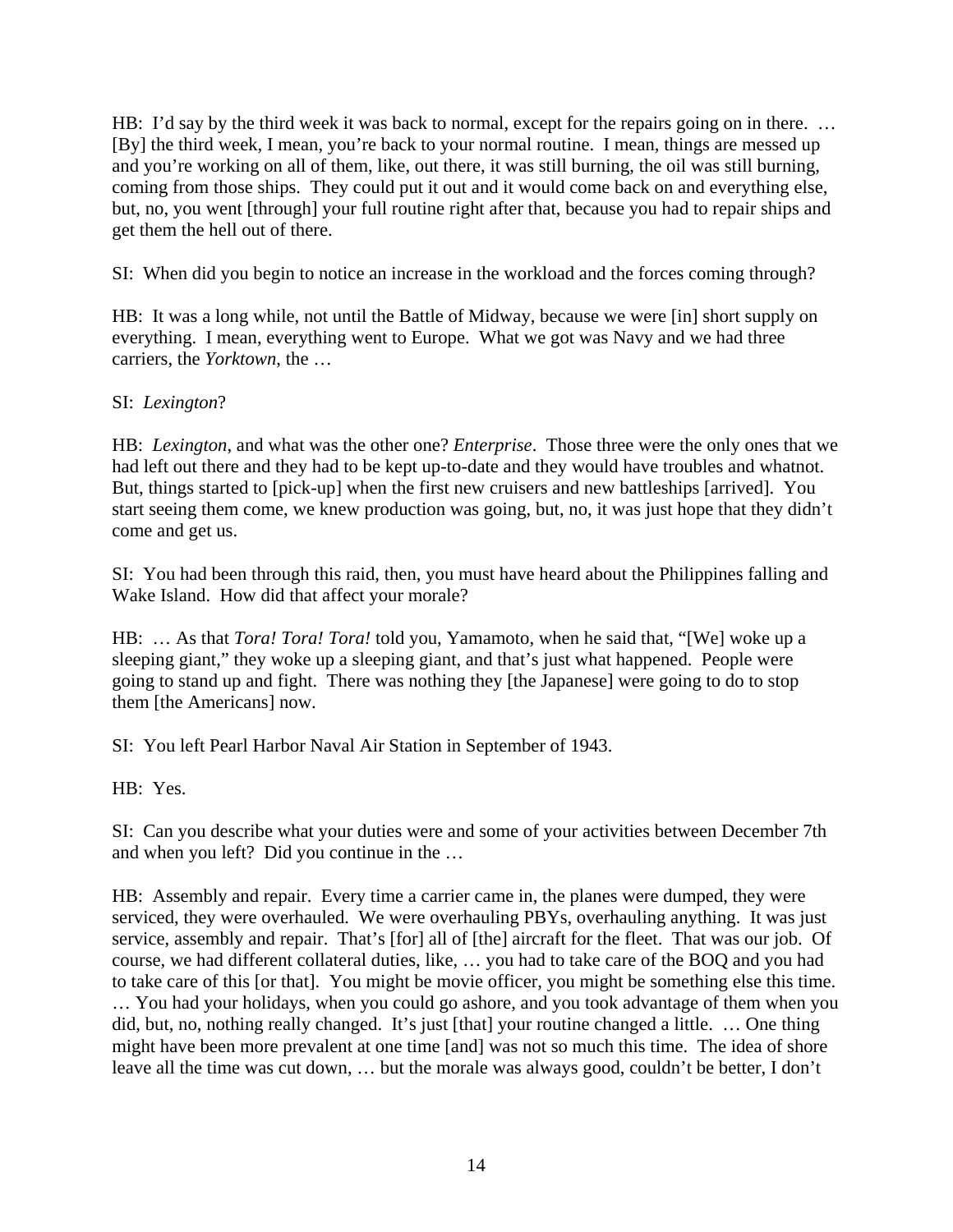HB: I'd say by the third week it was back to normal, except for the repairs going on in there. ... [By] the third week, I mean, you're back to your normal routine. I mean, things are messed up and you're working on all of them, like, out there, it was still burning, the oil was still burning, coming from those ships. They could put it out and it would come back on and everything else, but, no, you went [through] your full routine right after that, because you had to repair ships and get them the hell out of there.

SI: When did you begin to notice an increase in the workload and the forces coming through?

HB: It was a long while, not until the Battle of Midway, because we were [in] short supply on everything. I mean, everything went to Europe. What we got was Navy and we had three carriers, the *Yorktown*, the …

# SI: *Lexington*?

HB: *Lexington*, and what was the other one? *Enterprise*. Those three were the only ones that we had left out there and they had to be kept up-to-date and they would have troubles and whatnot. But, things started to [pick-up] when the first new cruisers and new battleships [arrived]. You start seeing them come, we knew production was going, but, no, it was just hope that they didn't come and get us.

SI: You had been through this raid, then, you must have heard about the Philippines falling and Wake Island. How did that affect your morale?

HB: … As that *Tora! Tora! Tora!* told you, Yamamoto, when he said that, "[We] woke up a sleeping giant," they woke up a sleeping giant, and that's just what happened. People were going to stand up and fight. There was nothing they [the Japanese] were going to do to stop them [the Americans] now.

SI: You left Pearl Harbor Naval Air Station in September of 1943.

HB: Yes.

SI: Can you describe what your duties were and some of your activities between December 7th and when you left? Did you continue in the …

HB: Assembly and repair. Every time a carrier came in, the planes were dumped, they were serviced, they were overhauled. We were overhauling PBYs, overhauling anything. It was just service, assembly and repair. That's [for] all of [the] aircraft for the fleet. That was our job. Of course, we had different collateral duties, like, … you had to take care of the BOQ and you had to take care of this [or that]. You might be movie officer, you might be something else this time. … You had your holidays, when you could go ashore, and you took advantage of them when you did, but, no, nothing really changed. It's just [that] your routine changed a little. … One thing might have been more prevalent at one time [and] was not so much this time. The idea of shore leave all the time was cut down, … but the morale was always good, couldn't be better, I don't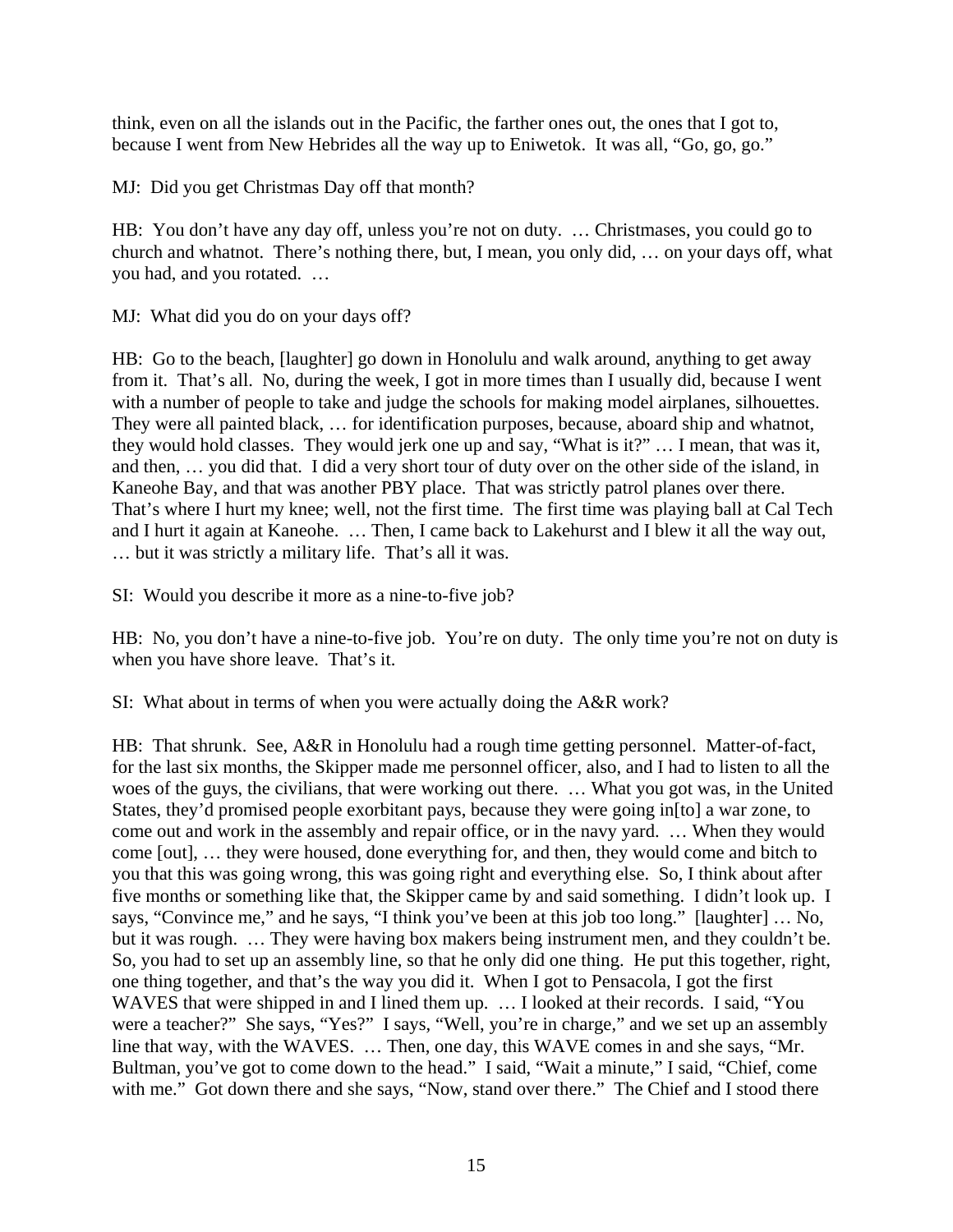think, even on all the islands out in the Pacific, the farther ones out, the ones that I got to, because I went from New Hebrides all the way up to Eniwetok. It was all, "Go, go, go."

MJ: Did you get Christmas Day off that month?

HB: You don't have any day off, unless you're not on duty. … Christmases, you could go to church and whatnot. There's nothing there, but, I mean, you only did, … on your days off, what you had, and you rotated. …

MJ: What did you do on your days off?

HB: Go to the beach, [laughter] go down in Honolulu and walk around, anything to get away from it. That's all. No, during the week, I got in more times than I usually did, because I went with a number of people to take and judge the schools for making model airplanes, silhouettes. They were all painted black, … for identification purposes, because, aboard ship and whatnot, they would hold classes. They would jerk one up and say, "What is it?" … I mean, that was it, and then, … you did that. I did a very short tour of duty over on the other side of the island, in Kaneohe Bay, and that was another PBY place. That was strictly patrol planes over there. That's where I hurt my knee; well, not the first time. The first time was playing ball at Cal Tech and I hurt it again at Kaneohe. … Then, I came back to Lakehurst and I blew it all the way out, … but it was strictly a military life. That's all it was.

SI: Would you describe it more as a nine-to-five job?

HB: No, you don't have a nine-to-five job. You're on duty. The only time you're not on duty is when you have shore leave. That's it.

SI: What about in terms of when you were actually doing the A&R work?

HB: That shrunk. See, A&R in Honolulu had a rough time getting personnel. Matter-of-fact, for the last six months, the Skipper made me personnel officer, also, and I had to listen to all the woes of the guys, the civilians, that were working out there. … What you got was, in the United States, they'd promised people exorbitant pays, because they were going in[to] a war zone, to come out and work in the assembly and repair office, or in the navy yard. … When they would come [out], … they were housed, done everything for, and then, they would come and bitch to you that this was going wrong, this was going right and everything else. So, I think about after five months or something like that, the Skipper came by and said something. I didn't look up. I says, "Convince me," and he says, "I think you've been at this job too long." [laughter] … No, but it was rough. … They were having box makers being instrument men, and they couldn't be. So, you had to set up an assembly line, so that he only did one thing. He put this together, right, one thing together, and that's the way you did it. When I got to Pensacola, I got the first WAVES that were shipped in and I lined them up. ... I looked at their records. I said, "You were a teacher?" She says, "Yes?" I says, "Well, you're in charge," and we set up an assembly line that way, with the WAVES. … Then, one day, this WAVE comes in and she says, "Mr. Bultman, you've got to come down to the head." I said, "Wait a minute," I said, "Chief, come with me." Got down there and she says, "Now, stand over there." The Chief and I stood there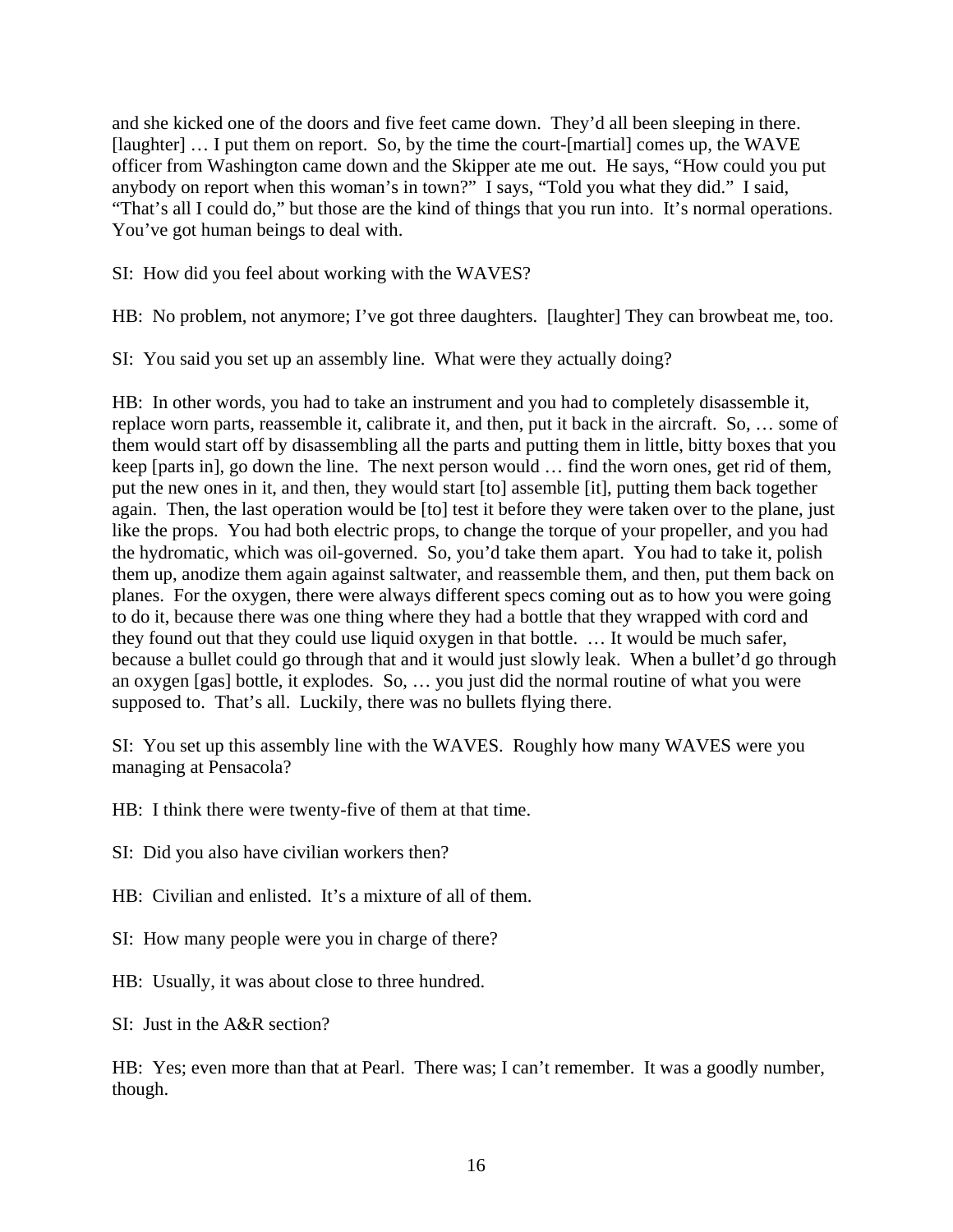and she kicked one of the doors and five feet came down. They'd all been sleeping in there. [laughter] … I put them on report. So, by the time the court-[martial] comes up, the WAVE officer from Washington came down and the Skipper ate me out. He says, "How could you put anybody on report when this woman's in town?" I says, "Told you what they did." I said, "That's all I could do," but those are the kind of things that you run into. It's normal operations. You've got human beings to deal with.

SI: How did you feel about working with the WAVES?

HB: No problem, not anymore; I've got three daughters. [laughter] They can browbeat me, too.

SI: You said you set up an assembly line. What were they actually doing?

HB: In other words, you had to take an instrument and you had to completely disassemble it, replace worn parts, reassemble it, calibrate it, and then, put it back in the aircraft. So, … some of them would start off by disassembling all the parts and putting them in little, bitty boxes that you keep [parts in], go down the line. The next person would … find the worn ones, get rid of them, put the new ones in it, and then, they would start [to] assemble [it], putting them back together again. Then, the last operation would be [to] test it before they were taken over to the plane, just like the props. You had both electric props, to change the torque of your propeller, and you had the hydromatic, which was oil-governed. So, you'd take them apart. You had to take it, polish them up, anodize them again against saltwater, and reassemble them, and then, put them back on planes. For the oxygen, there were always different specs coming out as to how you were going to do it, because there was one thing where they had a bottle that they wrapped with cord and they found out that they could use liquid oxygen in that bottle. … It would be much safer, because a bullet could go through that and it would just slowly leak. When a bullet'd go through an oxygen [gas] bottle, it explodes. So, … you just did the normal routine of what you were supposed to. That's all. Luckily, there was no bullets flying there.

SI: You set up this assembly line with the WAVES. Roughly how many WAVES were you managing at Pensacola?

HB: I think there were twenty-five of them at that time.

SI: Did you also have civilian workers then?

HB: Civilian and enlisted. It's a mixture of all of them.

SI: How many people were you in charge of there?

HB: Usually, it was about close to three hundred.

SI: Just in the A&R section?

HB: Yes; even more than that at Pearl. There was; I can't remember. It was a goodly number, though.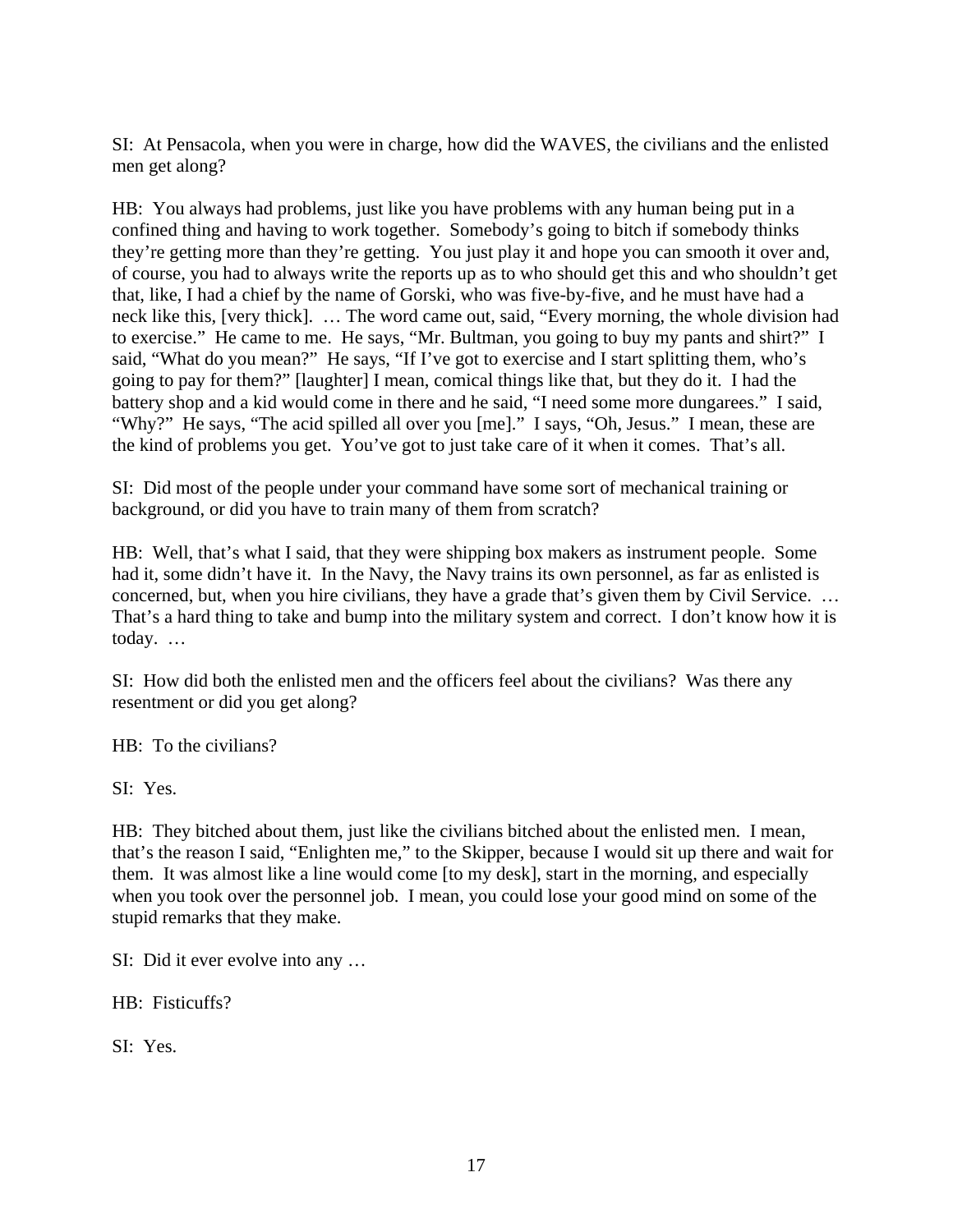SI: At Pensacola, when you were in charge, how did the WAVES, the civilians and the enlisted men get along?

HB: You always had problems, just like you have problems with any human being put in a confined thing and having to work together. Somebody's going to bitch if somebody thinks they're getting more than they're getting. You just play it and hope you can smooth it over and, of course, you had to always write the reports up as to who should get this and who shouldn't get that, like, I had a chief by the name of Gorski, who was five-by-five, and he must have had a neck like this, [very thick]. … The word came out, said, "Every morning, the whole division had to exercise." He came to me. He says, "Mr. Bultman, you going to buy my pants and shirt?" I said, "What do you mean?" He says, "If I've got to exercise and I start splitting them, who's going to pay for them?" [laughter] I mean, comical things like that, but they do it. I had the battery shop and a kid would come in there and he said, "I need some more dungarees." I said, "Why?" He says, "The acid spilled all over you [me]." I says, "Oh, Jesus." I mean, these are the kind of problems you get. You've got to just take care of it when it comes. That's all.

SI: Did most of the people under your command have some sort of mechanical training or background, or did you have to train many of them from scratch?

HB: Well, that's what I said, that they were shipping box makers as instrument people. Some had it, some didn't have it. In the Navy, the Navy trains its own personnel, as far as enlisted is concerned, but, when you hire civilians, they have a grade that's given them by Civil Service. … That's a hard thing to take and bump into the military system and correct. I don't know how it is today. …

SI: How did both the enlisted men and the officers feel about the civilians? Was there any resentment or did you get along?

HB: To the civilians?

SI: Yes.

HB: They bitched about them, just like the civilians bitched about the enlisted men. I mean, that's the reason I said, "Enlighten me," to the Skipper, because I would sit up there and wait for them. It was almost like a line would come [to my desk], start in the morning, and especially when you took over the personnel job. I mean, you could lose your good mind on some of the stupid remarks that they make.

SI: Did it ever evolve into any …

HB: Fisticuffs?

SI: Yes.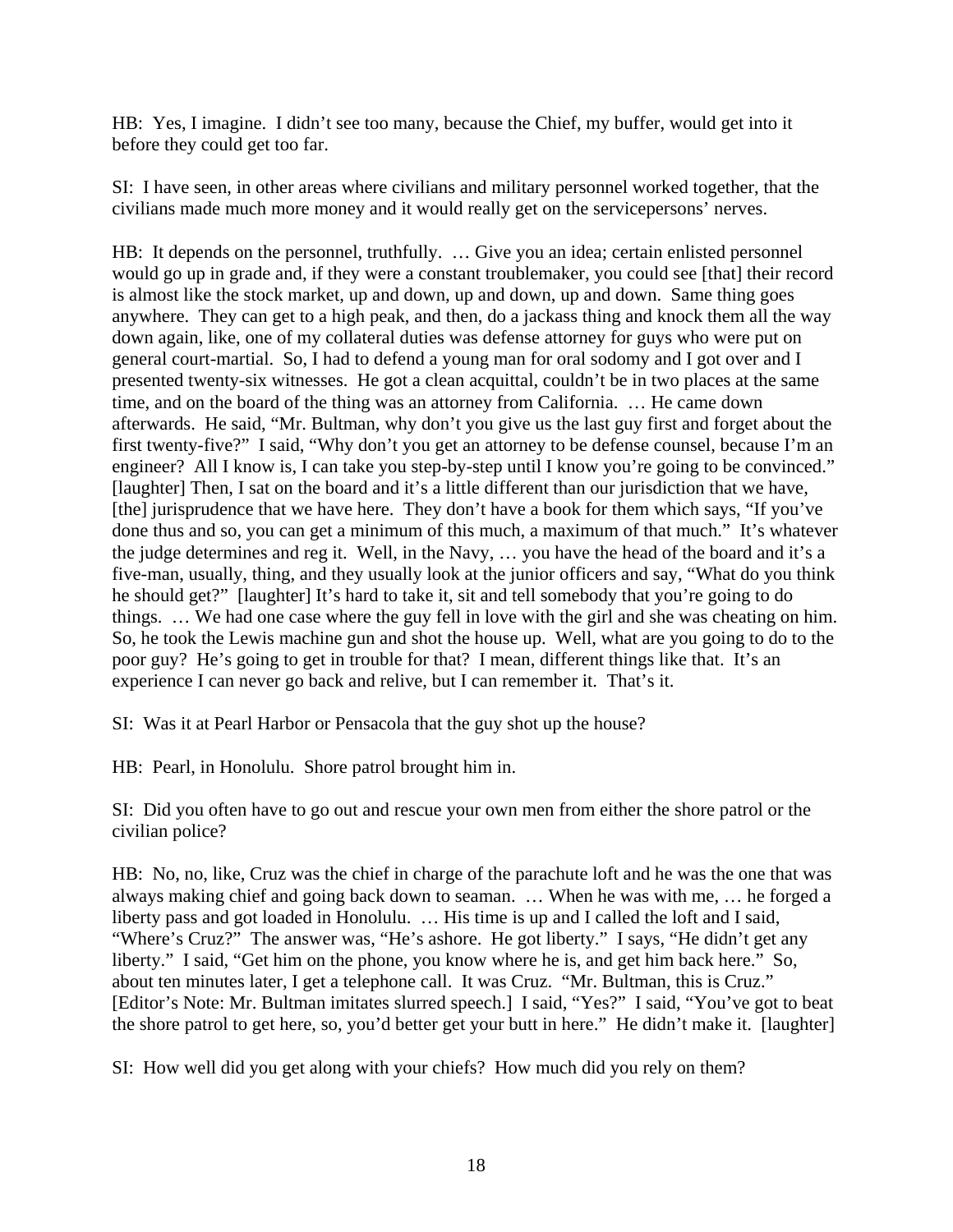HB: Yes, I imagine. I didn't see too many, because the Chief, my buffer, would get into it before they could get too far.

SI: I have seen, in other areas where civilians and military personnel worked together, that the civilians made much more money and it would really get on the servicepersons' nerves.

HB: It depends on the personnel, truthfully. … Give you an idea; certain enlisted personnel would go up in grade and, if they were a constant troublemaker, you could see [that] their record is almost like the stock market, up and down, up and down, up and down. Same thing goes anywhere. They can get to a high peak, and then, do a jackass thing and knock them all the way down again, like, one of my collateral duties was defense attorney for guys who were put on general court-martial. So, I had to defend a young man for oral sodomy and I got over and I presented twenty-six witnesses. He got a clean acquittal, couldn't be in two places at the same time, and on the board of the thing was an attorney from California. … He came down afterwards. He said, "Mr. Bultman, why don't you give us the last guy first and forget about the first twenty-five?" I said, "Why don't you get an attorney to be defense counsel, because I'm an engineer? All I know is, I can take you step-by-step until I know you're going to be convinced." [laughter] Then, I sat on the board and it's a little different than our jurisdiction that we have, [the] jurisprudence that we have here. They don't have a book for them which says, "If you've done thus and so, you can get a minimum of this much, a maximum of that much." It's whatever the judge determines and reg it. Well, in the Navy, … you have the head of the board and it's a five-man, usually, thing, and they usually look at the junior officers and say, "What do you think he should get?" [laughter] It's hard to take it, sit and tell somebody that you're going to do things. … We had one case where the guy fell in love with the girl and she was cheating on him. So, he took the Lewis machine gun and shot the house up. Well, what are you going to do to the poor guy? He's going to get in trouble for that? I mean, different things like that. It's an experience I can never go back and relive, but I can remember it. That's it.

SI: Was it at Pearl Harbor or Pensacola that the guy shot up the house?

HB: Pearl, in Honolulu. Shore patrol brought him in.

SI: Did you often have to go out and rescue your own men from either the shore patrol or the civilian police?

HB: No, no, like, Cruz was the chief in charge of the parachute loft and he was the one that was always making chief and going back down to seaman. … When he was with me, … he forged a liberty pass and got loaded in Honolulu. … His time is up and I called the loft and I said, "Where's Cruz?" The answer was, "He's ashore. He got liberty." I says, "He didn't get any liberty." I said, "Get him on the phone, you know where he is, and get him back here." So, about ten minutes later, I get a telephone call. It was Cruz. "Mr. Bultman, this is Cruz." [Editor's Note: Mr. Bultman imitates slurred speech.] I said, "Yes?" I said, "You've got to beat the shore patrol to get here, so, you'd better get your butt in here." He didn't make it. [laughter]

SI: How well did you get along with your chiefs? How much did you rely on them?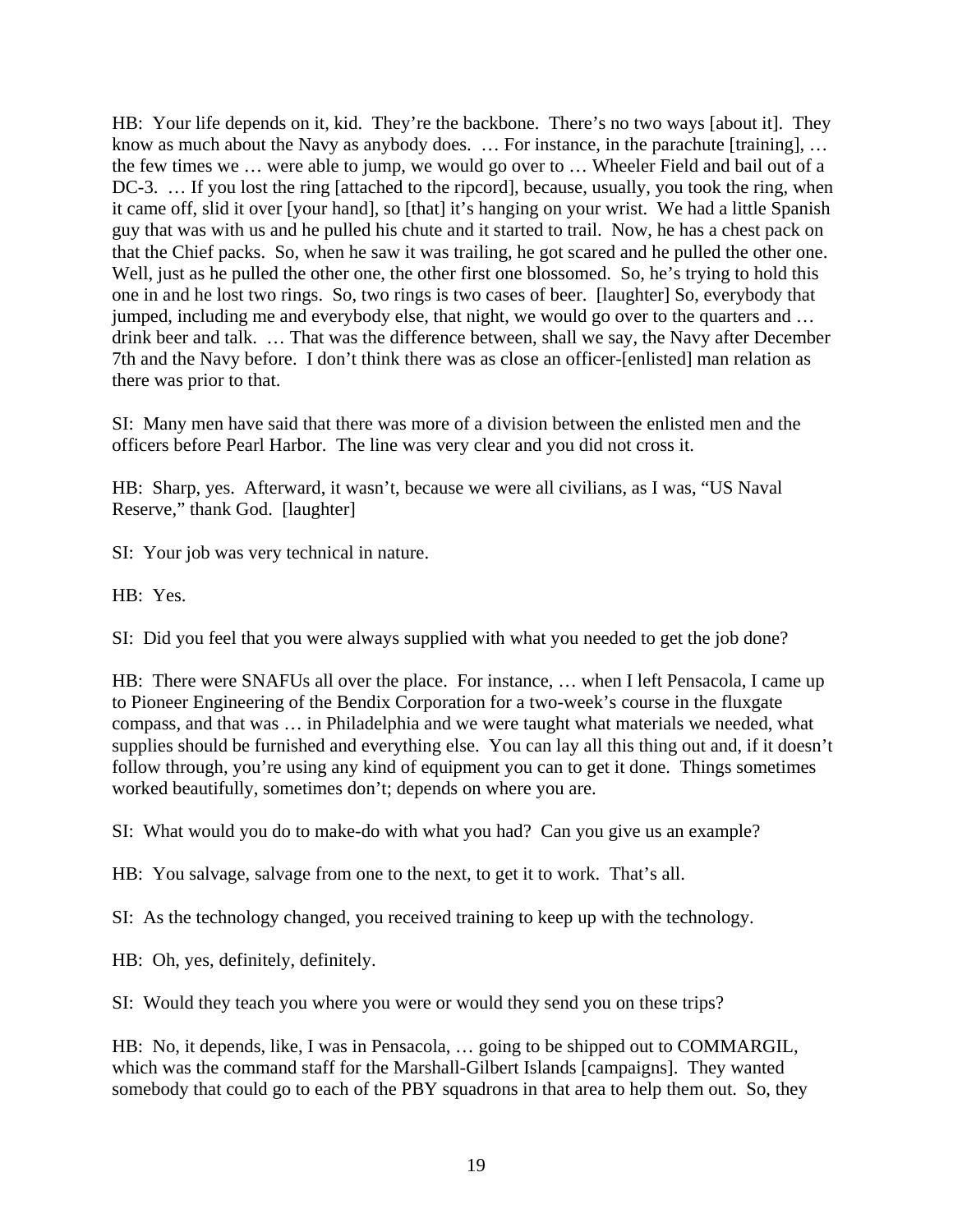HB: Your life depends on it, kid. They're the backbone. There's no two ways [about it]. They know as much about the Navy as anybody does. ... For instance, in the parachute [training], ... the few times we … were able to jump, we would go over to … Wheeler Field and bail out of a DC-3. ... If you lost the ring [attached to the ripcord], because, usually, you took the ring, when it came off, slid it over [your hand], so [that] it's hanging on your wrist. We had a little Spanish guy that was with us and he pulled his chute and it started to trail. Now, he has a chest pack on that the Chief packs. So, when he saw it was trailing, he got scared and he pulled the other one. Well, just as he pulled the other one, the other first one blossomed. So, he's trying to hold this one in and he lost two rings. So, two rings is two cases of beer. [laughter] So, everybody that jumped, including me and everybody else, that night, we would go over to the quarters and … drink beer and talk. … That was the difference between, shall we say, the Navy after December 7th and the Navy before. I don't think there was as close an officer-[enlisted] man relation as there was prior to that.

SI: Many men have said that there was more of a division between the enlisted men and the officers before Pearl Harbor. The line was very clear and you did not cross it.

HB: Sharp, yes. Afterward, it wasn't, because we were all civilians, as I was, "US Naval Reserve," thank God. [laughter]

SI: Your job was very technical in nature.

HB: Yes.

SI: Did you feel that you were always supplied with what you needed to get the job done?

HB: There were SNAFUs all over the place. For instance, … when I left Pensacola, I came up to Pioneer Engineering of the Bendix Corporation for a two-week's course in the fluxgate compass, and that was … in Philadelphia and we were taught what materials we needed, what supplies should be furnished and everything else. You can lay all this thing out and, if it doesn't follow through, you're using any kind of equipment you can to get it done. Things sometimes worked beautifully, sometimes don't; depends on where you are.

SI: What would you do to make-do with what you had? Can you give us an example?

HB: You salvage, salvage from one to the next, to get it to work. That's all.

SI: As the technology changed, you received training to keep up with the technology.

HB: Oh, yes, definitely, definitely.

SI: Would they teach you where you were or would they send you on these trips?

HB: No, it depends, like, I was in Pensacola, … going to be shipped out to COMMARGIL, which was the command staff for the Marshall-Gilbert Islands [campaigns]. They wanted somebody that could go to each of the PBY squadrons in that area to help them out. So, they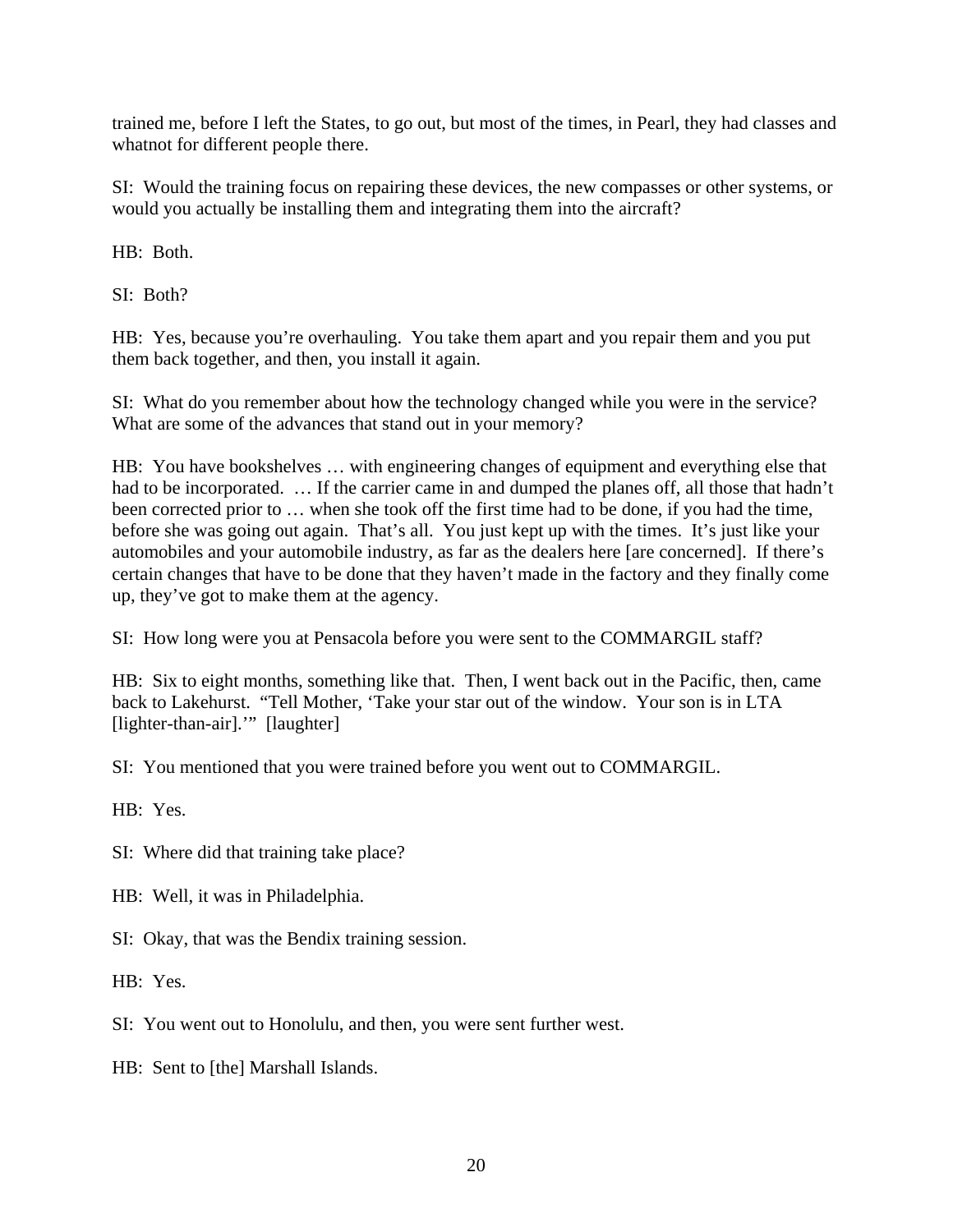trained me, before I left the States, to go out, but most of the times, in Pearl, they had classes and whatnot for different people there.

SI: Would the training focus on repairing these devices, the new compasses or other systems, or would you actually be installing them and integrating them into the aircraft?

HB: Both.

SI: Both?

HB: Yes, because you're overhauling. You take them apart and you repair them and you put them back together, and then, you install it again.

SI: What do you remember about how the technology changed while you were in the service? What are some of the advances that stand out in your memory?

HB: You have bookshelves … with engineering changes of equipment and everything else that had to be incorporated. … If the carrier came in and dumped the planes off, all those that hadn't been corrected prior to … when she took off the first time had to be done, if you had the time, before she was going out again. That's all. You just kept up with the times. It's just like your automobiles and your automobile industry, as far as the dealers here [are concerned]. If there's certain changes that have to be done that they haven't made in the factory and they finally come up, they've got to make them at the agency.

SI: How long were you at Pensacola before you were sent to the COMMARGIL staff?

HB: Six to eight months, something like that. Then, I went back out in the Pacific, then, came back to Lakehurst. "Tell Mother, 'Take your star out of the window. Your son is in LTA [lighter-than-air].'" [laughter]

SI: You mentioned that you were trained before you went out to COMMARGIL.

HB: Yes.

SI: Where did that training take place?

HB: Well, it was in Philadelphia.

SI: Okay, that was the Bendix training session.

HB: Yes.

SI: You went out to Honolulu, and then, you were sent further west.

HB: Sent to [the] Marshall Islands.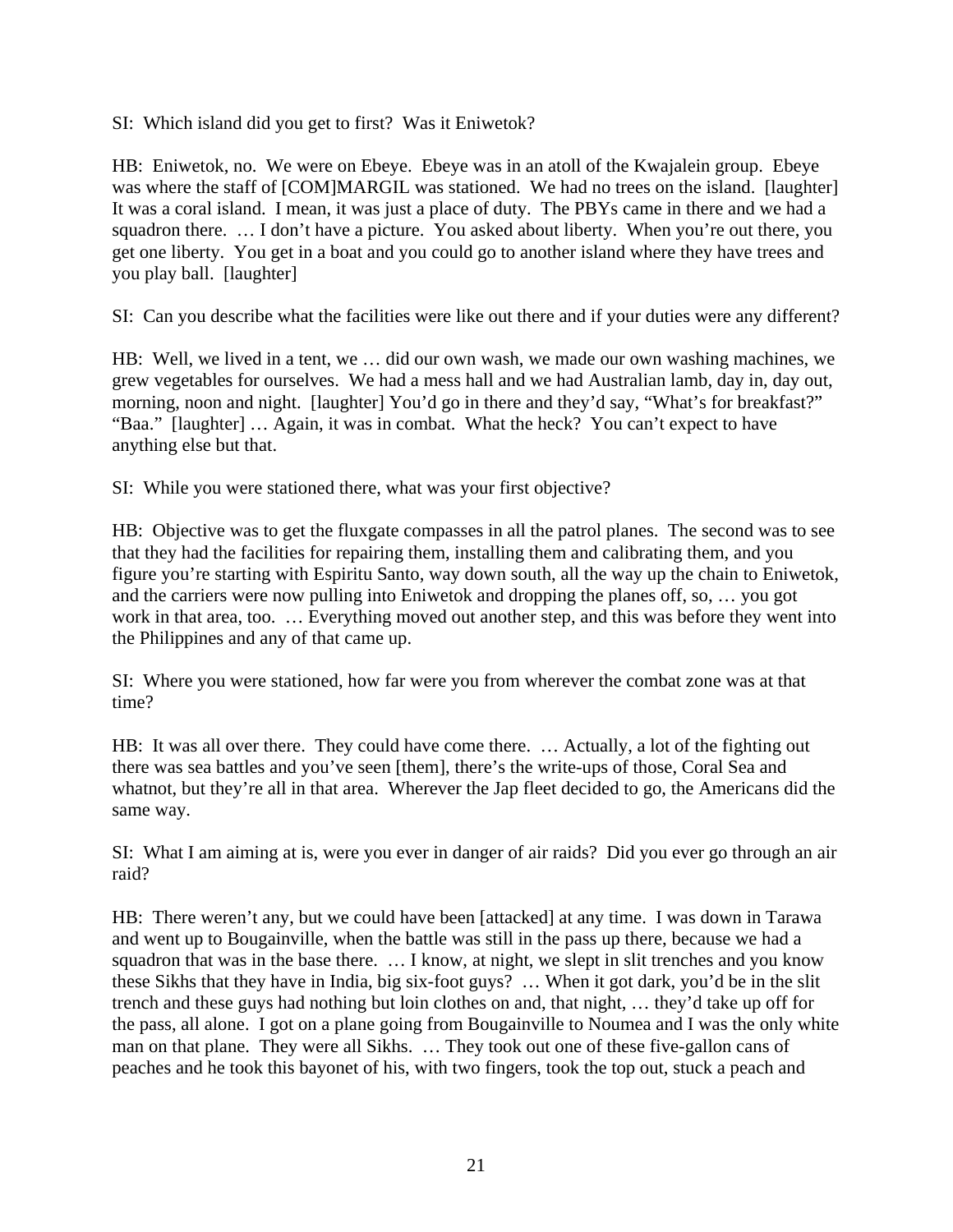SI: Which island did you get to first? Was it Eniwetok?

HB: Eniwetok, no. We were on Ebeye. Ebeye was in an atoll of the Kwajalein group. Ebeye was where the staff of [COM]MARGIL was stationed. We had no trees on the island. [laughter] It was a coral island. I mean, it was just a place of duty. The PBYs came in there and we had a squadron there. … I don't have a picture. You asked about liberty. When you're out there, you get one liberty. You get in a boat and you could go to another island where they have trees and you play ball. [laughter]

SI: Can you describe what the facilities were like out there and if your duties were any different?

HB: Well, we lived in a tent, we … did our own wash, we made our own washing machines, we grew vegetables for ourselves. We had a mess hall and we had Australian lamb, day in, day out, morning, noon and night. [laughter] You'd go in there and they'd say, "What's for breakfast?" "Baa." [laughter] … Again, it was in combat. What the heck? You can't expect to have anything else but that.

SI: While you were stationed there, what was your first objective?

HB: Objective was to get the fluxgate compasses in all the patrol planes. The second was to see that they had the facilities for repairing them, installing them and calibrating them, and you figure you're starting with Espiritu Santo, way down south, all the way up the chain to Eniwetok, and the carriers were now pulling into Eniwetok and dropping the planes off, so, … you got work in that area, too. … Everything moved out another step, and this was before they went into the Philippines and any of that came up.

SI: Where you were stationed, how far were you from wherever the combat zone was at that time?

HB: It was all over there. They could have come there. … Actually, a lot of the fighting out there was sea battles and you've seen [them], there's the write-ups of those, Coral Sea and whatnot, but they're all in that area. Wherever the Jap fleet decided to go, the Americans did the same way.

SI: What I am aiming at is, were you ever in danger of air raids? Did you ever go through an air raid?

HB: There weren't any, but we could have been [attacked] at any time. I was down in Tarawa and went up to Bougainville, when the battle was still in the pass up there, because we had a squadron that was in the base there. … I know, at night, we slept in slit trenches and you know these Sikhs that they have in India, big six-foot guys? … When it got dark, you'd be in the slit trench and these guys had nothing but loin clothes on and, that night, … they'd take up off for the pass, all alone. I got on a plane going from Bougainville to Noumea and I was the only white man on that plane. They were all Sikhs. … They took out one of these five-gallon cans of peaches and he took this bayonet of his, with two fingers, took the top out, stuck a peach and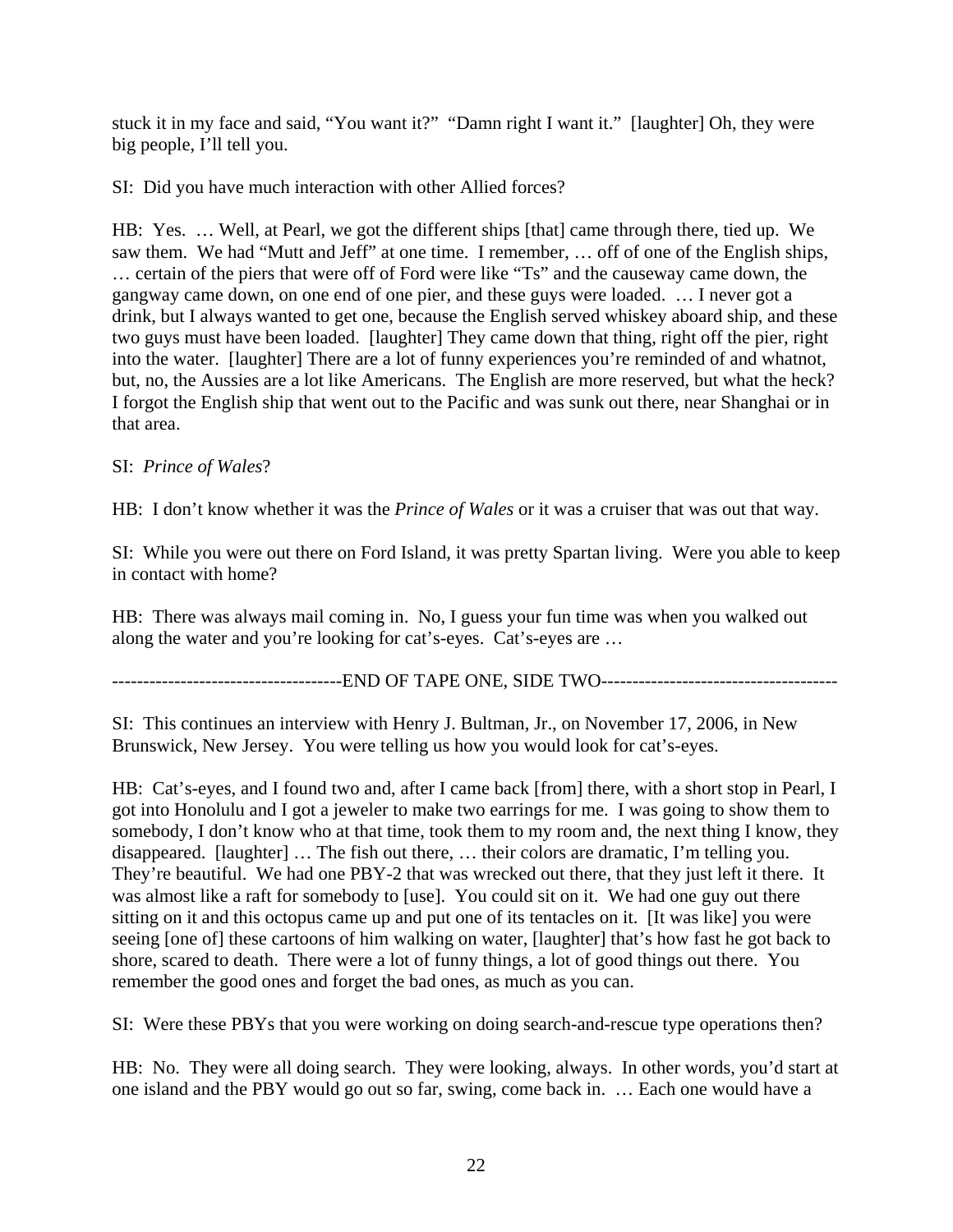stuck it in my face and said, "You want it?" "Damn right I want it." [laughter] Oh, they were big people, I'll tell you.

SI: Did you have much interaction with other Allied forces?

HB: Yes. … Well, at Pearl, we got the different ships [that] came through there, tied up. We saw them. We had "Mutt and Jeff" at one time. I remember, … off of one of the English ships, … certain of the piers that were off of Ford were like "Ts" and the causeway came down, the gangway came down, on one end of one pier, and these guys were loaded. … I never got a drink, but I always wanted to get one, because the English served whiskey aboard ship, and these two guys must have been loaded. [laughter] They came down that thing, right off the pier, right into the water. [laughter] There are a lot of funny experiences you're reminded of and whatnot, but, no, the Aussies are a lot like Americans. The English are more reserved, but what the heck? I forgot the English ship that went out to the Pacific and was sunk out there, near Shanghai or in that area.

# SI: *Prince of Wales*?

HB: I don't know whether it was the *Prince of Wales* or it was a cruiser that was out that way.

SI: While you were out there on Ford Island, it was pretty Spartan living. Were you able to keep in contact with home?

HB: There was always mail coming in. No, I guess your fun time was when you walked out along the water and you're looking for cat's-eyes. Cat's-eyes are …

-------------------------------------END OF TAPE ONE, SIDE TWO--------------------------------------

SI: This continues an interview with Henry J. Bultman, Jr., on November 17, 2006, in New Brunswick, New Jersey. You were telling us how you would look for cat's-eyes.

HB: Cat's-eyes, and I found two and, after I came back [from] there, with a short stop in Pearl, I got into Honolulu and I got a jeweler to make two earrings for me. I was going to show them to somebody, I don't know who at that time, took them to my room and, the next thing I know, they disappeared. [laughter] … The fish out there, … their colors are dramatic, I'm telling you. They're beautiful. We had one PBY-2 that was wrecked out there, that they just left it there. It was almost like a raft for somebody to [use]. You could sit on it. We had one guy out there sitting on it and this octopus came up and put one of its tentacles on it. [It was like] you were seeing [one of] these cartoons of him walking on water, [laughter] that's how fast he got back to shore, scared to death. There were a lot of funny things, a lot of good things out there. You remember the good ones and forget the bad ones, as much as you can.

SI: Were these PBYs that you were working on doing search-and-rescue type operations then?

HB: No. They were all doing search. They were looking, always. In other words, you'd start at one island and the PBY would go out so far, swing, come back in. … Each one would have a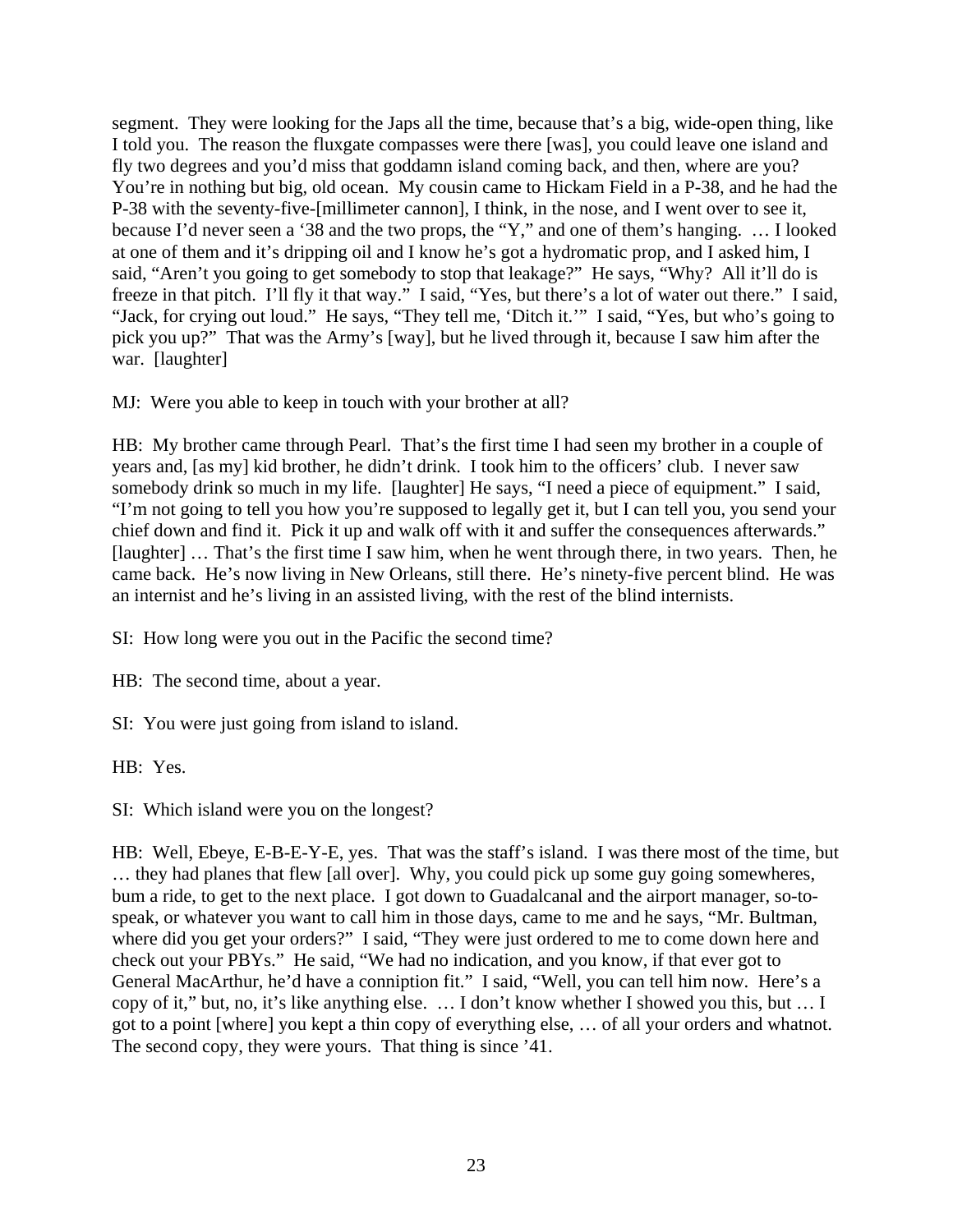segment. They were looking for the Japs all the time, because that's a big, wide-open thing, like I told you. The reason the fluxgate compasses were there [was], you could leave one island and fly two degrees and you'd miss that goddamn island coming back, and then, where are you? You're in nothing but big, old ocean. My cousin came to Hickam Field in a P-38, and he had the P-38 with the seventy-five-[millimeter cannon], I think, in the nose, and I went over to see it, because I'd never seen a '38 and the two props, the "Y," and one of them's hanging. … I looked at one of them and it's dripping oil and I know he's got a hydromatic prop, and I asked him, I said, "Aren't you going to get somebody to stop that leakage?" He says, "Why? All it'll do is freeze in that pitch. I'll fly it that way." I said, "Yes, but there's a lot of water out there." I said, "Jack, for crying out loud." He says, "They tell me, 'Ditch it.'" I said, "Yes, but who's going to pick you up?" That was the Army's [way], but he lived through it, because I saw him after the war. [laughter]

MJ: Were you able to keep in touch with your brother at all?

HB: My brother came through Pearl. That's the first time I had seen my brother in a couple of years and, [as my] kid brother, he didn't drink. I took him to the officers' club. I never saw somebody drink so much in my life. [laughter] He says, "I need a piece of equipment." I said, "I'm not going to tell you how you're supposed to legally get it, but I can tell you, you send your chief down and find it. Pick it up and walk off with it and suffer the consequences afterwards." [laughter] … That's the first time I saw him, when he went through there, in two years. Then, he came back. He's now living in New Orleans, still there. He's ninety-five percent blind. He was an internist and he's living in an assisted living, with the rest of the blind internists.

SI: How long were you out in the Pacific the second time?

HB: The second time, about a year.

SI: You were just going from island to island.

HB: Yes.

SI: Which island were you on the longest?

HB: Well, Ebeye, E-B-E-Y-E, yes. That was the staff's island. I was there most of the time, but … they had planes that flew [all over]. Why, you could pick up some guy going somewheres, bum a ride, to get to the next place. I got down to Guadalcanal and the airport manager, so-tospeak, or whatever you want to call him in those days, came to me and he says, "Mr. Bultman, where did you get your orders?" I said, "They were just ordered to me to come down here and check out your PBYs." He said, "We had no indication, and you know, if that ever got to General MacArthur, he'd have a conniption fit." I said, "Well, you can tell him now. Here's a copy of it," but, no, it's like anything else. … I don't know whether I showed you this, but … I got to a point [where] you kept a thin copy of everything else, … of all your orders and whatnot. The second copy, they were yours. That thing is since '41.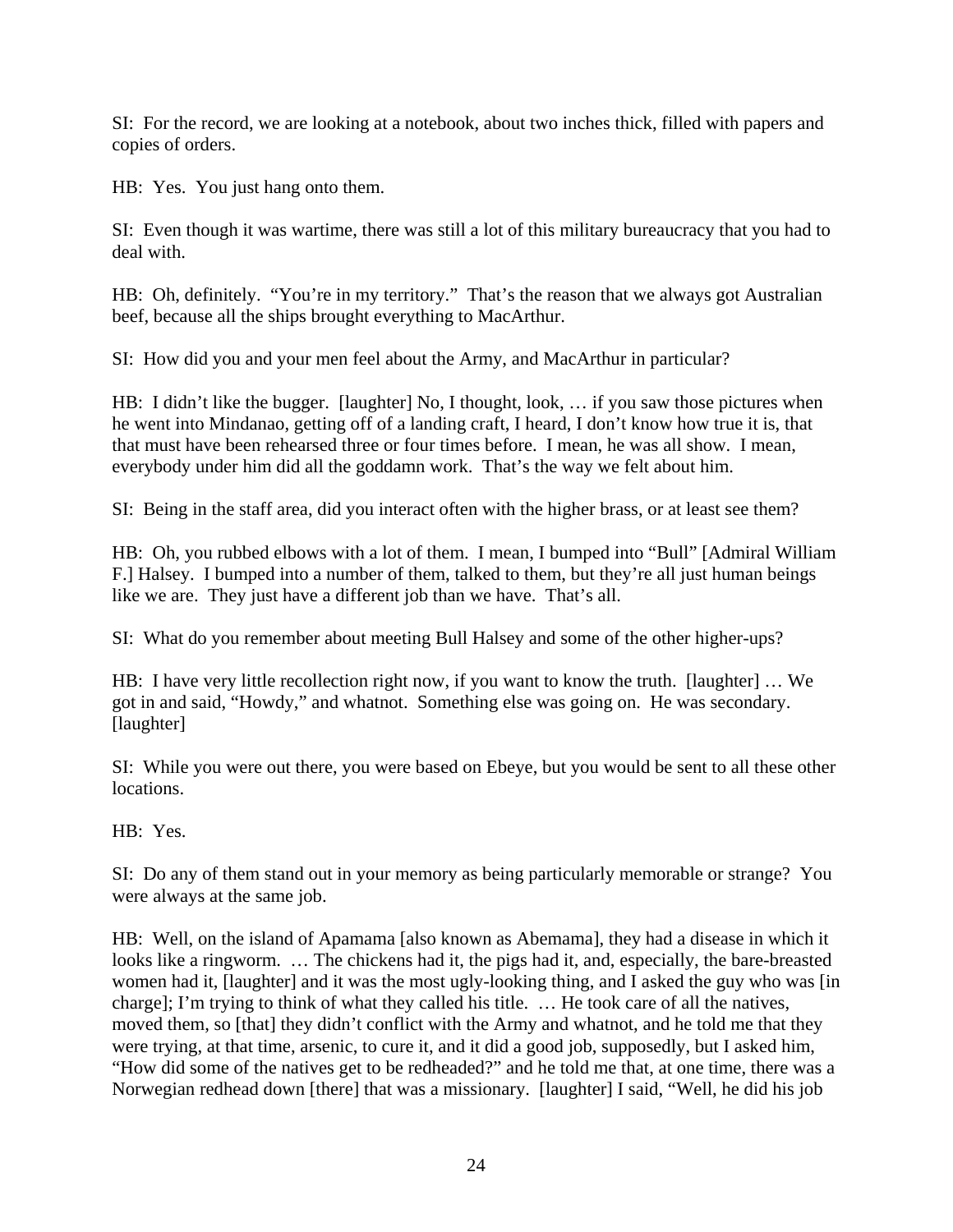SI: For the record, we are looking at a notebook, about two inches thick, filled with papers and copies of orders.

HB: Yes. You just hang onto them.

SI: Even though it was wartime, there was still a lot of this military bureaucracy that you had to deal with.

HB: Oh, definitely. "You're in my territory." That's the reason that we always got Australian beef, because all the ships brought everything to MacArthur.

SI: How did you and your men feel about the Army, and MacArthur in particular?

HB: I didn't like the bugger. [laughter] No, I thought, look, ... if you saw those pictures when he went into Mindanao, getting off of a landing craft, I heard, I don't know how true it is, that that must have been rehearsed three or four times before. I mean, he was all show. I mean, everybody under him did all the goddamn work. That's the way we felt about him.

SI: Being in the staff area, did you interact often with the higher brass, or at least see them?

HB: Oh, you rubbed elbows with a lot of them. I mean, I bumped into "Bull" [Admiral William F.] Halsey. I bumped into a number of them, talked to them, but they're all just human beings like we are. They just have a different job than we have. That's all.

SI: What do you remember about meeting Bull Halsey and some of the other higher-ups?

HB: I have very little recollection right now, if you want to know the truth. [laughter] … We got in and said, "Howdy," and whatnot. Something else was going on. He was secondary. [laughter]

SI: While you were out there, you were based on Ebeye, but you would be sent to all these other locations.

HB: Yes.

SI: Do any of them stand out in your memory as being particularly memorable or strange? You were always at the same job.

HB: Well, on the island of Apamama [also known as Abemama], they had a disease in which it looks like a ringworm. … The chickens had it, the pigs had it, and, especially, the bare-breasted women had it, [laughter] and it was the most ugly-looking thing, and I asked the guy who was [in charge]; I'm trying to think of what they called his title. … He took care of all the natives, moved them, so [that] they didn't conflict with the Army and whatnot, and he told me that they were trying, at that time, arsenic, to cure it, and it did a good job, supposedly, but I asked him, "How did some of the natives get to be redheaded?" and he told me that, at one time, there was a Norwegian redhead down [there] that was a missionary. [laughter] I said, "Well, he did his job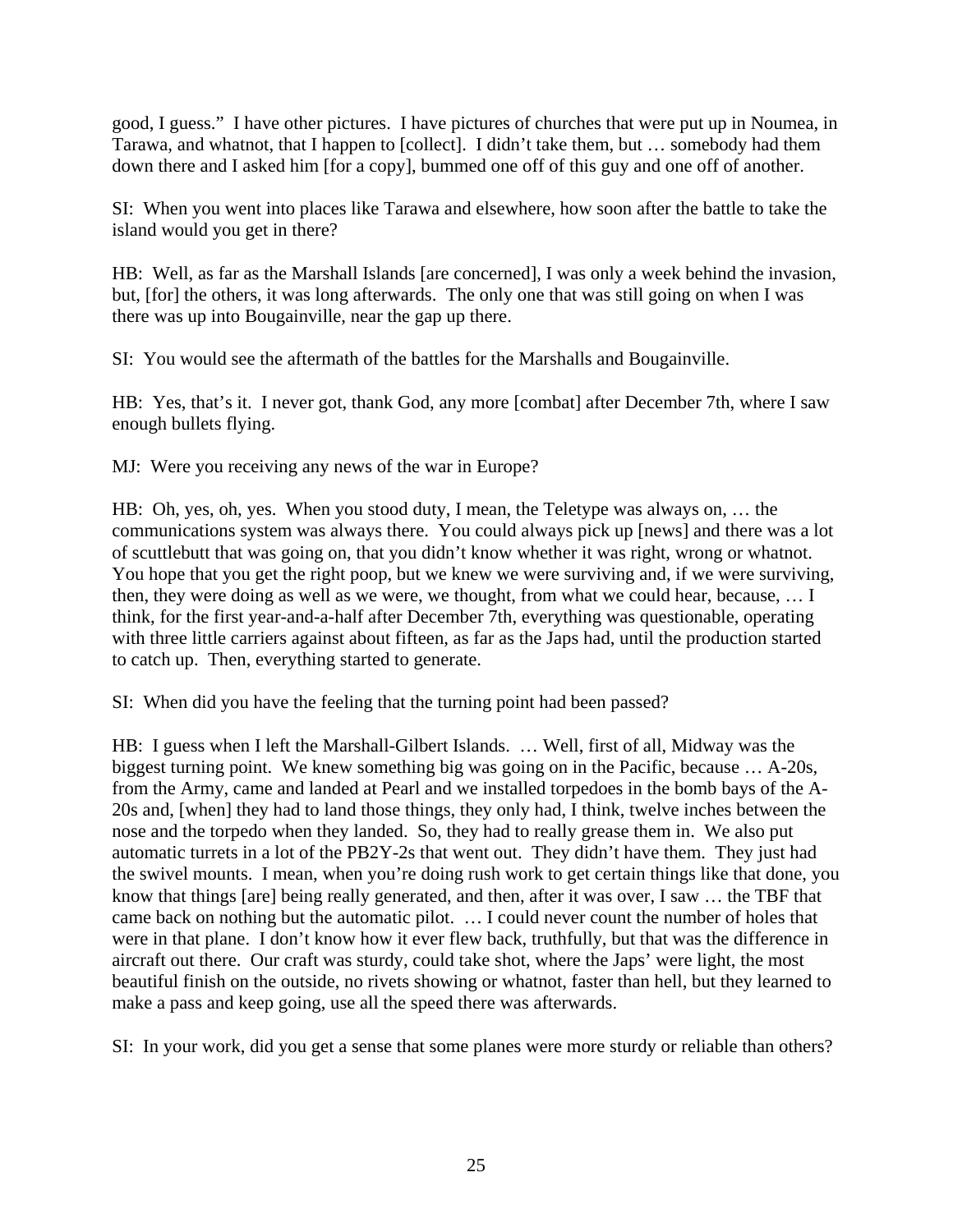good, I guess." I have other pictures. I have pictures of churches that were put up in Noumea, in Tarawa, and whatnot, that I happen to [collect]. I didn't take them, but … somebody had them down there and I asked him [for a copy], bummed one off of this guy and one off of another.

SI: When you went into places like Tarawa and elsewhere, how soon after the battle to take the island would you get in there?

HB: Well, as far as the Marshall Islands [are concerned], I was only a week behind the invasion, but, [for] the others, it was long afterwards. The only one that was still going on when I was there was up into Bougainville, near the gap up there.

SI: You would see the aftermath of the battles for the Marshalls and Bougainville.

HB: Yes, that's it. I never got, thank God, any more [combat] after December 7th, where I saw enough bullets flying.

MJ: Were you receiving any news of the war in Europe?

HB: Oh, yes, oh, yes. When you stood duty, I mean, the Teletype was always on, … the communications system was always there. You could always pick up [news] and there was a lot of scuttlebutt that was going on, that you didn't know whether it was right, wrong or whatnot. You hope that you get the right poop, but we knew we were surviving and, if we were surviving, then, they were doing as well as we were, we thought, from what we could hear, because, … I think, for the first year-and-a-half after December 7th, everything was questionable, operating with three little carriers against about fifteen, as far as the Japs had, until the production started to catch up. Then, everything started to generate.

SI: When did you have the feeling that the turning point had been passed?

HB: I guess when I left the Marshall-Gilbert Islands. … Well, first of all, Midway was the biggest turning point. We knew something big was going on in the Pacific, because … A-20s, from the Army, came and landed at Pearl and we installed torpedoes in the bomb bays of the A-20s and, [when] they had to land those things, they only had, I think, twelve inches between the nose and the torpedo when they landed. So, they had to really grease them in. We also put automatic turrets in a lot of the PB2Y-2s that went out. They didn't have them. They just had the swivel mounts. I mean, when you're doing rush work to get certain things like that done, you know that things [are] being really generated, and then, after it was over, I saw … the TBF that came back on nothing but the automatic pilot. … I could never count the number of holes that were in that plane. I don't know how it ever flew back, truthfully, but that was the difference in aircraft out there. Our craft was sturdy, could take shot, where the Japs' were light, the most beautiful finish on the outside, no rivets showing or whatnot, faster than hell, but they learned to make a pass and keep going, use all the speed there was afterwards.

SI: In your work, did you get a sense that some planes were more sturdy or reliable than others?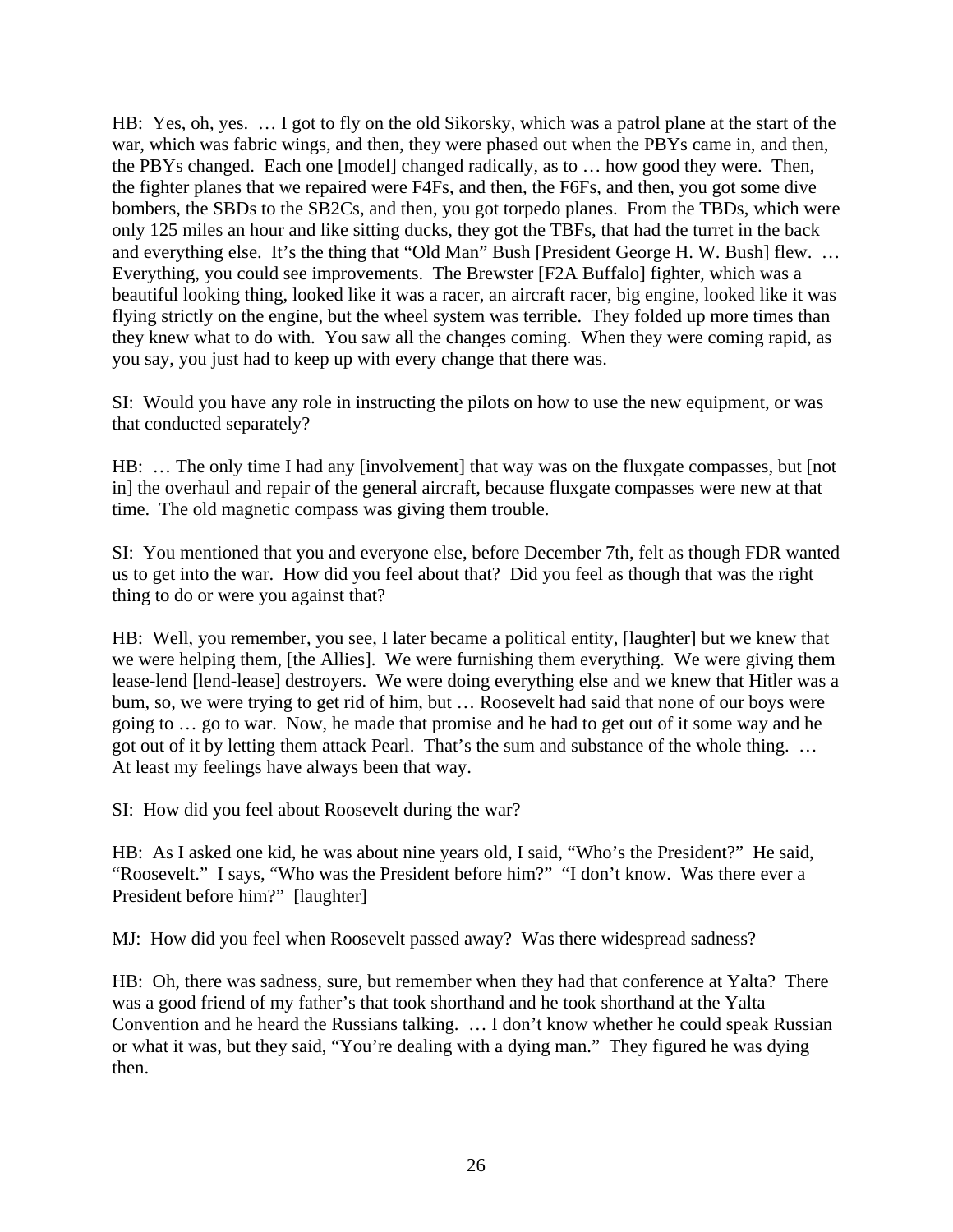HB: Yes, oh, yes. … I got to fly on the old Sikorsky, which was a patrol plane at the start of the war, which was fabric wings, and then, they were phased out when the PBYs came in, and then, the PBYs changed. Each one [model] changed radically, as to … how good they were. Then, the fighter planes that we repaired were F4Fs, and then, the F6Fs, and then, you got some dive bombers, the SBDs to the SB2Cs, and then, you got torpedo planes. From the TBDs, which were only 125 miles an hour and like sitting ducks, they got the TBFs, that had the turret in the back and everything else. It's the thing that "Old Man" Bush [President George H. W. Bush] flew. … Everything, you could see improvements. The Brewster [F2A Buffalo] fighter, which was a beautiful looking thing, looked like it was a racer, an aircraft racer, big engine, looked like it was flying strictly on the engine, but the wheel system was terrible. They folded up more times than they knew what to do with. You saw all the changes coming. When they were coming rapid, as you say, you just had to keep up with every change that there was.

SI: Would you have any role in instructing the pilots on how to use the new equipment, or was that conducted separately?

HB: ... The only time I had any [involvement] that way was on the fluxgate compasses, but [not] in] the overhaul and repair of the general aircraft, because fluxgate compasses were new at that time. The old magnetic compass was giving them trouble.

SI: You mentioned that you and everyone else, before December 7th, felt as though FDR wanted us to get into the war. How did you feel about that? Did you feel as though that was the right thing to do or were you against that?

HB: Well, you remember, you see, I later became a political entity, [laughter] but we knew that we were helping them, [the Allies]. We were furnishing them everything. We were giving them lease-lend [lend-lease] destroyers. We were doing everything else and we knew that Hitler was a bum, so, we were trying to get rid of him, but … Roosevelt had said that none of our boys were going to … go to war. Now, he made that promise and he had to get out of it some way and he got out of it by letting them attack Pearl. That's the sum and substance of the whole thing. … At least my feelings have always been that way.

SI: How did you feel about Roosevelt during the war?

HB: As I asked one kid, he was about nine years old, I said, "Who's the President?" He said, "Roosevelt." I says, "Who was the President before him?" "I don't know. Was there ever a President before him?" [laughter]

MJ: How did you feel when Roosevelt passed away? Was there widespread sadness?

HB: Oh, there was sadness, sure, but remember when they had that conference at Yalta? There was a good friend of my father's that took shorthand and he took shorthand at the Yalta Convention and he heard the Russians talking. … I don't know whether he could speak Russian or what it was, but they said, "You're dealing with a dying man." They figured he was dying then.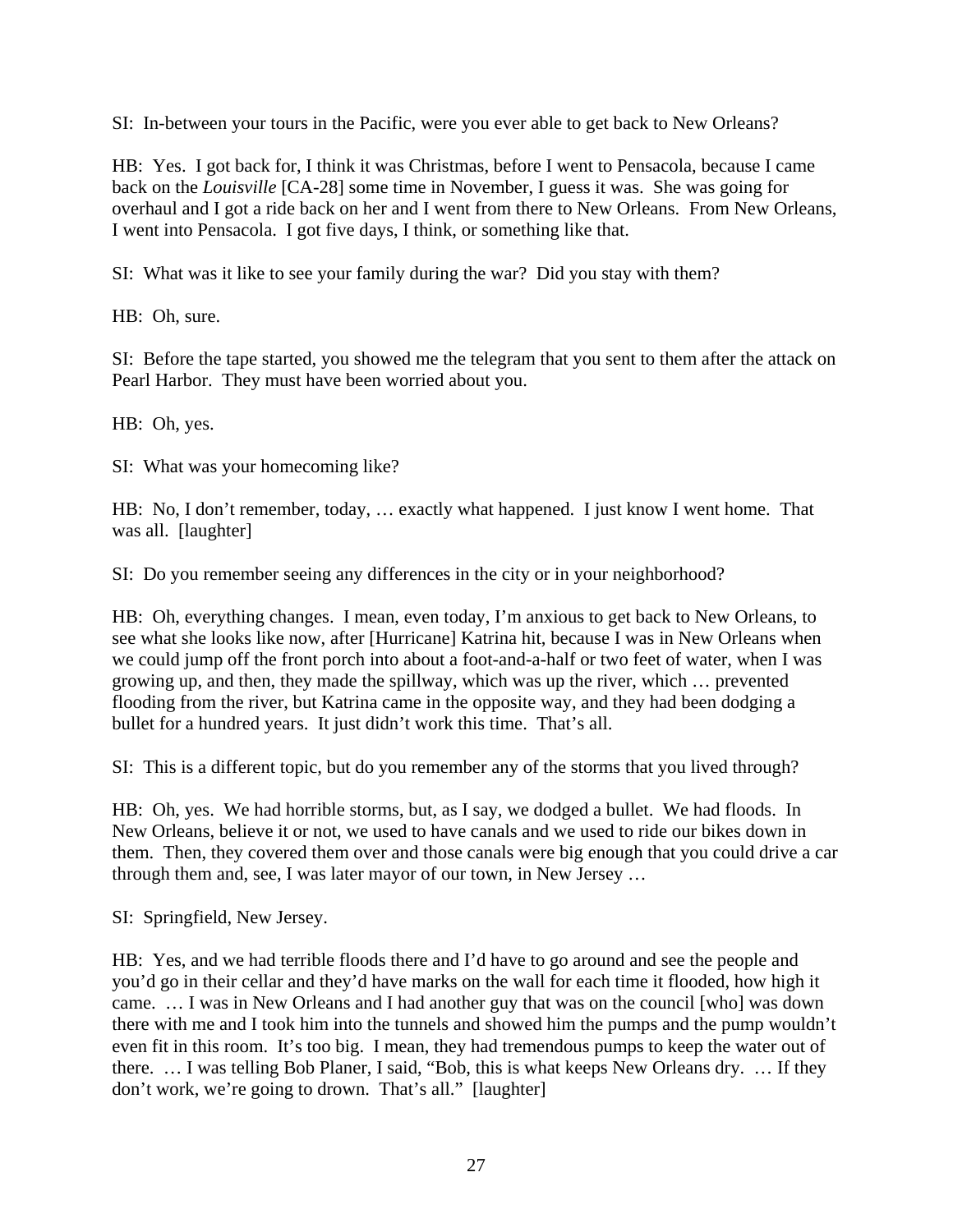SI: In-between your tours in the Pacific, were you ever able to get back to New Orleans?

HB: Yes. I got back for, I think it was Christmas, before I went to Pensacola, because I came back on the *Louisville* [CA-28] some time in November, I guess it was. She was going for overhaul and I got a ride back on her and I went from there to New Orleans. From New Orleans, I went into Pensacola. I got five days, I think, or something like that.

SI: What was it like to see your family during the war? Did you stay with them?

HB: Oh, sure.

SI: Before the tape started, you showed me the telegram that you sent to them after the attack on Pearl Harbor. They must have been worried about you.

HB: Oh, yes.

SI: What was your homecoming like?

HB: No, I don't remember, today, … exactly what happened. I just know I went home. That was all. [laughter]

SI: Do you remember seeing any differences in the city or in your neighborhood?

HB: Oh, everything changes. I mean, even today, I'm anxious to get back to New Orleans, to see what she looks like now, after [Hurricane] Katrina hit, because I was in New Orleans when we could jump off the front porch into about a foot-and-a-half or two feet of water, when I was growing up, and then, they made the spillway, which was up the river, which … prevented flooding from the river, but Katrina came in the opposite way, and they had been dodging a bullet for a hundred years. It just didn't work this time. That's all.

SI: This is a different topic, but do you remember any of the storms that you lived through?

HB: Oh, yes. We had horrible storms, but, as I say, we dodged a bullet. We had floods. In New Orleans, believe it or not, we used to have canals and we used to ride our bikes down in them. Then, they covered them over and those canals were big enough that you could drive a car through them and, see, I was later mayor of our town, in New Jersey …

SI: Springfield, New Jersey.

HB: Yes, and we had terrible floods there and I'd have to go around and see the people and you'd go in their cellar and they'd have marks on the wall for each time it flooded, how high it came. … I was in New Orleans and I had another guy that was on the council [who] was down there with me and I took him into the tunnels and showed him the pumps and the pump wouldn't even fit in this room. It's too big. I mean, they had tremendous pumps to keep the water out of there. … I was telling Bob Planer, I said, "Bob, this is what keeps New Orleans dry. … If they don't work, we're going to drown. That's all." [laughter]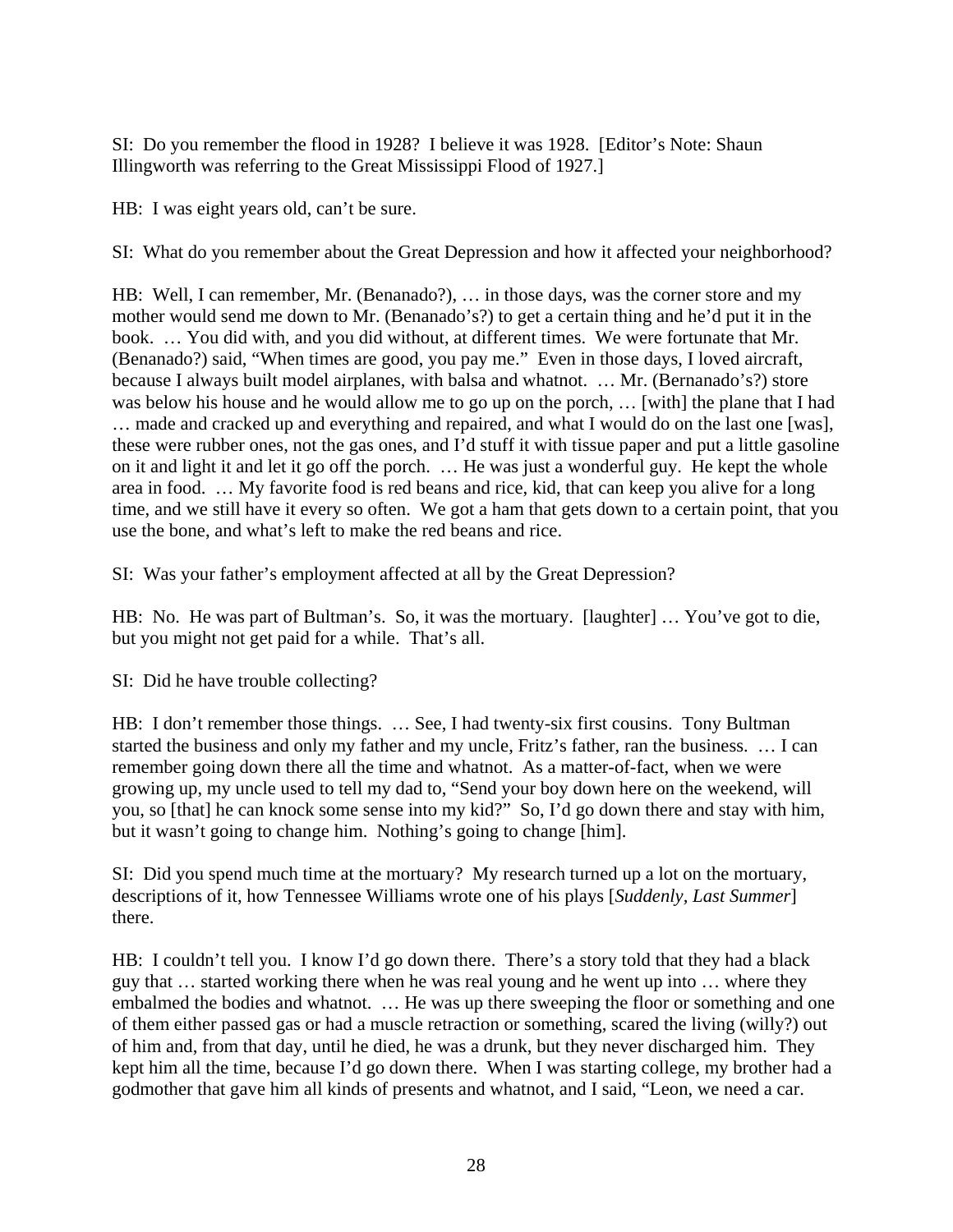SI: Do you remember the flood in 1928? I believe it was 1928. [Editor's Note: Shaun Illingworth was referring to the Great Mississippi Flood of 1927.]

HB: I was eight years old, can't be sure.

SI: What do you remember about the Great Depression and how it affected your neighborhood?

HB: Well, I can remember, Mr. (Benanado?), ... in those days, was the corner store and my mother would send me down to Mr. (Benanado's?) to get a certain thing and he'd put it in the book. … You did with, and you did without, at different times. We were fortunate that Mr. (Benanado?) said, "When times are good, you pay me." Even in those days, I loved aircraft, because I always built model airplanes, with balsa and whatnot. … Mr. (Bernanado's?) store was below his house and he would allow me to go up on the porch, … [with] the plane that I had … made and cracked up and everything and repaired, and what I would do on the last one [was], these were rubber ones, not the gas ones, and I'd stuff it with tissue paper and put a little gasoline on it and light it and let it go off the porch. … He was just a wonderful guy. He kept the whole area in food. … My favorite food is red beans and rice, kid, that can keep you alive for a long time, and we still have it every so often. We got a ham that gets down to a certain point, that you use the bone, and what's left to make the red beans and rice.

SI: Was your father's employment affected at all by the Great Depression?

HB: No. He was part of Bultman's. So, it was the mortuary. [laughter] … You've got to die, but you might not get paid for a while. That's all.

SI: Did he have trouble collecting?

HB: I don't remember those things. ... See, I had twenty-six first cousins. Tony Bultman started the business and only my father and my uncle, Fritz's father, ran the business. … I can remember going down there all the time and whatnot. As a matter-of-fact, when we were growing up, my uncle used to tell my dad to, "Send your boy down here on the weekend, will you, so [that] he can knock some sense into my kid?" So, I'd go down there and stay with him, but it wasn't going to change him. Nothing's going to change [him].

SI: Did you spend much time at the mortuary? My research turned up a lot on the mortuary, descriptions of it, how Tennessee Williams wrote one of his plays [*Suddenly, Last Summer*] there.

HB: I couldn't tell you. I know I'd go down there. There's a story told that they had a black guy that … started working there when he was real young and he went up into … where they embalmed the bodies and whatnot. … He was up there sweeping the floor or something and one of them either passed gas or had a muscle retraction or something, scared the living (willy?) out of him and, from that day, until he died, he was a drunk, but they never discharged him. They kept him all the time, because I'd go down there. When I was starting college, my brother had a godmother that gave him all kinds of presents and whatnot, and I said, "Leon, we need a car.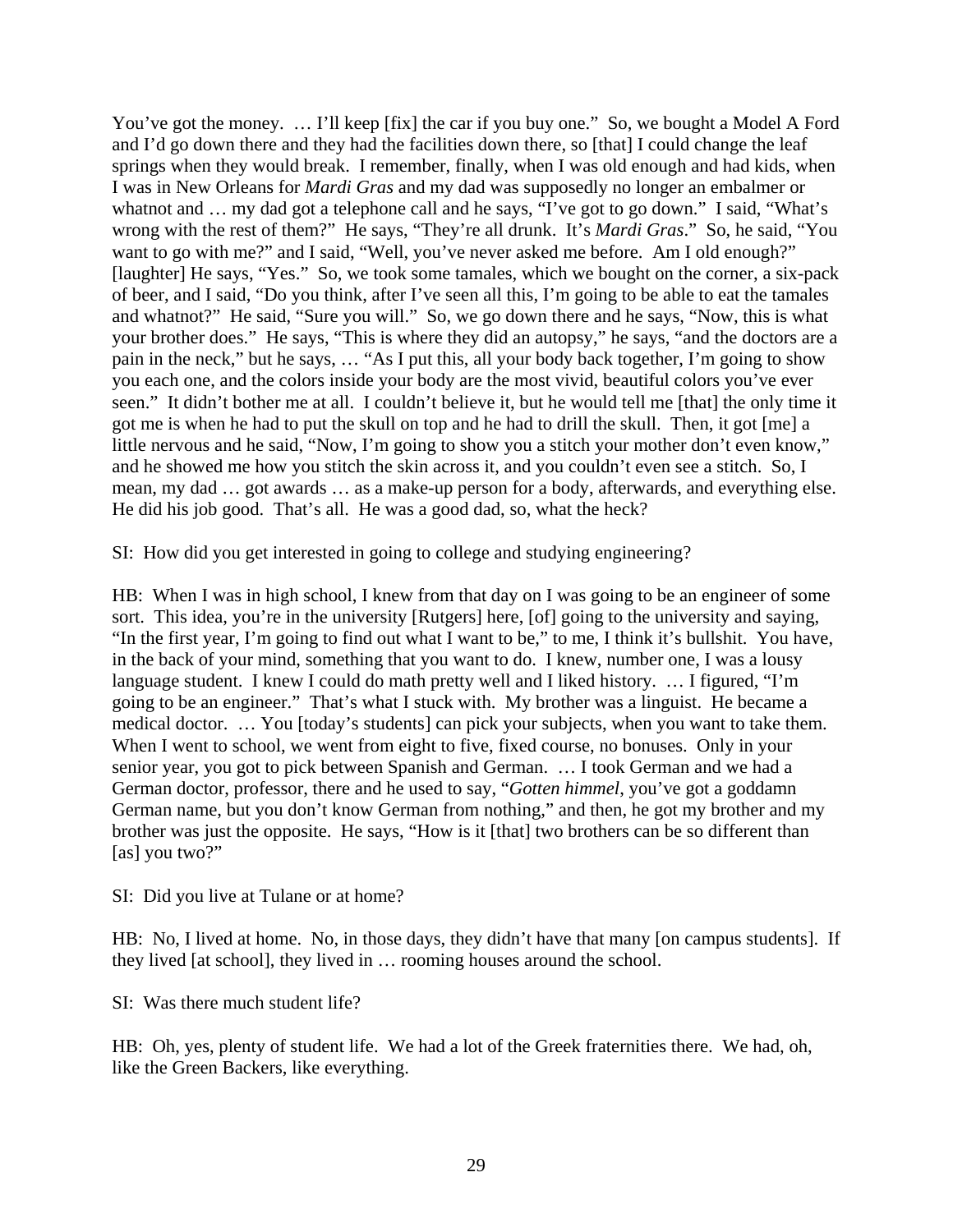You've got the money. ... I'll keep [fix] the car if you buy one." So, we bought a Model A Ford and I'd go down there and they had the facilities down there, so [that] I could change the leaf springs when they would break. I remember, finally, when I was old enough and had kids, when I was in New Orleans for *Mardi Gras* and my dad was supposedly no longer an embalmer or whatnot and ... my dad got a telephone call and he says, "I've got to go down." I said, "What's wrong with the rest of them?" He says, "They're all drunk. It's *Mardi Gras*." So, he said, "You want to go with me?" and I said, "Well, you've never asked me before. Am I old enough?" [laughter] He says, "Yes." So, we took some tamales, which we bought on the corner, a six-pack of beer, and I said, "Do you think, after I've seen all this, I'm going to be able to eat the tamales and whatnot?" He said, "Sure you will." So, we go down there and he says, "Now, this is what your brother does." He says, "This is where they did an autopsy," he says, "and the doctors are a pain in the neck," but he says, … "As I put this, all your body back together, I'm going to show you each one, and the colors inside your body are the most vivid, beautiful colors you've ever seen." It didn't bother me at all. I couldn't believe it, but he would tell me [that] the only time it got me is when he had to put the skull on top and he had to drill the skull. Then, it got [me] a little nervous and he said, "Now, I'm going to show you a stitch your mother don't even know," and he showed me how you stitch the skin across it, and you couldn't even see a stitch. So, I mean, my dad … got awards … as a make-up person for a body, afterwards, and everything else. He did his job good. That's all. He was a good dad, so, what the heck?

SI: How did you get interested in going to college and studying engineering?

HB: When I was in high school, I knew from that day on I was going to be an engineer of some sort. This idea, you're in the university [Rutgers] here, [of] going to the university and saying, "In the first year, I'm going to find out what I want to be," to me, I think it's bullshit. You have, in the back of your mind, something that you want to do. I knew, number one, I was a lousy language student. I knew I could do math pretty well and I liked history. … I figured, "I'm going to be an engineer." That's what I stuck with. My brother was a linguist. He became a medical doctor. … You [today's students] can pick your subjects, when you want to take them. When I went to school, we went from eight to five, fixed course, no bonuses. Only in your senior year, you got to pick between Spanish and German. … I took German and we had a German doctor, professor, there and he used to say, "*Gotten himmel*, you've got a goddamn German name, but you don't know German from nothing," and then, he got my brother and my brother was just the opposite. He says, "How is it [that] two brothers can be so different than [as] you two?"

SI: Did you live at Tulane or at home?

HB: No, I lived at home. No, in those days, they didn't have that many [on campus students]. If they lived [at school], they lived in … rooming houses around the school.

SI: Was there much student life?

HB: Oh, yes, plenty of student life. We had a lot of the Greek fraternities there. We had, oh, like the Green Backers, like everything.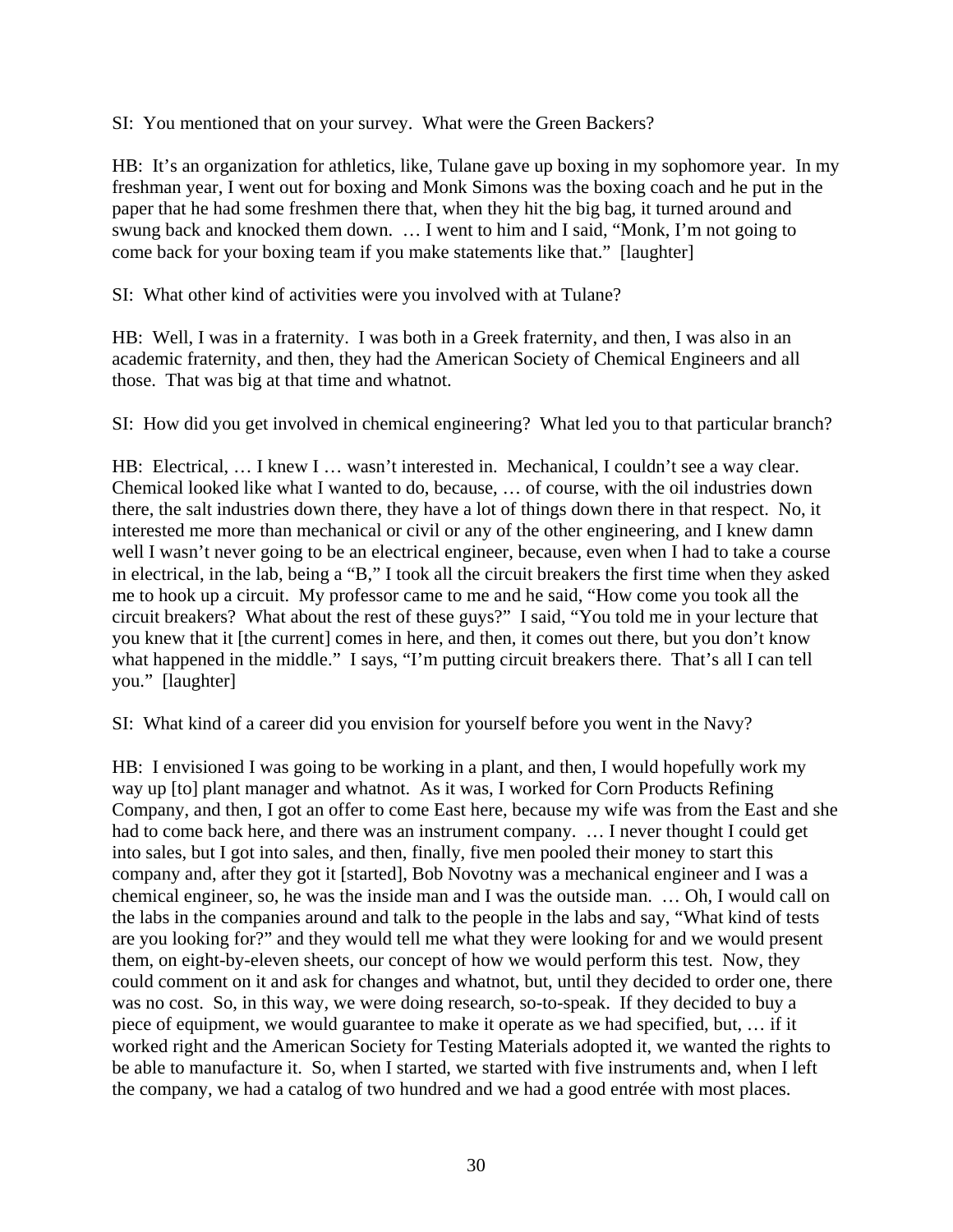SI: You mentioned that on your survey. What were the Green Backers?

HB: It's an organization for athletics, like, Tulane gave up boxing in my sophomore year. In my freshman year, I went out for boxing and Monk Simons was the boxing coach and he put in the paper that he had some freshmen there that, when they hit the big bag, it turned around and swung back and knocked them down. … I went to him and I said, "Monk, I'm not going to come back for your boxing team if you make statements like that." [laughter]

SI: What other kind of activities were you involved with at Tulane?

HB: Well, I was in a fraternity. I was both in a Greek fraternity, and then, I was also in an academic fraternity, and then, they had the American Society of Chemical Engineers and all those. That was big at that time and whatnot.

SI: How did you get involved in chemical engineering? What led you to that particular branch?

HB: Electrical, ... I knew I ... wasn't interested in. Mechanical, I couldn't see a way clear. Chemical looked like what I wanted to do, because, … of course, with the oil industries down there, the salt industries down there, they have a lot of things down there in that respect. No, it interested me more than mechanical or civil or any of the other engineering, and I knew damn well I wasn't never going to be an electrical engineer, because, even when I had to take a course in electrical, in the lab, being a "B," I took all the circuit breakers the first time when they asked me to hook up a circuit. My professor came to me and he said, "How come you took all the circuit breakers? What about the rest of these guys?" I said, "You told me in your lecture that you knew that it [the current] comes in here, and then, it comes out there, but you don't know what happened in the middle." I says, "I'm putting circuit breakers there. That's all I can tell you." [laughter]

SI: What kind of a career did you envision for yourself before you went in the Navy?

HB: I envisioned I was going to be working in a plant, and then, I would hopefully work my way up [to] plant manager and whatnot. As it was, I worked for Corn Products Refining Company, and then, I got an offer to come East here, because my wife was from the East and she had to come back here, and there was an instrument company. … I never thought I could get into sales, but I got into sales, and then, finally, five men pooled their money to start this company and, after they got it [started], Bob Novotny was a mechanical engineer and I was a chemical engineer, so, he was the inside man and I was the outside man. … Oh, I would call on the labs in the companies around and talk to the people in the labs and say, "What kind of tests are you looking for?" and they would tell me what they were looking for and we would present them, on eight-by-eleven sheets, our concept of how we would perform this test. Now, they could comment on it and ask for changes and whatnot, but, until they decided to order one, there was no cost. So, in this way, we were doing research, so-to-speak. If they decided to buy a piece of equipment, we would guarantee to make it operate as we had specified, but, … if it worked right and the American Society for Testing Materials adopted it, we wanted the rights to be able to manufacture it. So, when I started, we started with five instruments and, when I left the company, we had a catalog of two hundred and we had a good entrée with most places.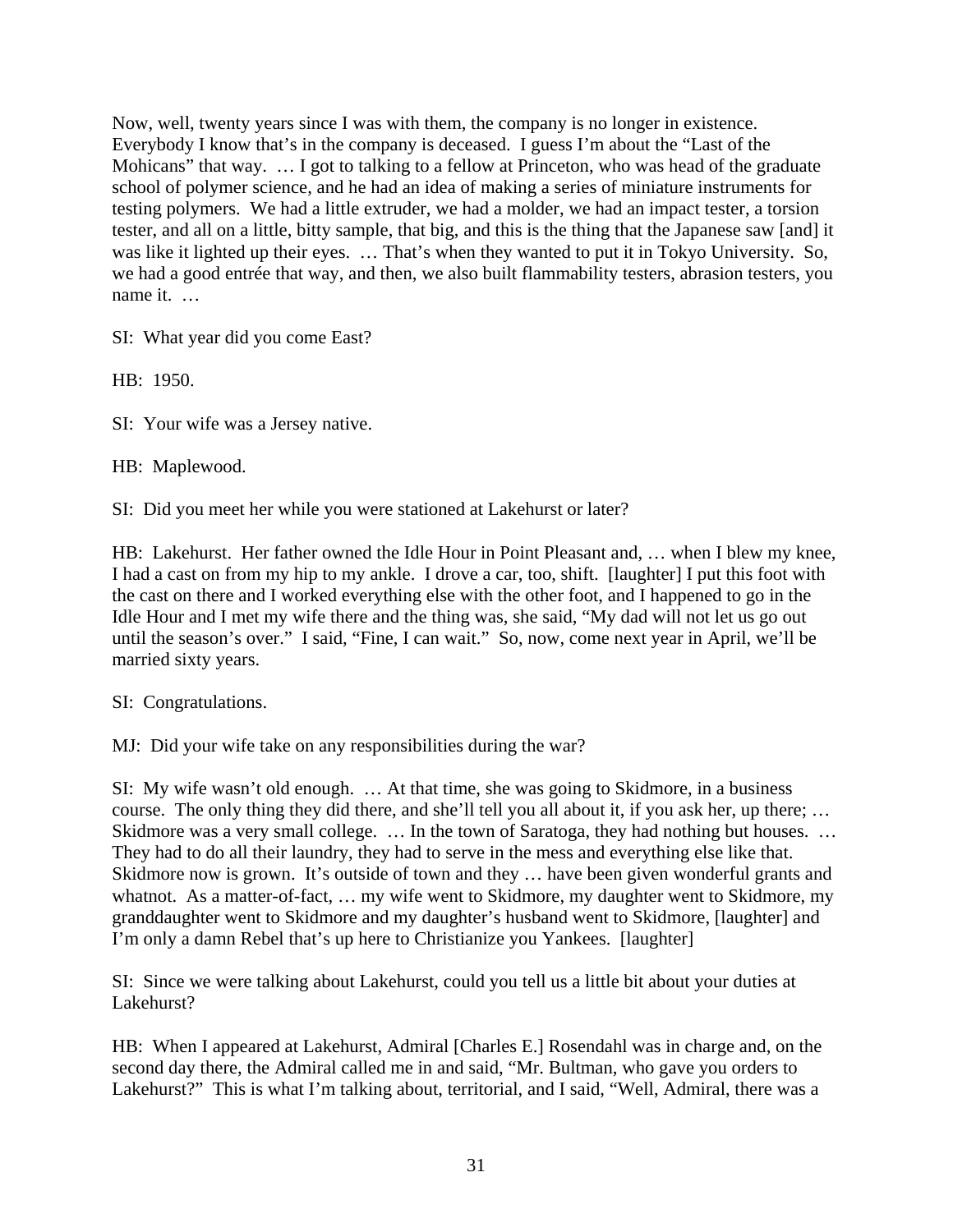Now, well, twenty years since I was with them, the company is no longer in existence. Everybody I know that's in the company is deceased. I guess I'm about the "Last of the Mohicans" that way. ... I got to talking to a fellow at Princeton, who was head of the graduate school of polymer science, and he had an idea of making a series of miniature instruments for testing polymers. We had a little extruder, we had a molder, we had an impact tester, a torsion tester, and all on a little, bitty sample, that big, and this is the thing that the Japanese saw [and] it was like it lighted up their eyes. … That's when they wanted to put it in Tokyo University. So, we had a good entrée that way, and then, we also built flammability testers, abrasion testers, you name it. …

SI: What year did you come East?

HB: 1950.

SI: Your wife was a Jersey native.

HB: Maplewood.

SI: Did you meet her while you were stationed at Lakehurst or later?

HB: Lakehurst. Her father owned the Idle Hour in Point Pleasant and, … when I blew my knee, I had a cast on from my hip to my ankle. I drove a car, too, shift. [laughter] I put this foot with the cast on there and I worked everything else with the other foot, and I happened to go in the Idle Hour and I met my wife there and the thing was, she said, "My dad will not let us go out until the season's over." I said, "Fine, I can wait." So, now, come next year in April, we'll be married sixty years.

SI: Congratulations.

MJ: Did your wife take on any responsibilities during the war?

SI: My wife wasn't old enough. … At that time, she was going to Skidmore, in a business course. The only thing they did there, and she'll tell you all about it, if you ask her, up there; … Skidmore was a very small college. ... In the town of Saratoga, they had nothing but houses. ... They had to do all their laundry, they had to serve in the mess and everything else like that. Skidmore now is grown. It's outside of town and they ... have been given wonderful grants and whatnot. As a matter-of-fact, ... my wife went to Skidmore, my daughter went to Skidmore, my granddaughter went to Skidmore and my daughter's husband went to Skidmore, [laughter] and I'm only a damn Rebel that's up here to Christianize you Yankees. [laughter]

SI: Since we were talking about Lakehurst, could you tell us a little bit about your duties at Lakehurst?

HB: When I appeared at Lakehurst, Admiral [Charles E.] Rosendahl was in charge and, on the second day there, the Admiral called me in and said, "Mr. Bultman, who gave you orders to Lakehurst?" This is what I'm talking about, territorial, and I said, "Well, Admiral, there was a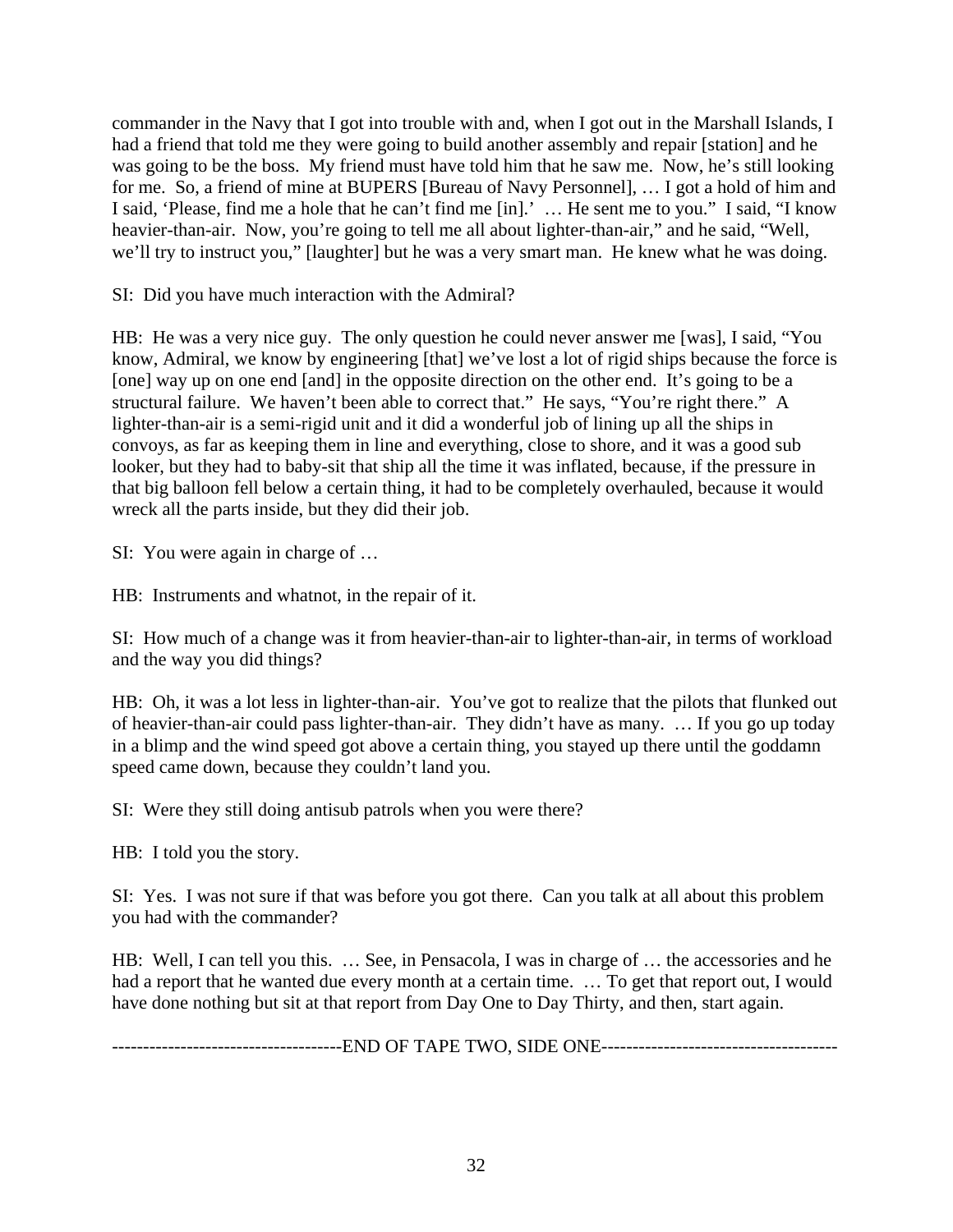commander in the Navy that I got into trouble with and, when I got out in the Marshall Islands, I had a friend that told me they were going to build another assembly and repair [station] and he was going to be the boss. My friend must have told him that he saw me. Now, he's still looking for me. So, a friend of mine at BUPERS [Bureau of Navy Personnel], … I got a hold of him and I said, 'Please, find me a hole that he can't find me [in].' … He sent me to you." I said, "I know heavier-than-air. Now, you're going to tell me all about lighter-than-air," and he said, "Well, we'll try to instruct you," [laughter] but he was a very smart man. He knew what he was doing.

SI: Did you have much interaction with the Admiral?

HB: He was a very nice guy. The only question he could never answer me [was], I said, "You know, Admiral, we know by engineering [that] we've lost a lot of rigid ships because the force is [one] way up on one end [and] in the opposite direction on the other end. It's going to be a structural failure. We haven't been able to correct that." He says, "You're right there." A lighter-than-air is a semi-rigid unit and it did a wonderful job of lining up all the ships in convoys, as far as keeping them in line and everything, close to shore, and it was a good sub looker, but they had to baby-sit that ship all the time it was inflated, because, if the pressure in that big balloon fell below a certain thing, it had to be completely overhauled, because it would wreck all the parts inside, but they did their job.

SI: You were again in charge of …

HB: Instruments and whatnot, in the repair of it.

SI: How much of a change was it from heavier-than-air to lighter-than-air, in terms of workload and the way you did things?

HB: Oh, it was a lot less in lighter-than-air. You've got to realize that the pilots that flunked out of heavier-than-air could pass lighter-than-air. They didn't have as many. … If you go up today in a blimp and the wind speed got above a certain thing, you stayed up there until the goddamn speed came down, because they couldn't land you.

SI: Were they still doing antisub patrols when you were there?

HB: I told you the story.

SI: Yes. I was not sure if that was before you got there. Can you talk at all about this problem you had with the commander?

HB: Well, I can tell you this. … See, in Pensacola, I was in charge of … the accessories and he had a report that he wanted due every month at a certain time. … To get that report out, I would have done nothing but sit at that report from Day One to Day Thirty, and then, start again.

-------------------------------------END OF TAPE TWO, SIDE ONE--------------------------------------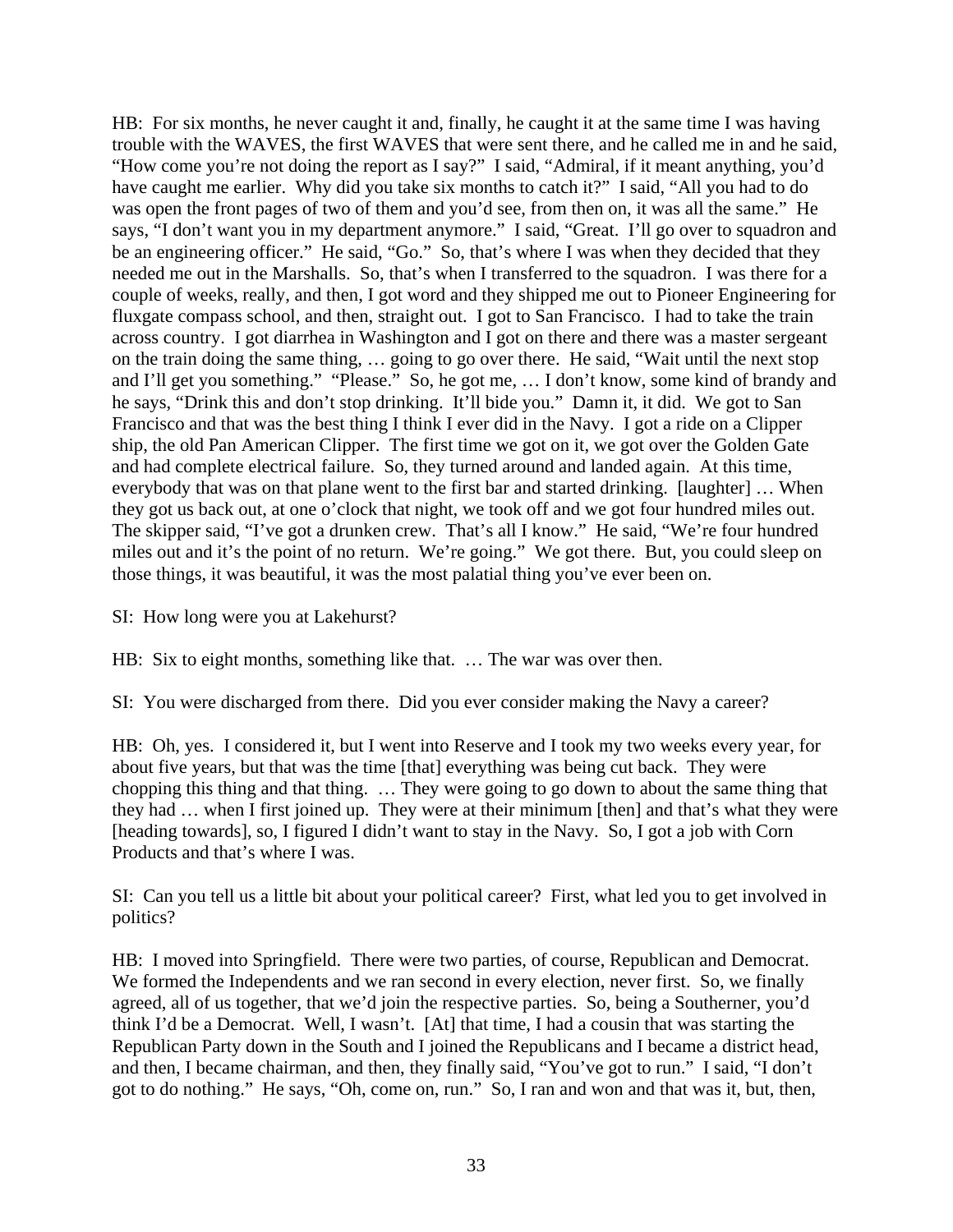HB: For six months, he never caught it and, finally, he caught it at the same time I was having trouble with the WAVES, the first WAVES that were sent there, and he called me in and he said, "How come you're not doing the report as I say?" I said, "Admiral, if it meant anything, you'd have caught me earlier. Why did you take six months to catch it?" I said, "All you had to do was open the front pages of two of them and you'd see, from then on, it was all the same." He says, "I don't want you in my department anymore." I said, "Great. I'll go over to squadron and be an engineering officer." He said, "Go." So, that's where I was when they decided that they needed me out in the Marshalls. So, that's when I transferred to the squadron. I was there for a couple of weeks, really, and then, I got word and they shipped me out to Pioneer Engineering for fluxgate compass school, and then, straight out. I got to San Francisco. I had to take the train across country. I got diarrhea in Washington and I got on there and there was a master sergeant on the train doing the same thing, … going to go over there. He said, "Wait until the next stop and I'll get you something." "Please." So, he got me, … I don't know, some kind of brandy and he says, "Drink this and don't stop drinking. It'll bide you." Damn it, it did. We got to San Francisco and that was the best thing I think I ever did in the Navy. I got a ride on a Clipper ship, the old Pan American Clipper. The first time we got on it, we got over the Golden Gate and had complete electrical failure. So, they turned around and landed again. At this time, everybody that was on that plane went to the first bar and started drinking. [laughter] … When they got us back out, at one o'clock that night, we took off and we got four hundred miles out. The skipper said, "I've got a drunken crew. That's all I know." He said, "We're four hundred miles out and it's the point of no return. We're going." We got there. But, you could sleep on those things, it was beautiful, it was the most palatial thing you've ever been on.

SI: How long were you at Lakehurst?

HB: Six to eight months, something like that. … The war was over then.

SI: You were discharged from there. Did you ever consider making the Navy a career?

HB: Oh, yes. I considered it, but I went into Reserve and I took my two weeks every year, for about five years, but that was the time [that] everything was being cut back. They were chopping this thing and that thing. … They were going to go down to about the same thing that they had … when I first joined up. They were at their minimum [then] and that's what they were [heading towards], so, I figured I didn't want to stay in the Navy. So, I got a job with Corn Products and that's where I was.

SI: Can you tell us a little bit about your political career? First, what led you to get involved in politics?

HB: I moved into Springfield. There were two parties, of course, Republican and Democrat. We formed the Independents and we ran second in every election, never first. So, we finally agreed, all of us together, that we'd join the respective parties. So, being a Southerner, you'd think I'd be a Democrat. Well, I wasn't. [At] that time, I had a cousin that was starting the Republican Party down in the South and I joined the Republicans and I became a district head, and then, I became chairman, and then, they finally said, "You've got to run." I said, "I don't got to do nothing." He says, "Oh, come on, run." So, I ran and won and that was it, but, then,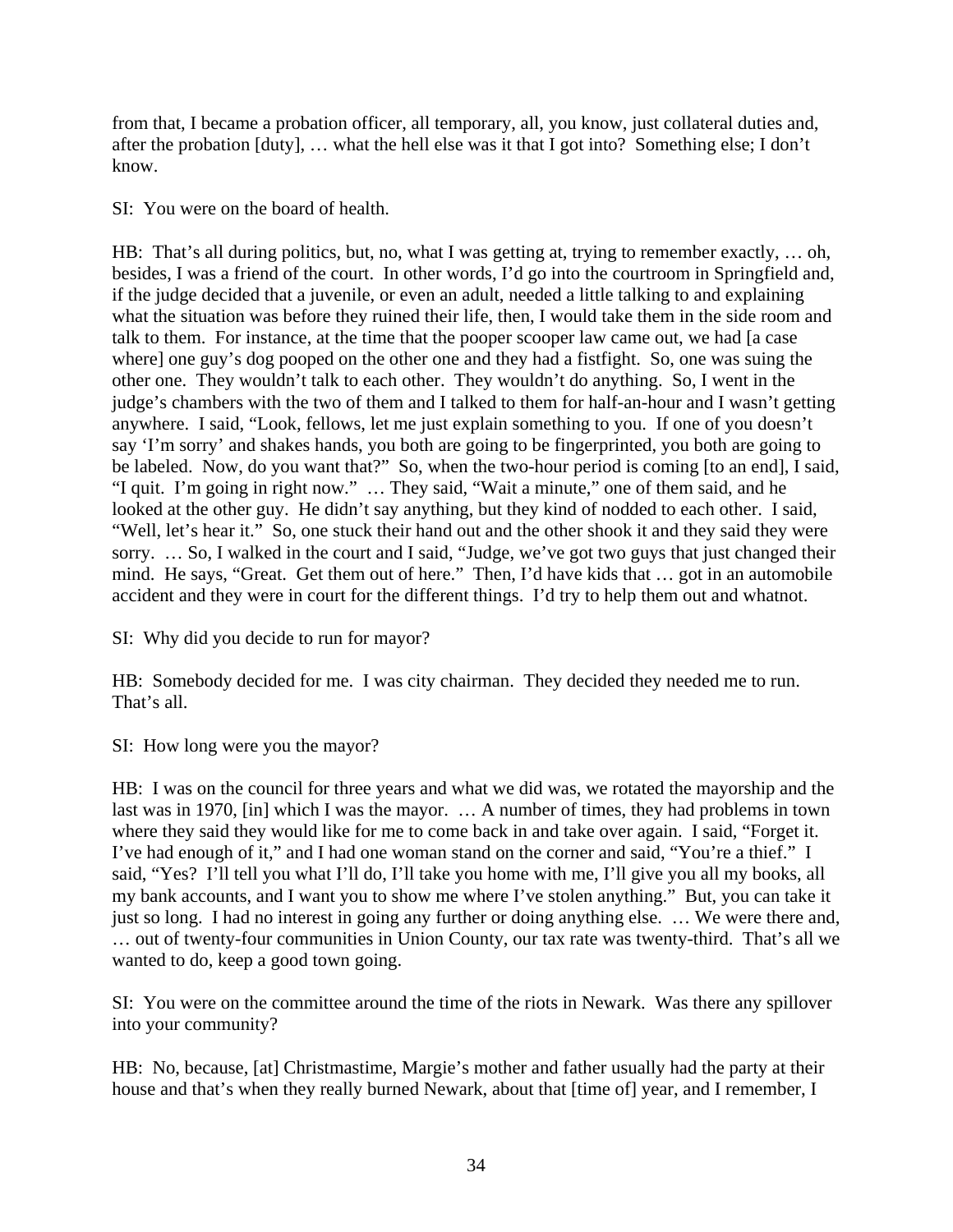from that, I became a probation officer, all temporary, all, you know, just collateral duties and, after the probation [duty], … what the hell else was it that I got into? Something else; I don't know.

SI: You were on the board of health.

HB: That's all during politics, but, no, what I was getting at, trying to remember exactly, ... oh, besides, I was a friend of the court. In other words, I'd go into the courtroom in Springfield and, if the judge decided that a juvenile, or even an adult, needed a little talking to and explaining what the situation was before they ruined their life, then, I would take them in the side room and talk to them. For instance, at the time that the pooper scooper law came out, we had [a case where] one guy's dog pooped on the other one and they had a fistfight. So, one was suing the other one. They wouldn't talk to each other. They wouldn't do anything. So, I went in the judge's chambers with the two of them and I talked to them for half-an-hour and I wasn't getting anywhere. I said, "Look, fellows, let me just explain something to you. If one of you doesn't say 'I'm sorry' and shakes hands, you both are going to be fingerprinted, you both are going to be labeled. Now, do you want that?" So, when the two-hour period is coming [to an end], I said, "I quit. I'm going in right now." … They said, "Wait a minute," one of them said, and he looked at the other guy. He didn't say anything, but they kind of nodded to each other. I said, "Well, let's hear it." So, one stuck their hand out and the other shook it and they said they were sorry. … So, I walked in the court and I said, "Judge, we've got two guys that just changed their mind. He says, "Great. Get them out of here." Then, I'd have kids that … got in an automobile accident and they were in court for the different things. I'd try to help them out and whatnot.

SI: Why did you decide to run for mayor?

HB: Somebody decided for me. I was city chairman. They decided they needed me to run. That's all.

SI: How long were you the mayor?

HB: I was on the council for three years and what we did was, we rotated the mayorship and the last was in 1970, [in] which I was the mayor. … A number of times, they had problems in town where they said they would like for me to come back in and take over again. I said, "Forget it. I've had enough of it," and I had one woman stand on the corner and said, "You're a thief." I said, "Yes? I'll tell you what I'll do, I'll take you home with me, I'll give you all my books, all my bank accounts, and I want you to show me where I've stolen anything." But, you can take it just so long. I had no interest in going any further or doing anything else. … We were there and, … out of twenty-four communities in Union County, our tax rate was twenty-third. That's all we wanted to do, keep a good town going.

SI: You were on the committee around the time of the riots in Newark. Was there any spillover into your community?

HB: No, because, [at] Christmastime, Margie's mother and father usually had the party at their house and that's when they really burned Newark, about that [time of] year, and I remember, I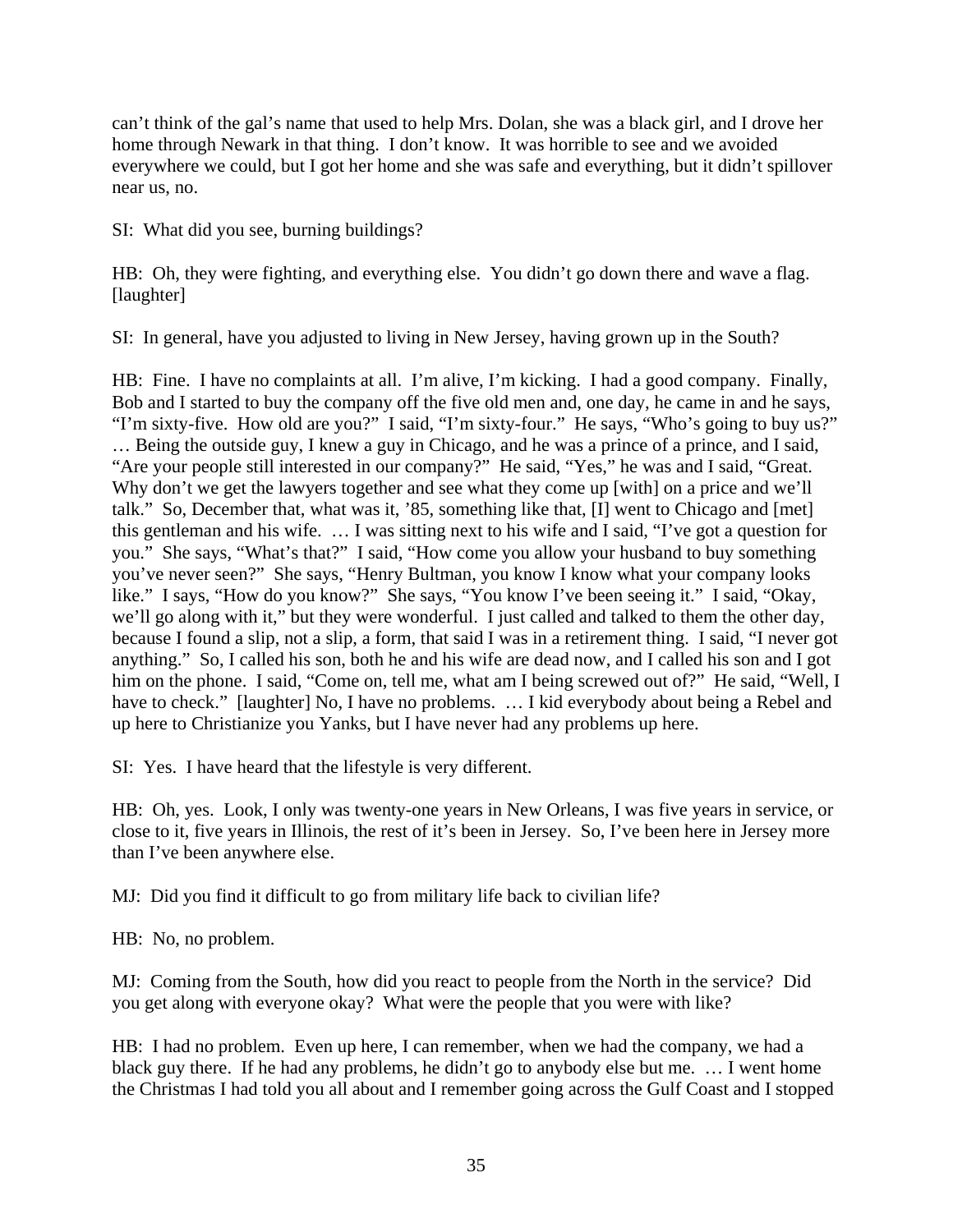can't think of the gal's name that used to help Mrs. Dolan, she was a black girl, and I drove her home through Newark in that thing. I don't know. It was horrible to see and we avoided everywhere we could, but I got her home and she was safe and everything, but it didn't spillover near us, no.

SI: What did you see, burning buildings?

HB: Oh, they were fighting, and everything else. You didn't go down there and wave a flag. [laughter]

SI: In general, have you adjusted to living in New Jersey, having grown up in the South?

HB: Fine. I have no complaints at all. I'm alive, I'm kicking. I had a good company. Finally, Bob and I started to buy the company off the five old men and, one day, he came in and he says, "I'm sixty-five. How old are you?" I said, "I'm sixty-four." He says, "Who's going to buy us?" … Being the outside guy, I knew a guy in Chicago, and he was a prince of a prince, and I said, "Are your people still interested in our company?" He said, "Yes," he was and I said, "Great. Why don't we get the lawyers together and see what they come up [with] on a price and we'll talk." So, December that, what was it, '85, something like that, [I] went to Chicago and [met] this gentleman and his wife. … I was sitting next to his wife and I said, "I've got a question for you." She says, "What's that?" I said, "How come you allow your husband to buy something you've never seen?" She says, "Henry Bultman, you know I know what your company looks like." I says, "How do you know?" She says, "You know I've been seeing it." I said, "Okay, we'll go along with it," but they were wonderful. I just called and talked to them the other day, because I found a slip, not a slip, a form, that said I was in a retirement thing. I said, "I never got anything." So, I called his son, both he and his wife are dead now, and I called his son and I got him on the phone. I said, "Come on, tell me, what am I being screwed out of?" He said, "Well, I have to check." [laughter] No, I have no problems. ... I kid everybody about being a Rebel and up here to Christianize you Yanks, but I have never had any problems up here.

SI: Yes. I have heard that the lifestyle is very different.

HB: Oh, yes. Look, I only was twenty-one years in New Orleans, I was five years in service, or close to it, five years in Illinois, the rest of it's been in Jersey. So, I've been here in Jersey more than I've been anywhere else.

MJ: Did you find it difficult to go from military life back to civilian life?

HB: No, no problem.

MJ: Coming from the South, how did you react to people from the North in the service? Did you get along with everyone okay? What were the people that you were with like?

HB: I had no problem. Even up here, I can remember, when we had the company, we had a black guy there. If he had any problems, he didn't go to anybody else but me. … I went home the Christmas I had told you all about and I remember going across the Gulf Coast and I stopped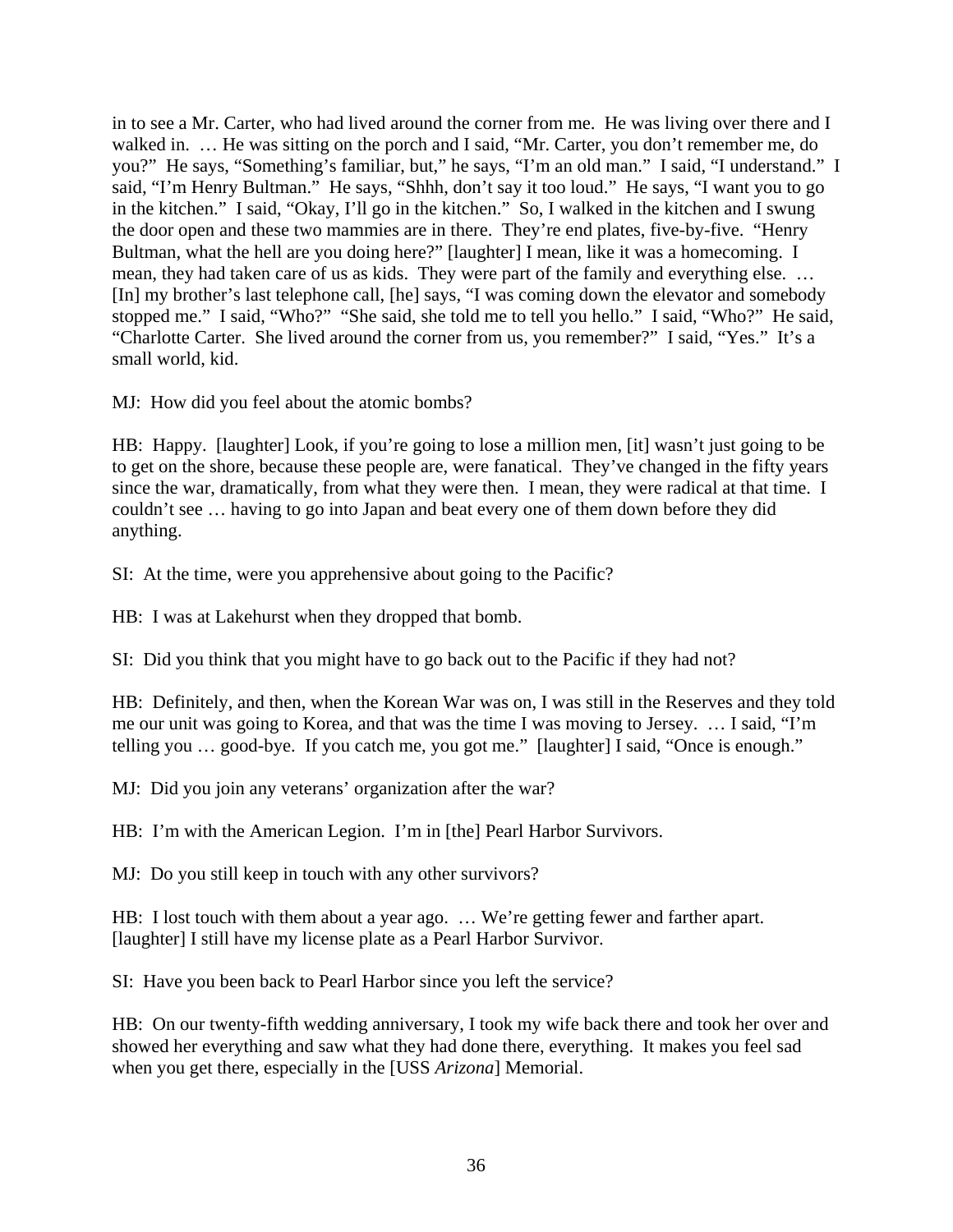in to see a Mr. Carter, who had lived around the corner from me. He was living over there and I walked in. … He was sitting on the porch and I said, "Mr. Carter, you don't remember me, do you?" He says, "Something's familiar, but," he says, "I'm an old man." I said, "I understand." I said, "I'm Henry Bultman." He says, "Shhh, don't say it too loud." He says, "I want you to go in the kitchen." I said, "Okay, I'll go in the kitchen." So, I walked in the kitchen and I swung the door open and these two mammies are in there. They're end plates, five-by-five. "Henry Bultman, what the hell are you doing here?" [laughter] I mean, like it was a homecoming. I mean, they had taken care of us as kids. They were part of the family and everything else. … [In] my brother's last telephone call, [he] says, "I was coming down the elevator and somebody stopped me." I said, "Who?" "She said, she told me to tell you hello." I said, "Who?" He said, "Charlotte Carter. She lived around the corner from us, you remember?" I said, "Yes." It's a small world, kid.

MJ: How did you feel about the atomic bombs?

HB: Happy. [laughter] Look, if you're going to lose a million men, [it] wasn't just going to be to get on the shore, because these people are, were fanatical. They've changed in the fifty years since the war, dramatically, from what they were then. I mean, they were radical at that time. I couldn't see … having to go into Japan and beat every one of them down before they did anything.

SI: At the time, were you apprehensive about going to the Pacific?

HB: I was at Lakehurst when they dropped that bomb.

SI: Did you think that you might have to go back out to the Pacific if they had not?

HB: Definitely, and then, when the Korean War was on, I was still in the Reserves and they told me our unit was going to Korea, and that was the time I was moving to Jersey. … I said, "I'm telling you … good-bye. If you catch me, you got me." [laughter] I said, "Once is enough."

MJ: Did you join any veterans' organization after the war?

HB: I'm with the American Legion. I'm in [the] Pearl Harbor Survivors.

MJ: Do you still keep in touch with any other survivors?

HB: I lost touch with them about a year ago. … We're getting fewer and farther apart. [laughter] I still have my license plate as a Pearl Harbor Survivor.

SI: Have you been back to Pearl Harbor since you left the service?

HB: On our twenty-fifth wedding anniversary, I took my wife back there and took her over and showed her everything and saw what they had done there, everything. It makes you feel sad when you get there, especially in the [USS *Arizona*] Memorial.